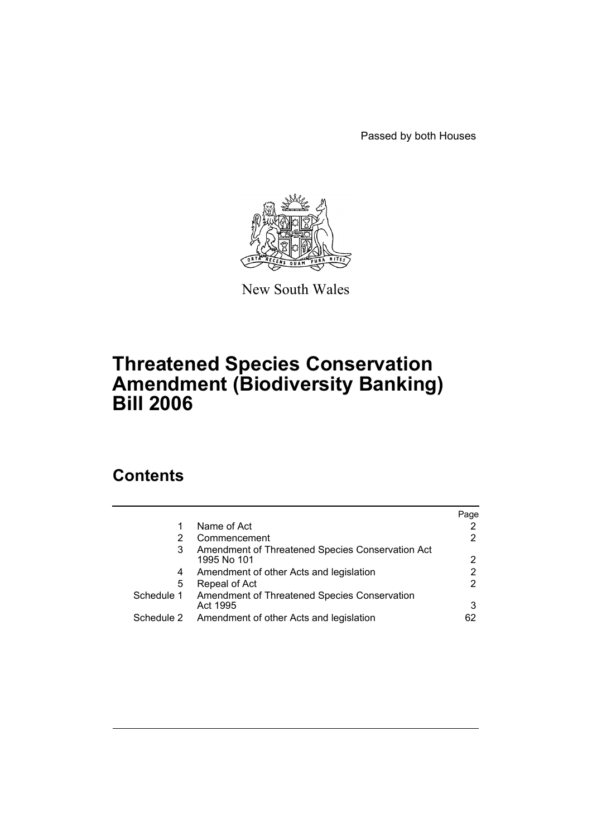Passed by both Houses



New South Wales

# **Threatened Species Conservation Amendment (Biodiversity Banking) Bill 2006**

# **Contents**

|            |                                                                 | Page |
|------------|-----------------------------------------------------------------|------|
|            | Name of Act                                                     |      |
| 2          | Commencement                                                    | 2    |
| 3          | Amendment of Threatened Species Conservation Act<br>1995 No 101 | 2    |
| 4          | Amendment of other Acts and legislation                         | 2    |
| 5          | Repeal of Act                                                   | 2    |
| Schedule 1 | Amendment of Threatened Species Conservation<br>Act 1995        | 3    |
| Schedule 2 | Amendment of other Acts and legislation                         | 62   |
|            |                                                                 |      |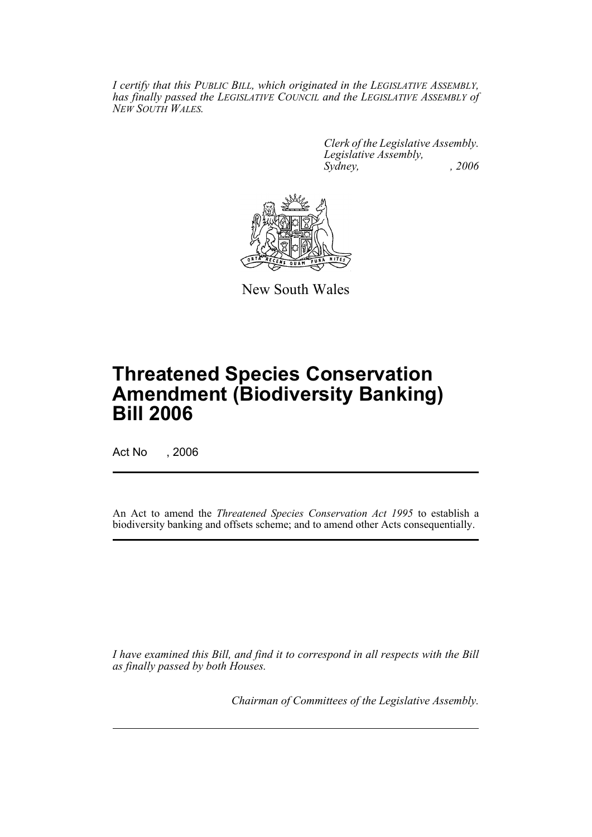*I certify that this PUBLIC BILL, which originated in the LEGISLATIVE ASSEMBLY, has finally passed the LEGISLATIVE COUNCIL and the LEGISLATIVE ASSEMBLY of NEW SOUTH WALES.*

> *Clerk of the Legislative Assembly. Legislative Assembly, Sydney, , 2006*



New South Wales

# **Threatened Species Conservation Amendment (Biodiversity Banking) Bill 2006**

Act No , 2006

An Act to amend the *Threatened Species Conservation Act 1995* to establish a biodiversity banking and offsets scheme; and to amend other Acts consequentially.

*I have examined this Bill, and find it to correspond in all respects with the Bill as finally passed by both Houses.*

*Chairman of Committees of the Legislative Assembly.*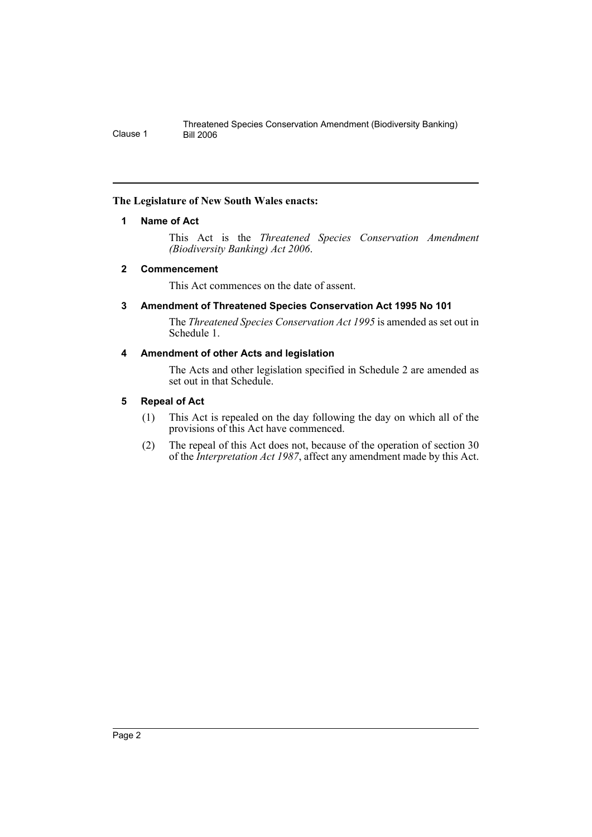## <span id="page-2-0"></span>**The Legislature of New South Wales enacts:**

## **1 Name of Act**

This Act is the *Threatened Species Conservation Amendment (Biodiversity Banking) Act 2006*.

## <span id="page-2-1"></span>**2 Commencement**

This Act commences on the date of assent.

## <span id="page-2-2"></span>**3 Amendment of Threatened Species Conservation Act 1995 No 101**

The *Threatened Species Conservation Act 1995* is amended as set out in Schedule 1.

## <span id="page-2-3"></span>**4 Amendment of other Acts and legislation**

The Acts and other legislation specified in Schedule 2 are amended as set out in that Schedule.

## <span id="page-2-4"></span>**5 Repeal of Act**

- (1) This Act is repealed on the day following the day on which all of the provisions of this Act have commenced.
- (2) The repeal of this Act does not, because of the operation of section 30 of the *Interpretation Act 1987*, affect any amendment made by this Act.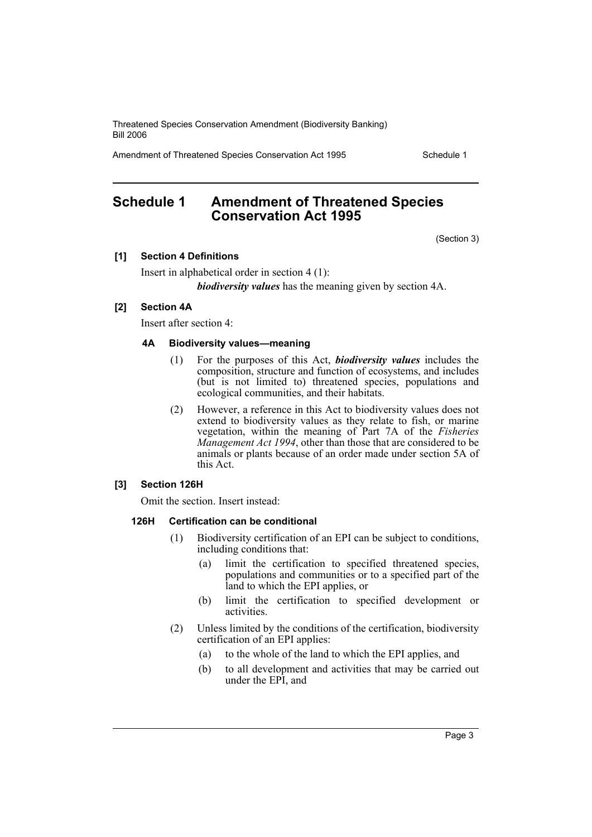Amendment of Threatened Species Conservation Act 1995 Schedule 1

## <span id="page-3-0"></span>**Schedule 1 Amendment of Threatened Species Conservation Act 1995**

(Section 3)

## **[1] Section 4 Definitions**

Insert in alphabetical order in section 4 (1): *biodiversity values* has the meaning given by section 4A.

### **[2] Section 4A**

Insert after section 4:

## **4A Biodiversity values—meaning**

- (1) For the purposes of this Act, *biodiversity values* includes the composition, structure and function of ecosystems, and includes (but is not limited to) threatened species, populations and ecological communities, and their habitats.
- (2) However, a reference in this Act to biodiversity values does not extend to biodiversity values as they relate to fish, or marine vegetation, within the meaning of Part 7A of the *Fisheries Management Act 1994*, other than those that are considered to be animals or plants because of an order made under section 5A of this Act.

## **[3] Section 126H**

Omit the section. Insert instead:

#### **126H Certification can be conditional**

- (1) Biodiversity certification of an EPI can be subject to conditions, including conditions that:
	- (a) limit the certification to specified threatened species, populations and communities or to a specified part of the land to which the EPI applies, or
	- (b) limit the certification to specified development or activities.
- (2) Unless limited by the conditions of the certification, biodiversity certification of an EPI applies:
	- (a) to the whole of the land to which the EPI applies, and
	- (b) to all development and activities that may be carried out under the EPI, and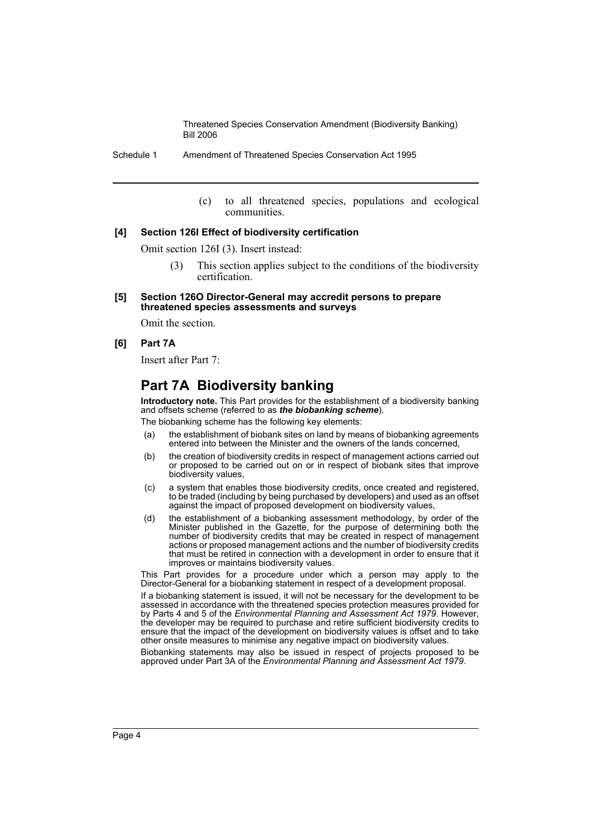Schedule 1 Amendment of Threatened Species Conservation Act 1995

(c) to all threatened species, populations and ecological communities.

#### **[4] Section 126I Effect of biodiversity certification**

Omit section 126I (3). Insert instead:

- (3) This section applies subject to the conditions of the biodiversity certification.
- **[5] Section 126O Director-General may accredit persons to prepare threatened species assessments and surveys**

Omit the section.

### **[6] Part 7A**

Insert after Part 7:

## **Part 7A Biodiversity banking**

**Introductory note.** This Part provides for the establishment of a biodiversity banking and offsets scheme (referred to as *the biobanking scheme*).

The biobanking scheme has the following key elements:

- (a) the establishment of biobank sites on land by means of biobanking agreements entered into between the Minister and the owners of the lands concerned,
- (b) the creation of biodiversity credits in respect of management actions carried out or proposed to be carried out on or in respect of biobank sites that improve biodiversity values,
- (c) a system that enables those biodiversity credits, once created and registered, to be traded (including by being purchased by developers) and used as an offset against the impact of proposed development on biodiversity values,
- (d) the establishment of a biobanking assessment methodology, by order of the Minister published in the Gazette, for the purpose of determining both the number of biodiversity credits that may be created in respect of management actions or proposed management actions and the number of biodiversity credits that must be retired in connection with a development in order to ensure that it improves or maintains biodiversity values.

This Part provides for a procedure under which a person may apply to the Director-General for a biobanking statement in respect of a development proposal.

If a biobanking statement is issued, it will not be necessary for the development to be assessed in accordance with the threatened species protection measures provided for by Parts 4 and 5 of the *Environmental Planning and Assessment Act 1979*. However, the developer may be required to purchase and retire sufficient biodiversity credits to ensure that the impact of the development on biodiversity values is offset and to take other onsite measures to minimise any negative impact on biodiversity values.

Biobanking statements may also be issued in respect of projects proposed to be approved under Part 3A of the *Environmental Planning and Assessment Act 1979*.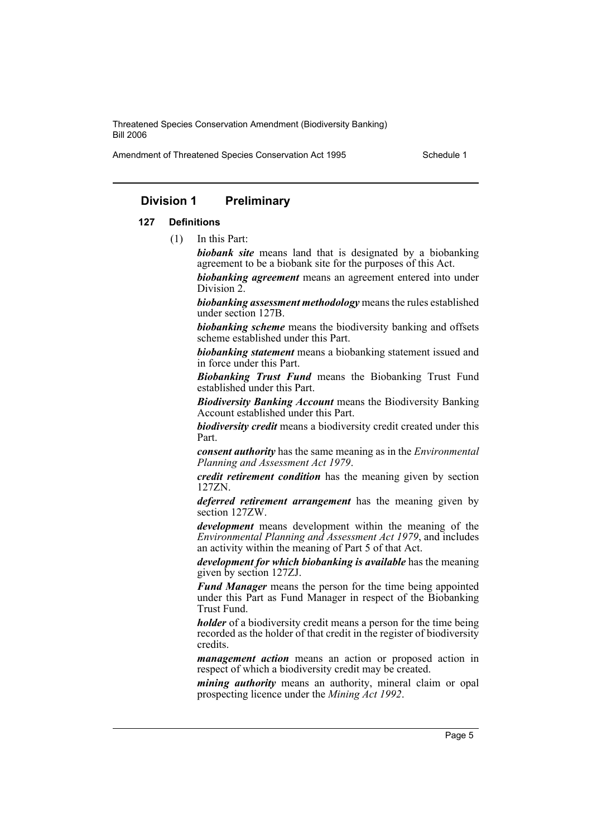Amendment of Threatened Species Conservation Act 1995 Schedule 1

## **Division 1 Preliminary**

#### **127 Definitions**

(1) In this Part:

*biobank site* means land that is designated by a biobanking agreement to be a biobank site for the purposes of this Act.

*biobanking agreement* means an agreement entered into under Division 2.

*biobanking assessment methodology* means the rules established under section 127B.

*biobanking scheme* means the biodiversity banking and offsets scheme established under this Part.

*biobanking statement* means a biobanking statement issued and in force under this Part.

*Biobanking Trust Fund* means the Biobanking Trust Fund established under this Part.

*Biodiversity Banking Account* means the Biodiversity Banking Account established under this Part.

*biodiversity credit* means a biodiversity credit created under this Part.

*consent authority* has the same meaning as in the *Environmental Planning and Assessment Act 1979*.

*credit retirement condition* has the meaning given by section 127ZN.

*deferred retirement arrangement* has the meaning given by section 127ZW.

*development* means development within the meaning of the *Environmental Planning and Assessment Act 1979*, and includes an activity within the meaning of Part 5 of that Act.

*development for which biobanking is available* has the meaning given by section 127ZJ.

*Fund Manager* means the person for the time being appointed under this Part as Fund Manager in respect of the Biobanking Trust Fund.

*holder* of a biodiversity credit means a person for the time being recorded as the holder of that credit in the register of biodiversity credits.

*management action* means an action or proposed action in respect of which a biodiversity credit may be created.

*mining authority* means an authority, mineral claim or opal prospecting licence under the *Mining Act 1992*.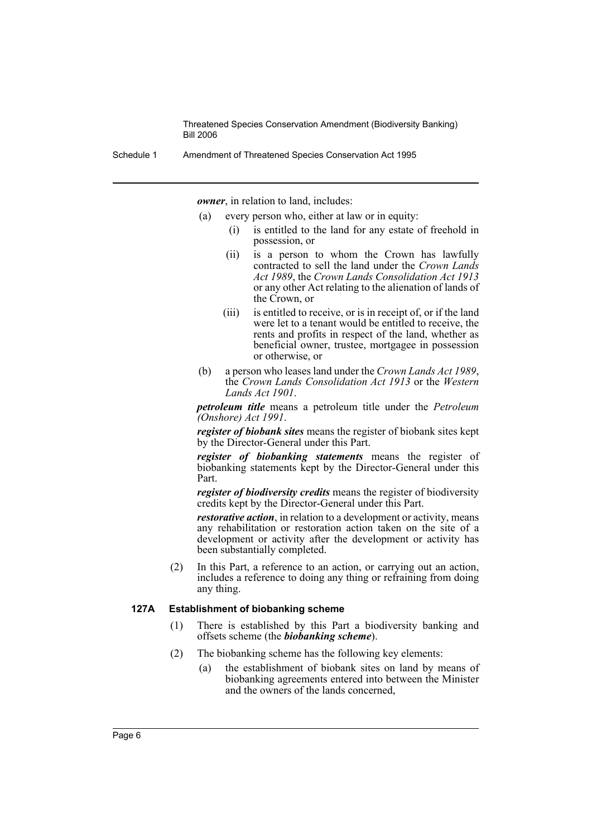Schedule 1 Amendment of Threatened Species Conservation Act 1995

*owner*, in relation to land, includes:

- (a) every person who, either at law or in equity:
	- (i) is entitled to the land for any estate of freehold in possession, or
	- (ii) is a person to whom the Crown has lawfully contracted to sell the land under the *Crown Lands Act 1989*, the *Crown Lands Consolidation Act 1913* or any other Act relating to the alienation of lands of the Crown, or
	- (iii) is entitled to receive, or is in receipt of, or if the land were let to a tenant would be entitled to receive, the rents and profits in respect of the land, whether as beneficial owner, trustee, mortgagee in possession or otherwise, or
- (b) a person who leases land under the *Crown Lands Act 1989*, the *Crown Lands Consolidation Act 1913* or the *Western Lands Act 1901*.

*petroleum title* means a petroleum title under the *Petroleum (Onshore) Act 1991*.

*register of biobank sites* means the register of biobank sites kept by the Director-General under this Part.

*register of biobanking statements* means the register of biobanking statements kept by the Director-General under this Part.

*register of biodiversity credits* means the register of biodiversity credits kept by the Director-General under this Part.

*restorative action*, in relation to a development or activity, means any rehabilitation or restoration action taken on the site of a development or activity after the development or activity has been substantially completed.

(2) In this Part, a reference to an action, or carrying out an action, includes a reference to doing any thing or refraining from doing any thing.

#### **127A Establishment of biobanking scheme**

- (1) There is established by this Part a biodiversity banking and offsets scheme (the *biobanking scheme*).
- (2) The biobanking scheme has the following key elements:
	- (a) the establishment of biobank sites on land by means of biobanking agreements entered into between the Minister and the owners of the lands concerned,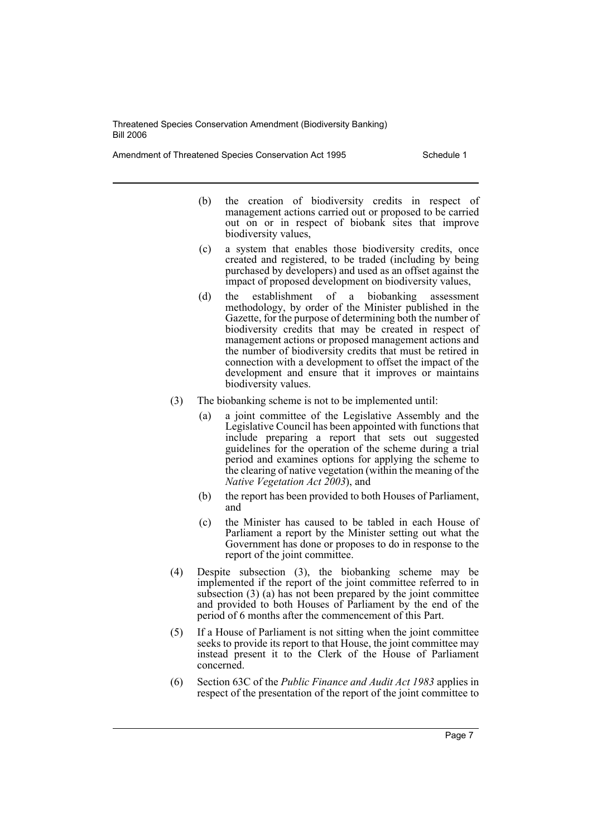Amendment of Threatened Species Conservation Act 1995 Schedule 1

- (b) the creation of biodiversity credits in respect of management actions carried out or proposed to be carried out on or in respect of biobank sites that improve biodiversity values,
- (c) a system that enables those biodiversity credits, once created and registered, to be traded (including by being purchased by developers) and used as an offset against the impact of proposed development on biodiversity values,
- (d) the establishment of a biobanking assessment methodology, by order of the Minister published in the Gazette, for the purpose of determining both the number of biodiversity credits that may be created in respect of management actions or proposed management actions and the number of biodiversity credits that must be retired in connection with a development to offset the impact of the development and ensure that it improves or maintains biodiversity values.
- (3) The biobanking scheme is not to be implemented until:
	- (a) a joint committee of the Legislative Assembly and the Legislative Council has been appointed with functions that include preparing a report that sets out suggested guidelines for the operation of the scheme during a trial period and examines options for applying the scheme to the clearing of native vegetation (within the meaning of the *Native Vegetation Act 2003*), and
	- (b) the report has been provided to both Houses of Parliament, and
	- (c) the Minister has caused to be tabled in each House of Parliament a report by the Minister setting out what the Government has done or proposes to do in response to the report of the joint committee.
- (4) Despite subsection (3), the biobanking scheme may be implemented if the report of the joint committee referred to in subsection (3) (a) has not been prepared by the joint committee and provided to both Houses of Parliament by the end of the period of 6 months after the commencement of this Part.
- (5) If a House of Parliament is not sitting when the joint committee seeks to provide its report to that House, the joint committee may instead present it to the Clerk of the House of Parliament concerned.
- (6) Section 63C of the *Public Finance and Audit Act 1983* applies in respect of the presentation of the report of the joint committee to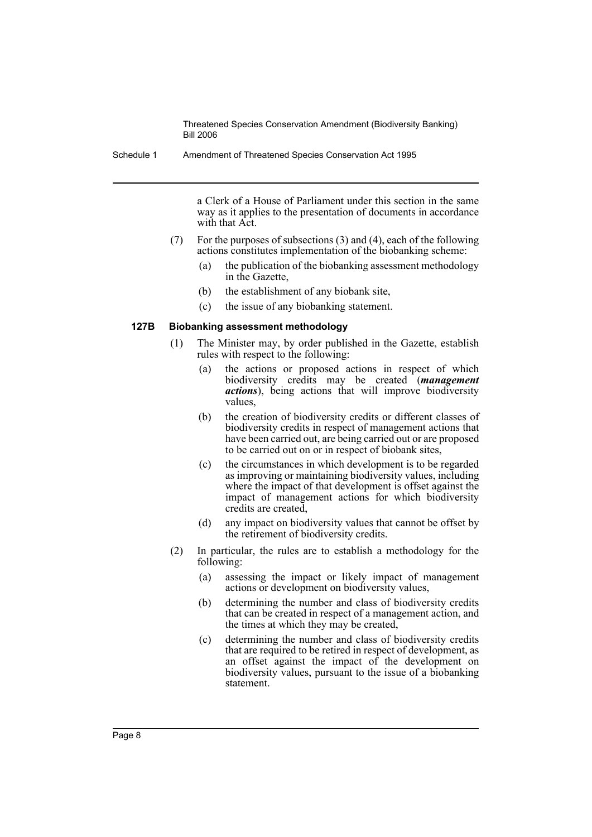Schedule 1 Amendment of Threatened Species Conservation Act 1995

a Clerk of a House of Parliament under this section in the same way as it applies to the presentation of documents in accordance with that Act.

- (7) For the purposes of subsections (3) and (4), each of the following actions constitutes implementation of the biobanking scheme:
	- (a) the publication of the biobanking assessment methodology in the Gazette,
	- (b) the establishment of any biobank site,
	- (c) the issue of any biobanking statement.

#### **127B Biobanking assessment methodology**

- (1) The Minister may, by order published in the Gazette, establish rules with respect to the following:
	- (a) the actions or proposed actions in respect of which biodiversity credits may be created (*management actions*), being actions that will improve biodiversity values,
	- (b) the creation of biodiversity credits or different classes of biodiversity credits in respect of management actions that have been carried out, are being carried out or are proposed to be carried out on or in respect of biobank sites,
	- (c) the circumstances in which development is to be regarded as improving or maintaining biodiversity values, including where the impact of that development is offset against the impact of management actions for which biodiversity credits are created,
	- (d) any impact on biodiversity values that cannot be offset by the retirement of biodiversity credits.
- (2) In particular, the rules are to establish a methodology for the following:
	- (a) assessing the impact or likely impact of management actions or development on biodiversity values,
	- (b) determining the number and class of biodiversity credits that can be created in respect of a management action, and the times at which they may be created,
	- (c) determining the number and class of biodiversity credits that are required to be retired in respect of development, as an offset against the impact of the development on biodiversity values, pursuant to the issue of a biobanking statement.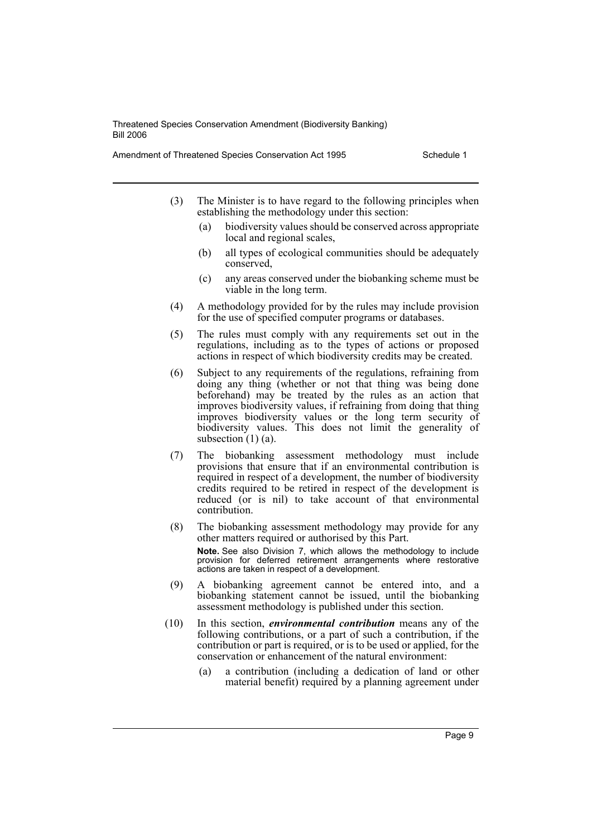Amendment of Threatened Species Conservation Act 1995 Schedule 1

- (3) The Minister is to have regard to the following principles when establishing the methodology under this section:
	- (a) biodiversity values should be conserved across appropriate local and regional scales,
	- (b) all types of ecological communities should be adequately conserved,
	- (c) any areas conserved under the biobanking scheme must be viable in the long term.
- (4) A methodology provided for by the rules may include provision for the use of specified computer programs or databases.
- (5) The rules must comply with any requirements set out in the regulations, including as to the types of actions or proposed actions in respect of which biodiversity credits may be created.
- (6) Subject to any requirements of the regulations, refraining from doing any thing (whether or not that thing was being done beforehand) may be treated by the rules as an action that improves biodiversity values, if refraining from doing that thing improves biodiversity values or the long term security of biodiversity values. This does not limit the generality of subsection  $(1)$  (a).
- (7) The biobanking assessment methodology must include provisions that ensure that if an environmental contribution is required in respect of a development, the number of biodiversity credits required to be retired in respect of the development is reduced (or is nil) to take account of that environmental contribution.
- (8) The biobanking assessment methodology may provide for any other matters required or authorised by this Part. **Note.** See also Division 7, which allows the methodology to include provision for deferred retirement arrangements where restorative actions are taken in respect of a development.
- (9) A biobanking agreement cannot be entered into, and a biobanking statement cannot be issued, until the biobanking assessment methodology is published under this section.
- (10) In this section, *environmental contribution* means any of the following contributions, or a part of such a contribution, if the contribution or part is required, or is to be used or applied, for the conservation or enhancement of the natural environment:
	- (a) a contribution (including a dedication of land or other material benefit) required by a planning agreement under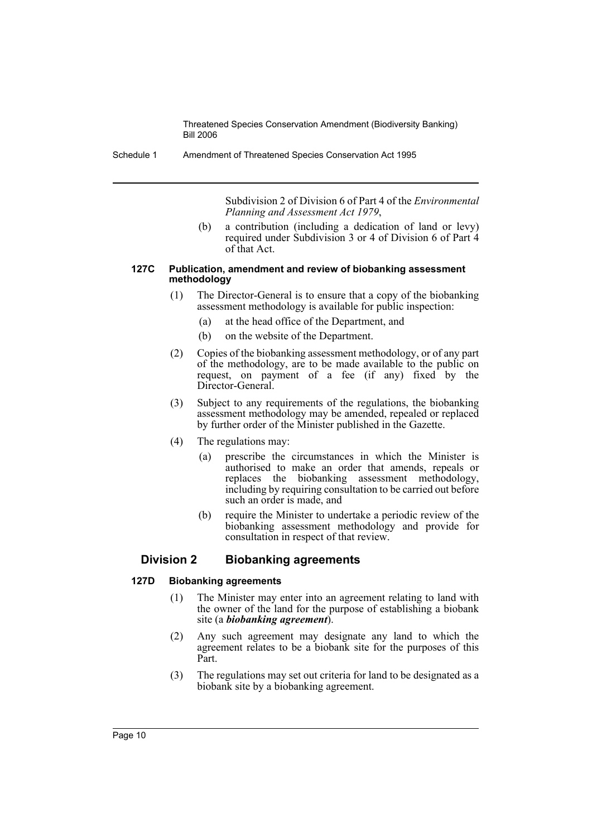Schedule 1 Amendment of Threatened Species Conservation Act 1995

Subdivision 2 of Division 6 of Part 4 of the *Environmental Planning and Assessment Act 1979*,

(b) a contribution (including a dedication of land or levy) required under Subdivision 3 or 4 of Division 6 of Part 4 of that Act.

#### **127C Publication, amendment and review of biobanking assessment methodology**

- (1) The Director-General is to ensure that a copy of the biobanking assessment methodology is available for public inspection:
	- (a) at the head office of the Department, and
	- (b) on the website of the Department.
- (2) Copies of the biobanking assessment methodology, or of any part of the methodology, are to be made available to the public on request, on payment of a fee (if any) fixed by the Director-General.
- (3) Subject to any requirements of the regulations, the biobanking assessment methodology may be amended, repealed or replaced by further order of the Minister published in the Gazette.
- (4) The regulations may:
	- (a) prescribe the circumstances in which the Minister is authorised to make an order that amends, repeals or replaces the biobanking assessment methodology, including by requiring consultation to be carried out before such an order is made, and
	- (b) require the Minister to undertake a periodic review of the biobanking assessment methodology and provide for consultation in respect of that review.

## **Division 2 Biobanking agreements**

#### **127D Biobanking agreements**

- (1) The Minister may enter into an agreement relating to land with the owner of the land for the purpose of establishing a biobank site (a *biobanking agreement*).
- (2) Any such agreement may designate any land to which the agreement relates to be a biobank site for the purposes of this Part.
- (3) The regulations may set out criteria for land to be designated as a biobank site by a biobanking agreement.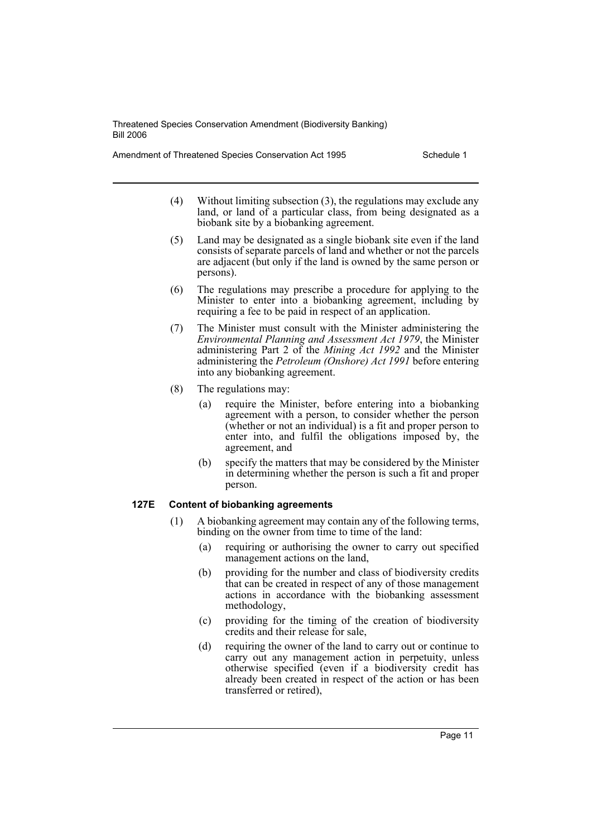Amendment of Threatened Species Conservation Act 1995 Schedule 1

- (4) Without limiting subsection (3), the regulations may exclude any land, or land of a particular class, from being designated as a biobank site by a biobanking agreement.
- (5) Land may be designated as a single biobank site even if the land consists of separate parcels of land and whether or not the parcels are adjacent (but only if the land is owned by the same person or persons).
- (6) The regulations may prescribe a procedure for applying to the Minister to enter into a biobanking agreement, including by requiring a fee to be paid in respect of an application.
- (7) The Minister must consult with the Minister administering the *Environmental Planning and Assessment Act 1979*, the Minister administering Part 2 of the *Mining Act 1992* and the Minister administering the *Petroleum (Onshore) Act 1991* before entering into any biobanking agreement.
- (8) The regulations may:
	- (a) require the Minister, before entering into a biobanking agreement with a person, to consider whether the person (whether or not an individual) is a fit and proper person to enter into, and fulfil the obligations imposed by, the agreement, and
	- (b) specify the matters that may be considered by the Minister in determining whether the person is such a fit and proper person.

## **127E Content of biobanking agreements**

- (1) A biobanking agreement may contain any of the following terms, binding on the owner from time to time of the land:
	- (a) requiring or authorising the owner to carry out specified management actions on the land,
	- (b) providing for the number and class of biodiversity credits that can be created in respect of any of those management actions in accordance with the biobanking assessment methodology,
	- (c) providing for the timing of the creation of biodiversity credits and their release for sale,
	- (d) requiring the owner of the land to carry out or continue to carry out any management action in perpetuity, unless otherwise specified (even if a biodiversity credit has already been created in respect of the action or has been transferred or retired),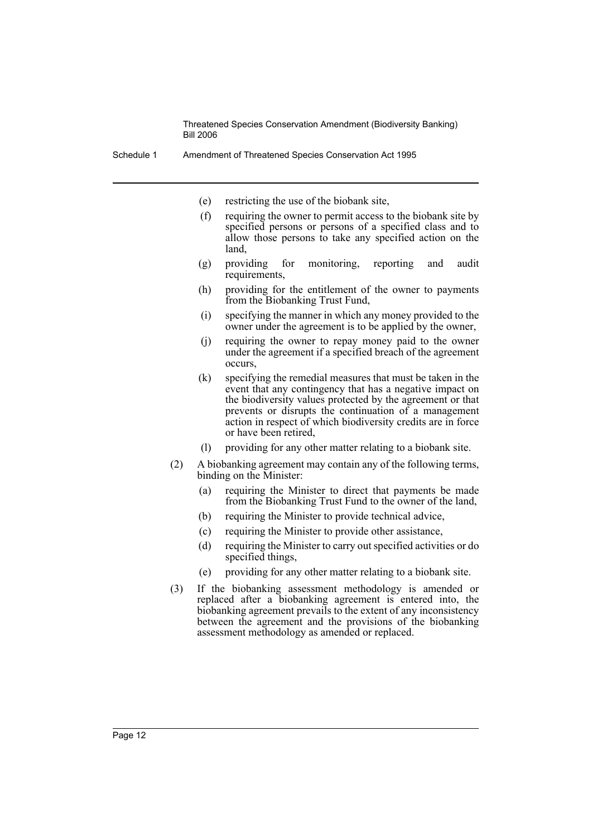- (e) restricting the use of the biobank site,
- (f) requiring the owner to permit access to the biobank site by specified persons or persons of a specified class and to allow those persons to take any specified action on the land,
- (g) providing for monitoring, reporting and audit requirements,
- (h) providing for the entitlement of the owner to payments from the Biobanking Trust Fund,
- (i) specifying the manner in which any money provided to the owner under the agreement is to be applied by the owner,
- (j) requiring the owner to repay money paid to the owner under the agreement if a specified breach of the agreement occurs,
- (k) specifying the remedial measures that must be taken in the event that any contingency that has a negative impact on the biodiversity values protected by the agreement or that prevents or disrupts the continuation of a management action in respect of which biodiversity credits are in force or have been retired,
- (l) providing for any other matter relating to a biobank site.
- (2) A biobanking agreement may contain any of the following terms, binding on the Minister:
	- (a) requiring the Minister to direct that payments be made from the Biobanking Trust Fund to the owner of the land,
	- (b) requiring the Minister to provide technical advice,
	- (c) requiring the Minister to provide other assistance,
	- (d) requiring the Minister to carry out specified activities or do specified things,
	- (e) providing for any other matter relating to a biobank site.
- (3) If the biobanking assessment methodology is amended or replaced after a biobanking agreement is entered into, the biobanking agreement prevails to the extent of any inconsistency between the agreement and the provisions of the biobanking assessment methodology as amended or replaced.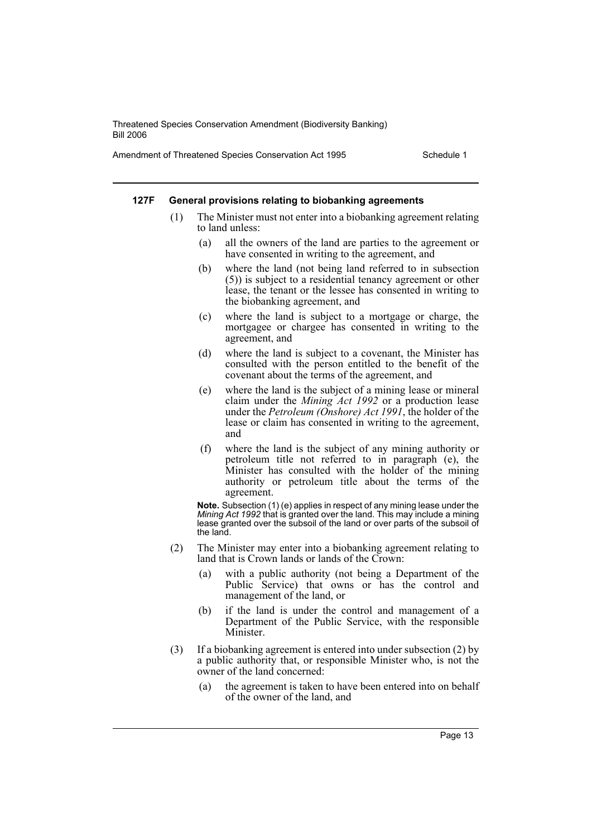Amendment of Threatened Species Conservation Act 1995 Schedule 1

#### **127F General provisions relating to biobanking agreements**

- (1) The Minister must not enter into a biobanking agreement relating to land unless:
	- (a) all the owners of the land are parties to the agreement or have consented in writing to the agreement, and
	- (b) where the land (not being land referred to in subsection (5)) is subject to a residential tenancy agreement or other lease, the tenant or the lessee has consented in writing to the biobanking agreement, and
	- (c) where the land is subject to a mortgage or charge, the mortgagee or chargee has consented in writing to the agreement, and
	- (d) where the land is subject to a covenant, the Minister has consulted with the person entitled to the benefit of the covenant about the terms of the agreement, and
	- (e) where the land is the subject of a mining lease or mineral claim under the *Mining Act 1992* or a production lease under the *Petroleum (Onshore) Act 1991*, the holder of the lease or claim has consented in writing to the agreement, and
	- (f) where the land is the subject of any mining authority or petroleum title not referred to in paragraph (e), the Minister has consulted with the holder of the mining authority or petroleum title about the terms of the agreement.

**Note.** Subsection (1) (e) applies in respect of any mining lease under the *Mining Act 1992* that is granted over the land. This may include a mining lease granted over the subsoil of the land or over parts of the subsoil of the land.

- (2) The Minister may enter into a biobanking agreement relating to land that is Crown lands or lands of the Crown:
	- (a) with a public authority (not being a Department of the Public Service) that owns or has the control and management of the land, or
	- (b) if the land is under the control and management of a Department of the Public Service, with the responsible Minister.
- (3) If a biobanking agreement is entered into under subsection (2) by a public authority that, or responsible Minister who, is not the owner of the land concerned:
	- (a) the agreement is taken to have been entered into on behalf of the owner of the land, and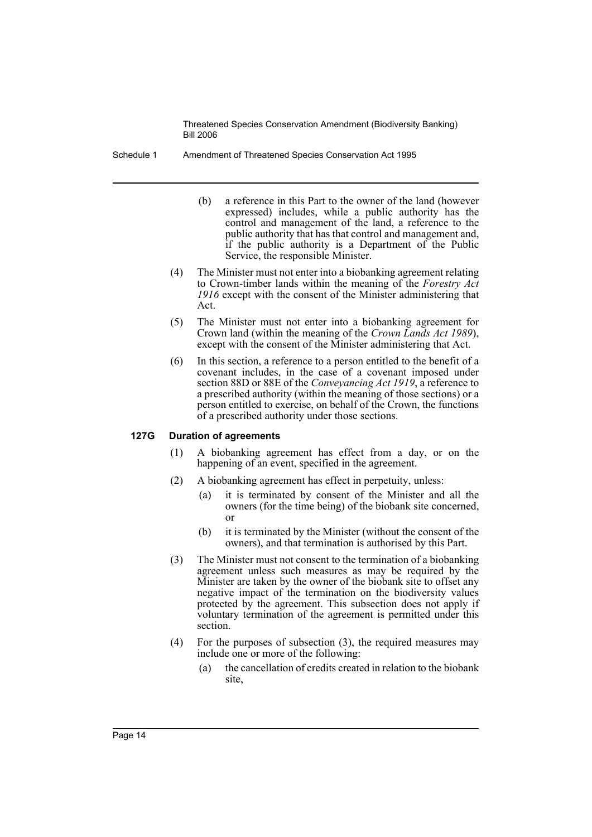Schedule 1 Amendment of Threatened Species Conservation Act 1995

- (b) a reference in this Part to the owner of the land (however expressed) includes, while a public authority has the control and management of the land, a reference to the public authority that has that control and management and, if the public authority is a Department of the Public Service, the responsible Minister.
- (4) The Minister must not enter into a biobanking agreement relating to Crown-timber lands within the meaning of the *Forestry Act 1916* except with the consent of the Minister administering that Act.
- (5) The Minister must not enter into a biobanking agreement for Crown land (within the meaning of the *Crown Lands Act 1989*), except with the consent of the Minister administering that Act.
- (6) In this section, a reference to a person entitled to the benefit of a covenant includes, in the case of a covenant imposed under section 88D or 88E of the *Conveyancing Act 1919*, a reference to a prescribed authority (within the meaning of those sections) or a person entitled to exercise, on behalf of the Crown, the functions of a prescribed authority under those sections.

#### **127G Duration of agreements**

- (1) A biobanking agreement has effect from a day, or on the happening of an event, specified in the agreement.
- (2) A biobanking agreement has effect in perpetuity, unless:
	- (a) it is terminated by consent of the Minister and all the owners (for the time being) of the biobank site concerned, or
	- (b) it is terminated by the Minister (without the consent of the owners), and that termination is authorised by this Part.
- (3) The Minister must not consent to the termination of a biobanking agreement unless such measures as may be required by the Minister are taken by the owner of the biobank site to offset any negative impact of the termination on the biodiversity values protected by the agreement. This subsection does not apply if voluntary termination of the agreement is permitted under this section.
- (4) For the purposes of subsection (3), the required measures may include one or more of the following:
	- (a) the cancellation of credits created in relation to the biobank site,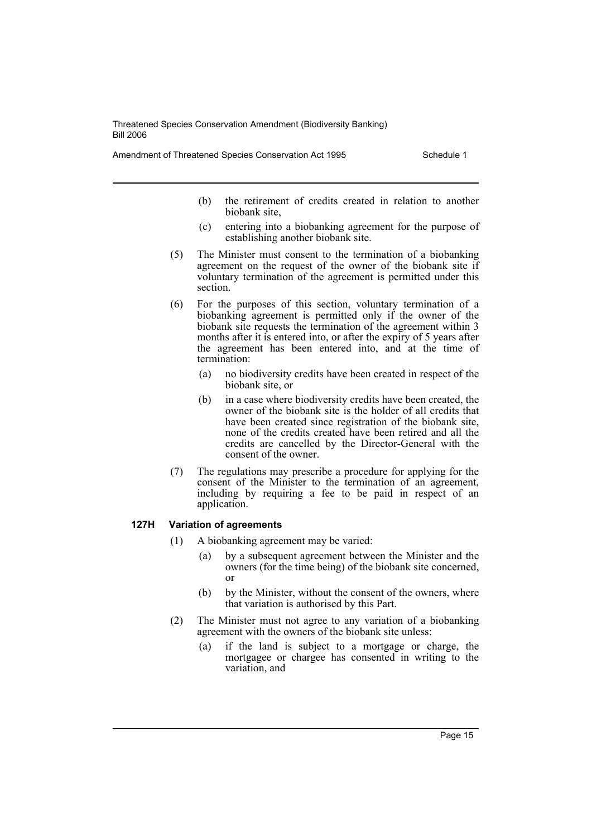Amendment of Threatened Species Conservation Act 1995 Schedule 1

- (b) the retirement of credits created in relation to another biobank site,
- (c) entering into a biobanking agreement for the purpose of establishing another biobank site.
- (5) The Minister must consent to the termination of a biobanking agreement on the request of the owner of the biobank site if voluntary termination of the agreement is permitted under this section.
- (6) For the purposes of this section, voluntary termination of a biobanking agreement is permitted only if the owner of the biobank site requests the termination of the agreement within 3 months after it is entered into, or after the expiry of 5 years after the agreement has been entered into, and at the time of termination:
	- (a) no biodiversity credits have been created in respect of the biobank site, or
	- (b) in a case where biodiversity credits have been created, the owner of the biobank site is the holder of all credits that have been created since registration of the biobank site, none of the credits created have been retired and all the credits are cancelled by the Director-General with the consent of the owner.
- (7) The regulations may prescribe a procedure for applying for the consent of the Minister to the termination of an agreement, including by requiring a fee to be paid in respect of an application.

#### **127H Variation of agreements**

- (1) A biobanking agreement may be varied:
	- (a) by a subsequent agreement between the Minister and the owners (for the time being) of the biobank site concerned, or
	- (b) by the Minister, without the consent of the owners, where that variation is authorised by this Part.
- (2) The Minister must not agree to any variation of a biobanking agreement with the owners of the biobank site unless:
	- (a) if the land is subject to a mortgage or charge, the mortgagee or chargee has consented in writing to the variation, and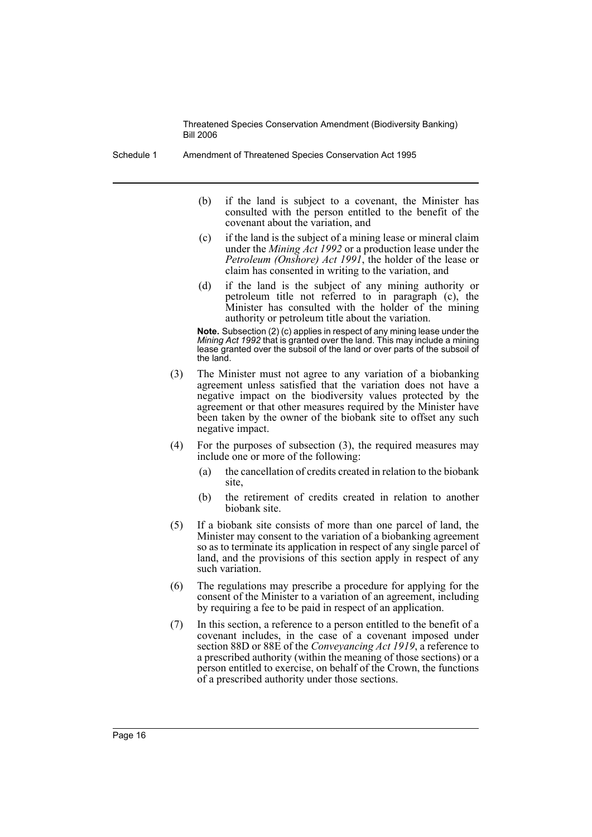Schedule 1 Amendment of Threatened Species Conservation Act 1995

- (b) if the land is subject to a covenant, the Minister has consulted with the person entitled to the benefit of the covenant about the variation, and
- (c) if the land is the subject of a mining lease or mineral claim under the *Mining Act 1992* or a production lease under the *Petroleum (Onshore) Act 1991*, the holder of the lease or claim has consented in writing to the variation, and
- (d) if the land is the subject of any mining authority or petroleum title not referred to in paragraph (c), the Minister has consulted with the holder of the mining authority or petroleum title about the variation.

**Note.** Subsection (2) (c) applies in respect of any mining lease under the *Mining Act 1992* that is granted over the land. This may include a mining lease granted over the subsoil of the land or over parts of the subsoil of the land.

- (3) The Minister must not agree to any variation of a biobanking agreement unless satisfied that the variation does not have a negative impact on the biodiversity values protected by the agreement or that other measures required by the Minister have been taken by the owner of the biobank site to offset any such negative impact.
- (4) For the purposes of subsection (3), the required measures may include one or more of the following:
	- (a) the cancellation of credits created in relation to the biobank site,
	- (b) the retirement of credits created in relation to another biobank site.
- (5) If a biobank site consists of more than one parcel of land, the Minister may consent to the variation of a biobanking agreement so as to terminate its application in respect of any single parcel of land, and the provisions of this section apply in respect of any such variation.
- (6) The regulations may prescribe a procedure for applying for the consent of the Minister to a variation of an agreement, including by requiring a fee to be paid in respect of an application.
- (7) In this section, a reference to a person entitled to the benefit of a covenant includes, in the case of a covenant imposed under section 88D or 88E of the *Conveyancing Act 1919*, a reference to a prescribed authority (within the meaning of those sections) or a person entitled to exercise, on behalf of the Crown, the functions of a prescribed authority under those sections.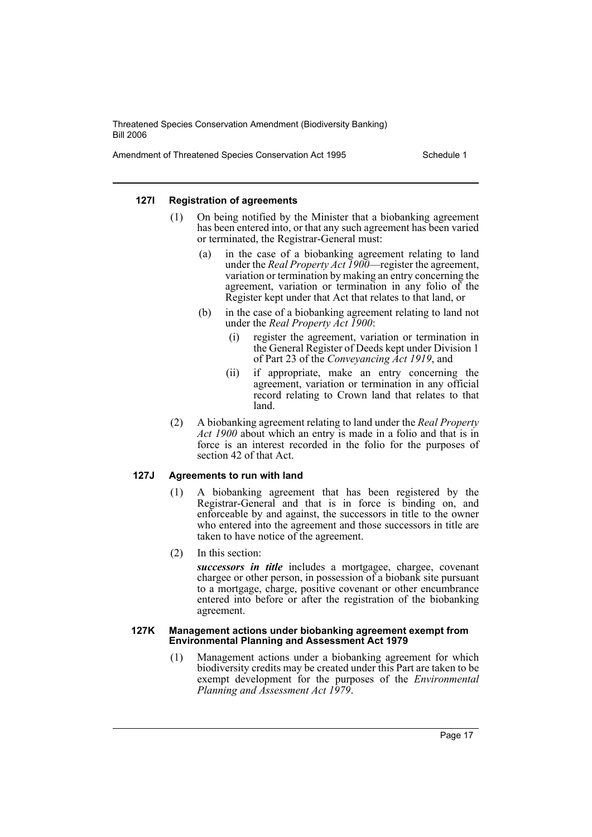Amendment of Threatened Species Conservation Act 1995 Schedule 1

#### **127I Registration of agreements**

- (1) On being notified by the Minister that a biobanking agreement has been entered into, or that any such agreement has been varied or terminated, the Registrar-General must:
	- (a) in the case of a biobanking agreement relating to land under the *Real Property Act 1900*—register the agreement, variation or termination by making an entry concerning the agreement, variation or termination in any folio of the Register kept under that Act that relates to that land, or
	- (b) in the case of a biobanking agreement relating to land not under the *Real Property Act 1900*:
		- (i) register the agreement, variation or termination in the General Register of Deeds kept under Division 1 of Part 23 of the *Conveyancing Act 1919*, and
		- (ii) if appropriate, make an entry concerning the agreement, variation or termination in any official record relating to Crown land that relates to that land.
- (2) A biobanking agreement relating to land under the *Real Property Act 1900* about which an entry is made in a folio and that is in force is an interest recorded in the folio for the purposes of section 42 of that Act.

## **127J Agreements to run with land**

- (1) A biobanking agreement that has been registered by the Registrar-General and that is in force is binding on, and enforceable by and against, the successors in title to the owner who entered into the agreement and those successors in title are taken to have notice of the agreement.
- (2) In this section:

*successors in title* includes a mortgagee, chargee, covenant chargee or other person, in possession of a biobank site pursuant to a mortgage, charge, positive covenant or other encumbrance entered into before or after the registration of the biobanking agreement.

#### **127K Management actions under biobanking agreement exempt from Environmental Planning and Assessment Act 1979**

(1) Management actions under a biobanking agreement for which biodiversity credits may be created under this Part are taken to be exempt development for the purposes of the *Environmental Planning and Assessment Act 1979*.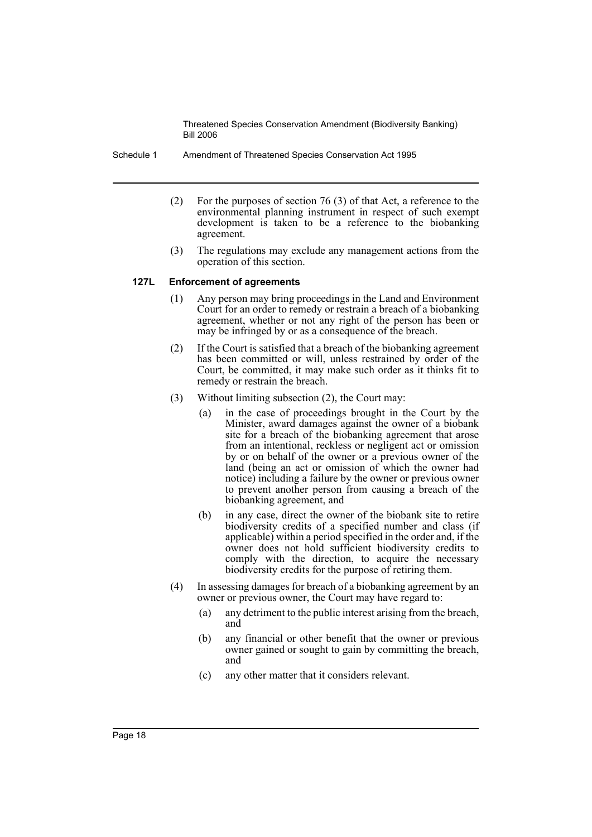Schedule 1 Amendment of Threatened Species Conservation Act 1995

- (2) For the purposes of section 76 (3) of that Act, a reference to the environmental planning instrument in respect of such exempt development is taken to be a reference to the biobanking agreement.
- (3) The regulations may exclude any management actions from the operation of this section.

#### **127L Enforcement of agreements**

- (1) Any person may bring proceedings in the Land and Environment Court for an order to remedy or restrain a breach of a biobanking agreement, whether or not any right of the person has been or may be infringed by or as a consequence of the breach.
- (2) If the Court is satisfied that a breach of the biobanking agreement has been committed or will, unless restrained by order of the Court, be committed, it may make such order as it thinks fit to remedy or restrain the breach.
- (3) Without limiting subsection (2), the Court may:
	- (a) in the case of proceedings brought in the Court by the Minister, award damages against the owner of a biobank site for a breach of the biobanking agreement that arose from an intentional, reckless or negligent act or omission by or on behalf of the owner or a previous owner of the land (being an act or omission of which the owner had notice) including a failure by the owner or previous owner to prevent another person from causing a breach of the biobanking agreement, and
	- (b) in any case, direct the owner of the biobank site to retire biodiversity credits of a specified number and class (if applicable) within a period specified in the order and, if the owner does not hold sufficient biodiversity credits to comply with the direction, to acquire the necessary biodiversity credits for the purpose of retiring them.
- (4) In assessing damages for breach of a biobanking agreement by an owner or previous owner, the Court may have regard to:
	- (a) any detriment to the public interest arising from the breach, and
	- (b) any financial or other benefit that the owner or previous owner gained or sought to gain by committing the breach, and
	- (c) any other matter that it considers relevant.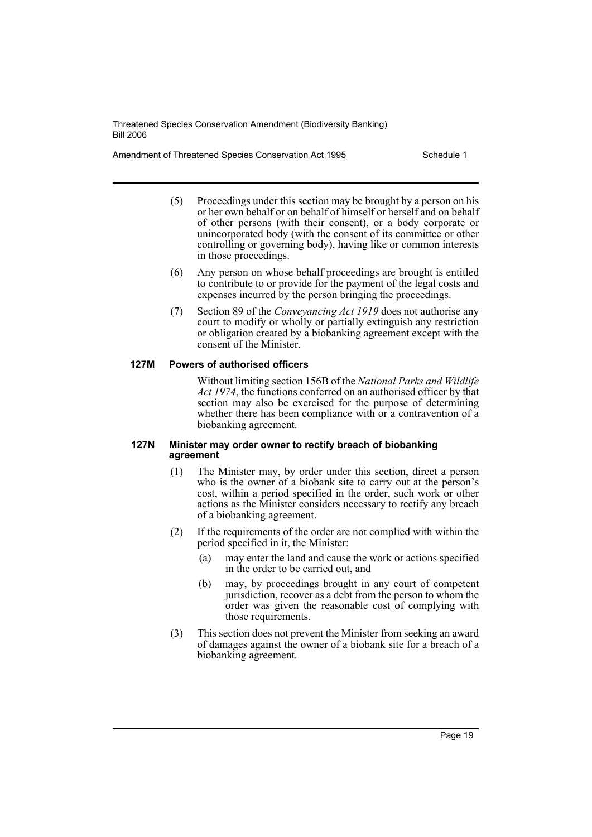Amendment of Threatened Species Conservation Act 1995 Schedule 1

- (5) Proceedings under this section may be brought by a person on his or her own behalf or on behalf of himself or herself and on behalf of other persons (with their consent), or a body corporate or unincorporated body (with the consent of its committee or other controlling or governing body), having like or common interests in those proceedings.
- (6) Any person on whose behalf proceedings are brought is entitled to contribute to or provide for the payment of the legal costs and expenses incurred by the person bringing the proceedings.
- (7) Section 89 of the *Conveyancing Act 1919* does not authorise any court to modify or wholly or partially extinguish any restriction or obligation created by a biobanking agreement except with the consent of the Minister.

## **127M Powers of authorised officers**

Without limiting section 156B of the *National Parks and Wildlife Act 1974*, the functions conferred on an authorised officer by that section may also be exercised for the purpose of determining whether there has been compliance with or a contravention of a biobanking agreement.

#### **127N Minister may order owner to rectify breach of biobanking agreement**

- (1) The Minister may, by order under this section, direct a person who is the owner of a biobank site to carry out at the person's cost, within a period specified in the order, such work or other actions as the Minister considers necessary to rectify any breach of a biobanking agreement.
- (2) If the requirements of the order are not complied with within the period specified in it, the Minister:
	- (a) may enter the land and cause the work or actions specified in the order to be carried out, and
	- (b) may, by proceedings brought in any court of competent jurisdiction, recover as a debt from the person to whom the order was given the reasonable cost of complying with those requirements.
- (3) This section does not prevent the Minister from seeking an award of damages against the owner of a biobank site for a breach of a biobanking agreement.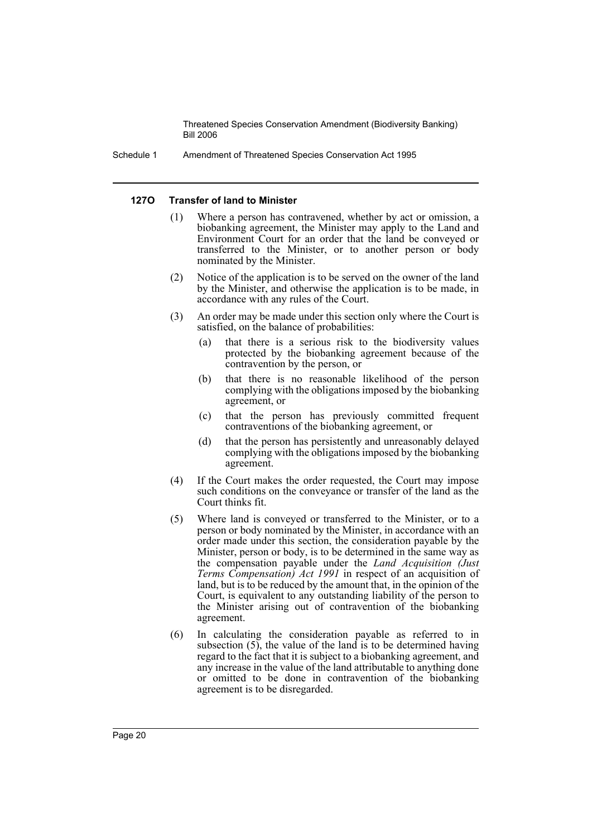Schedule 1 Amendment of Threatened Species Conservation Act 1995

#### **127O Transfer of land to Minister**

- (1) Where a person has contravened, whether by act or omission, a biobanking agreement, the Minister may apply to the Land and Environment Court for an order that the land be conveyed or transferred to the Minister, or to another person or body nominated by the Minister.
- (2) Notice of the application is to be served on the owner of the land by the Minister, and otherwise the application is to be made, in accordance with any rules of the Court.
- (3) An order may be made under this section only where the Court is satisfied, on the balance of probabilities:
	- (a) that there is a serious risk to the biodiversity values protected by the biobanking agreement because of the contravention by the person, or
	- (b) that there is no reasonable likelihood of the person complying with the obligations imposed by the biobanking agreement, or
	- (c) that the person has previously committed frequent contraventions of the biobanking agreement, or
	- (d) that the person has persistently and unreasonably delayed complying with the obligations imposed by the biobanking agreement.
- (4) If the Court makes the order requested, the Court may impose such conditions on the conveyance or transfer of the land as the Court thinks fit.
- (5) Where land is conveyed or transferred to the Minister, or to a person or body nominated by the Minister, in accordance with an order made under this section, the consideration payable by the Minister, person or body, is to be determined in the same way as the compensation payable under the *Land Acquisition (Just Terms Compensation) Act 1991* in respect of an acquisition of land, but is to be reduced by the amount that, in the opinion of the Court, is equivalent to any outstanding liability of the person to the Minister arising out of contravention of the biobanking agreement.
- (6) In calculating the consideration payable as referred to in subsection (5), the value of the land is to be determined having regard to the fact that it is subject to a biobanking agreement, and any increase in the value of the land attributable to anything done or omitted to be done in contravention of the biobanking agreement is to be disregarded.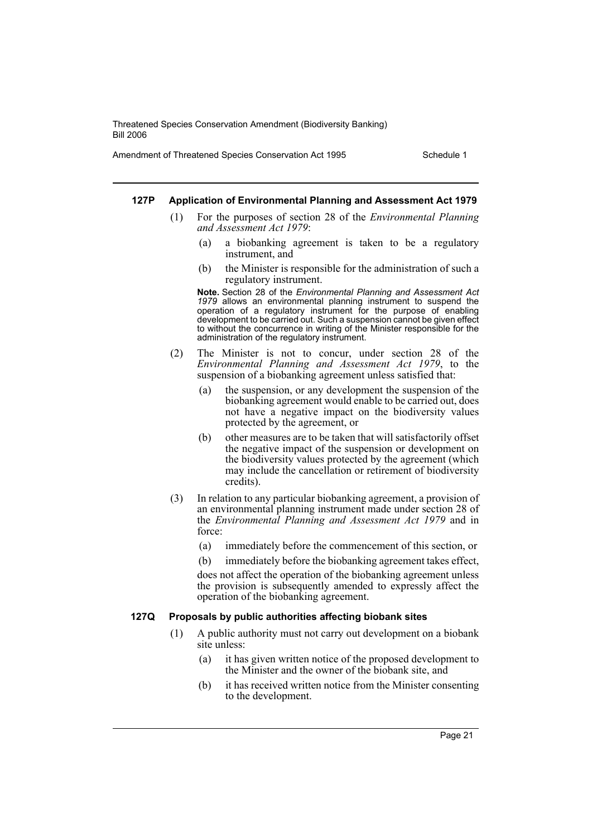Amendment of Threatened Species Conservation Act 1995 Schedule 1

#### **127P Application of Environmental Planning and Assessment Act 1979**

- (1) For the purposes of section 28 of the *Environmental Planning and Assessment Act 1979*:
	- (a) a biobanking agreement is taken to be a regulatory instrument, and
	- (b) the Minister is responsible for the administration of such a regulatory instrument.

**Note.** Section 28 of the *Environmental Planning and Assessment Act 1979* allows an environmental planning instrument to suspend the operation of a regulatory instrument for the purpose of enabling development to be carried out. Such a suspension cannot be given effect to without the concurrence in writing of the Minister responsible for the administration of the regulatory instrument.

- (2) The Minister is not to concur, under section 28 of the *Environmental Planning and Assessment Act 1979*, to the suspension of a biobanking agreement unless satisfied that:
	- (a) the suspension, or any development the suspension of the biobanking agreement would enable to be carried out, does not have a negative impact on the biodiversity values protected by the agreement, or
	- (b) other measures are to be taken that will satisfactorily offset the negative impact of the suspension or development on the biodiversity values protected by the agreement (which may include the cancellation or retirement of biodiversity credits).
- (3) In relation to any particular biobanking agreement, a provision of an environmental planning instrument made under section 28 of the *Environmental Planning and Assessment Act 1979* and in force:
	- (a) immediately before the commencement of this section, or
	- (b) immediately before the biobanking agreement takes effect,

does not affect the operation of the biobanking agreement unless the provision is subsequently amended to expressly affect the operation of the biobanking agreement.

#### **127Q Proposals by public authorities affecting biobank sites**

- (1) A public authority must not carry out development on a biobank site unless:
	- (a) it has given written notice of the proposed development to the Minister and the owner of the biobank site, and
	- (b) it has received written notice from the Minister consenting to the development.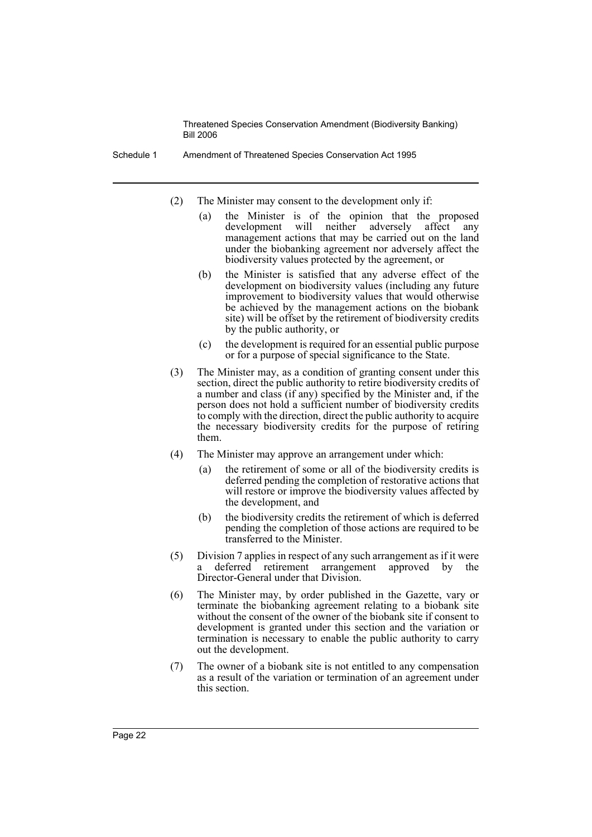Schedule 1 Amendment of Threatened Species Conservation Act 1995

- (2) The Minister may consent to the development only if:
	- (a) the Minister is of the opinion that the proposed<br>development will neither adversely affect any development will neither adversely affect any management actions that may be carried out on the land under the biobanking agreement nor adversely affect the biodiversity values protected by the agreement, or
	- (b) the Minister is satisfied that any adverse effect of the development on biodiversity values (including any future improvement to biodiversity values that would otherwise be achieved by the management actions on the biobank site) will be offset by the retirement of biodiversity credits by the public authority, or
	- (c) the development is required for an essential public purpose or for a purpose of special significance to the State.
- (3) The Minister may, as a condition of granting consent under this section, direct the public authority to retire biodiversity credits of a number and class (if any) specified by the Minister and, if the person does not hold a sufficient number of biodiversity credits to comply with the direction, direct the public authority to acquire the necessary biodiversity credits for the purpose of retiring them.
- (4) The Minister may approve an arrangement under which:
	- (a) the retirement of some or all of the biodiversity credits is deferred pending the completion of restorative actions that will restore or improve the biodiversity values affected by the development, and
	- (b) the biodiversity credits the retirement of which is deferred pending the completion of those actions are required to be transferred to the Minister.
- (5) Division 7 applies in respect of any such arrangement as if it were a deferred retirement arrangement approved by the Director-General under that Division.
- (6) The Minister may, by order published in the Gazette, vary or terminate the biobanking agreement relating to a biobank site without the consent of the owner of the biobank site if consent to development is granted under this section and the variation or termination is necessary to enable the public authority to carry out the development.
- (7) The owner of a biobank site is not entitled to any compensation as a result of the variation or termination of an agreement under this section.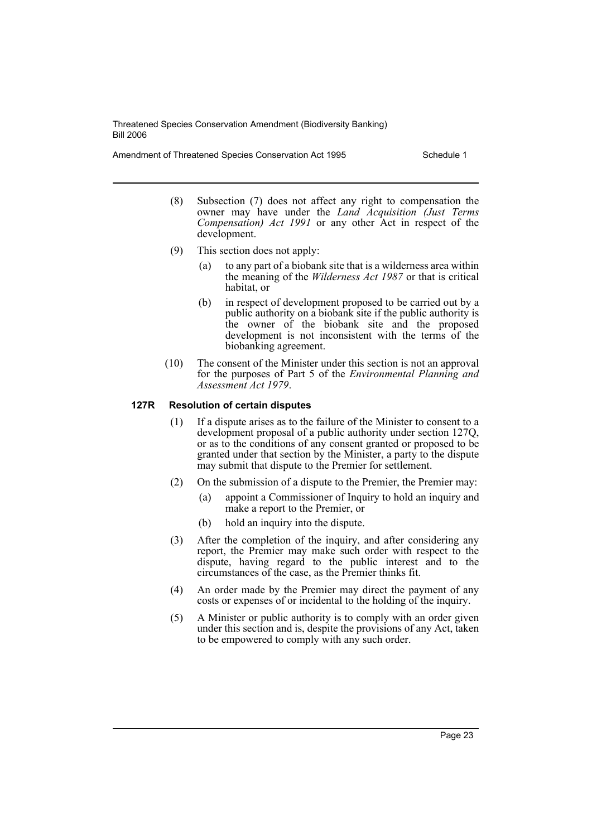Amendment of Threatened Species Conservation Act 1995 Schedule 1

- (8) Subsection (7) does not affect any right to compensation the owner may have under the *Land Acquisition (Just Terms Compensation) Act 1991* or any other Act in respect of the development.
- (9) This section does not apply:
	- (a) to any part of a biobank site that is a wilderness area within the meaning of the *Wilderness Act 1987* or that is critical habitat, or
	- (b) in respect of development proposed to be carried out by a public authority on a biobank site if the public authority is the owner of the biobank site and the proposed development is not inconsistent with the terms of the biobanking agreement.
- (10) The consent of the Minister under this section is not an approval for the purposes of Part 5 of the *Environmental Planning and Assessment Act 1979*.

### **127R Resolution of certain disputes**

- (1) If a dispute arises as to the failure of the Minister to consent to a development proposal of a public authority under section 127Q, or as to the conditions of any consent granted or proposed to be granted under that section by the Minister, a party to the dispute may submit that dispute to the Premier for settlement.
- (2) On the submission of a dispute to the Premier, the Premier may:
	- (a) appoint a Commissioner of Inquiry to hold an inquiry and make a report to the Premier, or
	- (b) hold an inquiry into the dispute.
- (3) After the completion of the inquiry, and after considering any report, the Premier may make such order with respect to the dispute, having regard to the public interest and to the circumstances of the case, as the Premier thinks fit.
- (4) An order made by the Premier may direct the payment of any costs or expenses of or incidental to the holding of the inquiry.
- (5) A Minister or public authority is to comply with an order given under this section and is, despite the provisions of any Act, taken to be empowered to comply with any such order.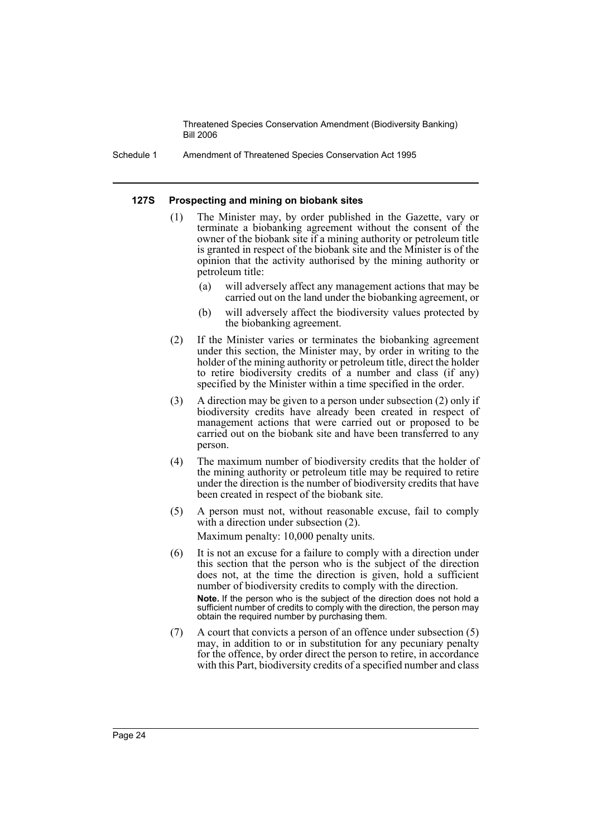Schedule 1 Amendment of Threatened Species Conservation Act 1995

#### **127S Prospecting and mining on biobank sites**

- (1) The Minister may, by order published in the Gazette, vary or terminate a biobanking agreement without the consent of the owner of the biobank site if a mining authority or petroleum title is granted in respect of the biobank site and the Minister is of the opinion that the activity authorised by the mining authority or petroleum title:
	- (a) will adversely affect any management actions that may be carried out on the land under the biobanking agreement, or
	- (b) will adversely affect the biodiversity values protected by the biobanking agreement.
- (2) If the Minister varies or terminates the biobanking agreement under this section, the Minister may, by order in writing to the holder of the mining authority or petroleum title, direct the holder to retire biodiversity credits of a number and class (if any) specified by the Minister within a time specified in the order.
- (3) A direction may be given to a person under subsection (2) only if biodiversity credits have already been created in respect of management actions that were carried out or proposed to be carried out on the biobank site and have been transferred to any person.
- (4) The maximum number of biodiversity credits that the holder of the mining authority or petroleum title may be required to retire under the direction is the number of biodiversity credits that have been created in respect of the biobank site.
- (5) A person must not, without reasonable excuse, fail to comply with a direction under subsection  $(2)$ .

Maximum penalty: 10,000 penalty units.

- (6) It is not an excuse for a failure to comply with a direction under this section that the person who is the subject of the direction does not, at the time the direction is given, hold a sufficient number of biodiversity credits to comply with the direction. **Note.** If the person who is the subject of the direction does not hold a sufficient number of credits to comply with the direction, the person may obtain the required number by purchasing them.
- (7) A court that convicts a person of an offence under subsection (5) may, in addition to or in substitution for any pecuniary penalty for the offence, by order direct the person to retire, in accordance with this Part, biodiversity credits of a specified number and class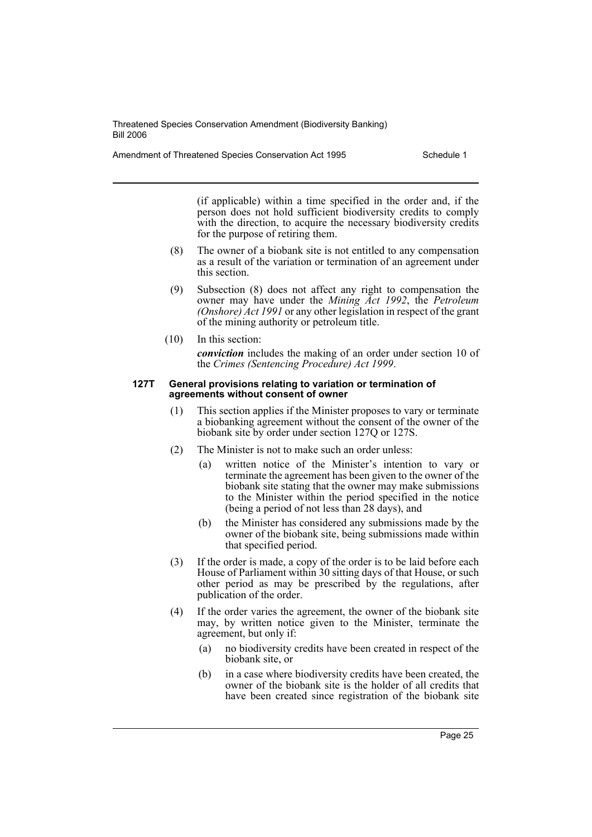Amendment of Threatened Species Conservation Act 1995 Schedule 1

(if applicable) within a time specified in the order and, if the person does not hold sufficient biodiversity credits to comply with the direction, to acquire the necessary biodiversity credits for the purpose of retiring them.

- (8) The owner of a biobank site is not entitled to any compensation as a result of the variation or termination of an agreement under this section.
- (9) Subsection (8) does not affect any right to compensation the owner may have under the *Mining Act 1992*, the *Petroleum (Onshore) Act 1991* or any other legislation in respect of the grant of the mining authority or petroleum title.
- (10) In this section: *conviction* includes the making of an order under section 10 of the *Crimes (Sentencing Procedure) Act 1999*.

#### **127T General provisions relating to variation or termination of agreements without consent of owner**

- (1) This section applies if the Minister proposes to vary or terminate a biobanking agreement without the consent of the owner of the biobank site by order under section 127Q or 127S.
- (2) The Minister is not to make such an order unless:
	- (a) written notice of the Minister's intention to vary or terminate the agreement has been given to the owner of the biobank site stating that the owner may make submissions to the Minister within the period specified in the notice (being a period of not less than 28 days), and
	- (b) the Minister has considered any submissions made by the owner of the biobank site, being submissions made within that specified period.
- (3) If the order is made, a copy of the order is to be laid before each House of Parliament within 30 sitting days of that House, or such other period as may be prescribed by the regulations, after publication of the order.
- (4) If the order varies the agreement, the owner of the biobank site may, by written notice given to the Minister, terminate the agreement, but only if:
	- (a) no biodiversity credits have been created in respect of the biobank site, or
	- (b) in a case where biodiversity credits have been created, the owner of the biobank site is the holder of all credits that have been created since registration of the biobank site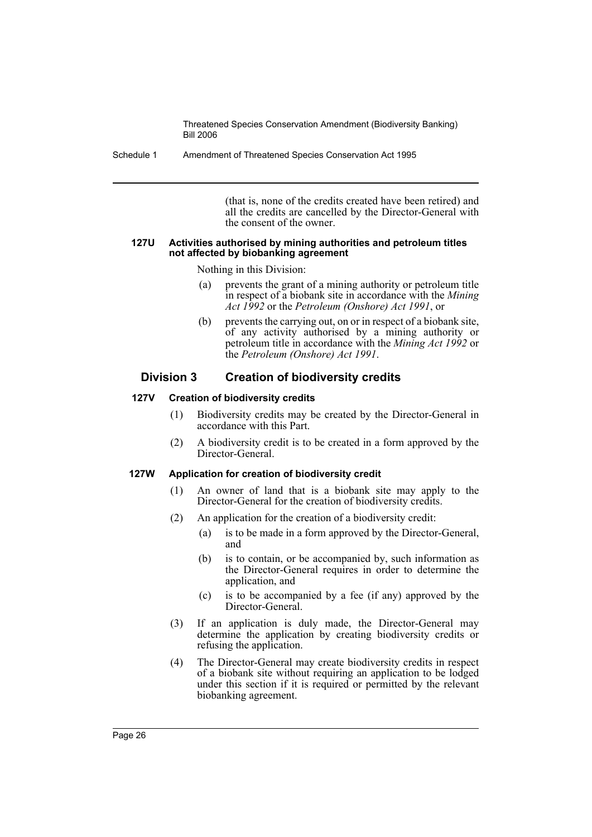Schedule 1 Amendment of Threatened Species Conservation Act 1995

(that is, none of the credits created have been retired) and all the credits are cancelled by the Director-General with the consent of the owner.

#### **127U Activities authorised by mining authorities and petroleum titles not affected by biobanking agreement**

Nothing in this Division:

- (a) prevents the grant of a mining authority or petroleum title in respect of a biobank site in accordance with the *Mining Act 1992* or the *Petroleum (Onshore) Act 1991*, or
- (b) prevents the carrying out, on or in respect of a biobank site, of any activity authorised by a mining authority or petroleum title in accordance with the *Mining Act 1992* or the *Petroleum (Onshore) Act 1991*.

## **Division 3 Creation of biodiversity credits**

## **127V Creation of biodiversity credits**

- (1) Biodiversity credits may be created by the Director-General in accordance with this Part.
- (2) A biodiversity credit is to be created in a form approved by the Director-General.

## **127W Application for creation of biodiversity credit**

- (1) An owner of land that is a biobank site may apply to the Director-General for the creation of biodiversity credits.
- (2) An application for the creation of a biodiversity credit:
	- (a) is to be made in a form approved by the Director-General, and
	- (b) is to contain, or be accompanied by, such information as the Director-General requires in order to determine the application, and
	- (c) is to be accompanied by a fee (if any) approved by the Director-General.
- (3) If an application is duly made, the Director-General may determine the application by creating biodiversity credits or refusing the application.
- (4) The Director-General may create biodiversity credits in respect of a biobank site without requiring an application to be lodged under this section if it is required or permitted by the relevant biobanking agreement.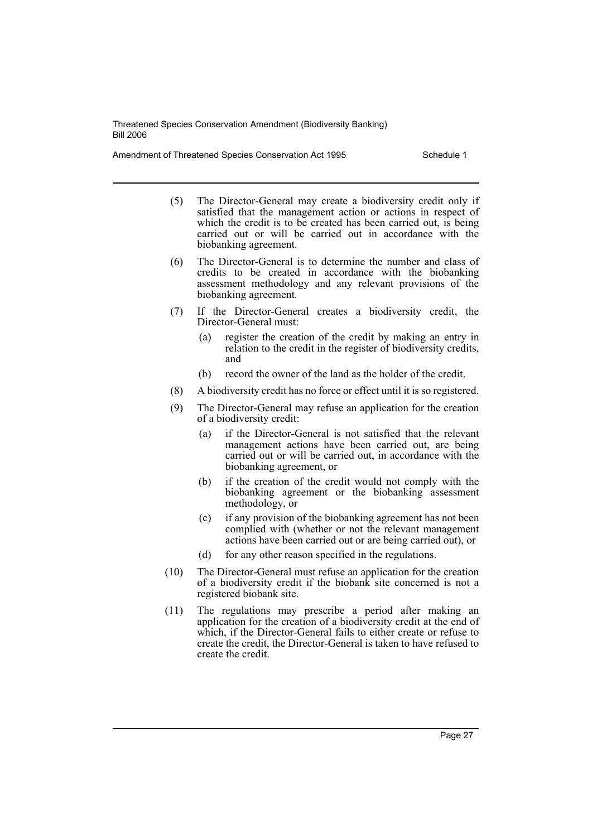Amendment of Threatened Species Conservation Act 1995 Schedule 1

- (5) The Director-General may create a biodiversity credit only if satisfied that the management action or actions in respect of which the credit is to be created has been carried out, is being carried out or will be carried out in accordance with the biobanking agreement.
- (6) The Director-General is to determine the number and class of credits to be created in accordance with the biobanking assessment methodology and any relevant provisions of the biobanking agreement.
- (7) If the Director-General creates a biodiversity credit, the Director-General must:
	- (a) register the creation of the credit by making an entry in relation to the credit in the register of biodiversity credits, and
	- (b) record the owner of the land as the holder of the credit.
- (8) A biodiversity credit has no force or effect until it is so registered.
- (9) The Director-General may refuse an application for the creation of a biodiversity credit:
	- (a) if the Director-General is not satisfied that the relevant management actions have been carried out, are being carried out or will be carried out, in accordance with the biobanking agreement, or
	- (b) if the creation of the credit would not comply with the biobanking agreement or the biobanking assessment methodology, or
	- (c) if any provision of the biobanking agreement has not been complied with (whether or not the relevant management actions have been carried out or are being carried out), or
	- (d) for any other reason specified in the regulations.
- (10) The Director-General must refuse an application for the creation of a biodiversity credit if the biobank site concerned is not a registered biobank site.
- (11) The regulations may prescribe a period after making an application for the creation of a biodiversity credit at the end of which, if the Director-General fails to either create or refuse to create the credit, the Director-General is taken to have refused to create the credit.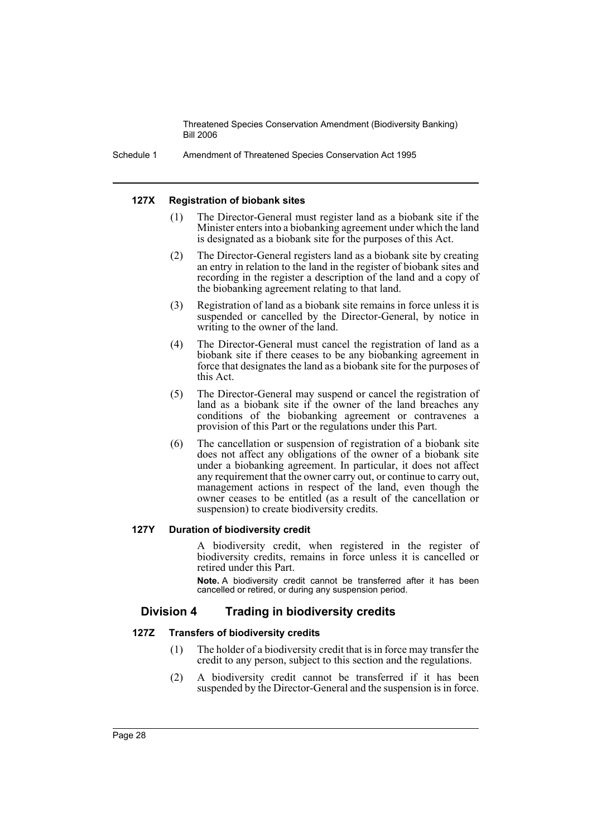Schedule 1 Amendment of Threatened Species Conservation Act 1995

#### **127X Registration of biobank sites**

- (1) The Director-General must register land as a biobank site if the Minister enters into a biobanking agreement under which the land is designated as a biobank site for the purposes of this Act.
- (2) The Director-General registers land as a biobank site by creating an entry in relation to the land in the register of biobank sites and recording in the register a description of the land and a copy of the biobanking agreement relating to that land.
- (3) Registration of land as a biobank site remains in force unless it is suspended or cancelled by the Director-General, by notice in writing to the owner of the land.
- (4) The Director-General must cancel the registration of land as a biobank site if there ceases to be any biobanking agreement in force that designates the land as a biobank site for the purposes of this Act.
- (5) The Director-General may suspend or cancel the registration of land as a biobank site if the owner of the land breaches any conditions of the biobanking agreement or contravenes a provision of this Part or the regulations under this Part.
- (6) The cancellation or suspension of registration of a biobank site does not affect any obligations of the owner of a biobank site under a biobanking agreement. In particular, it does not affect any requirement that the owner carry out, or continue to carry out, management actions in respect of the land, even though the owner ceases to be entitled (as a result of the cancellation or suspension) to create biodiversity credits.

#### **127Y Duration of biodiversity credit**

A biodiversity credit, when registered in the register of biodiversity credits, remains in force unless it is cancelled or retired under this Part.

**Note.** A biodiversity credit cannot be transferred after it has been cancelled or retired, or during any suspension period.

## **Division 4 Trading in biodiversity credits**

#### **127Z Transfers of biodiversity credits**

- (1) The holder of a biodiversity credit that is in force may transfer the credit to any person, subject to this section and the regulations.
- (2) A biodiversity credit cannot be transferred if it has been suspended by the Director-General and the suspension is in force.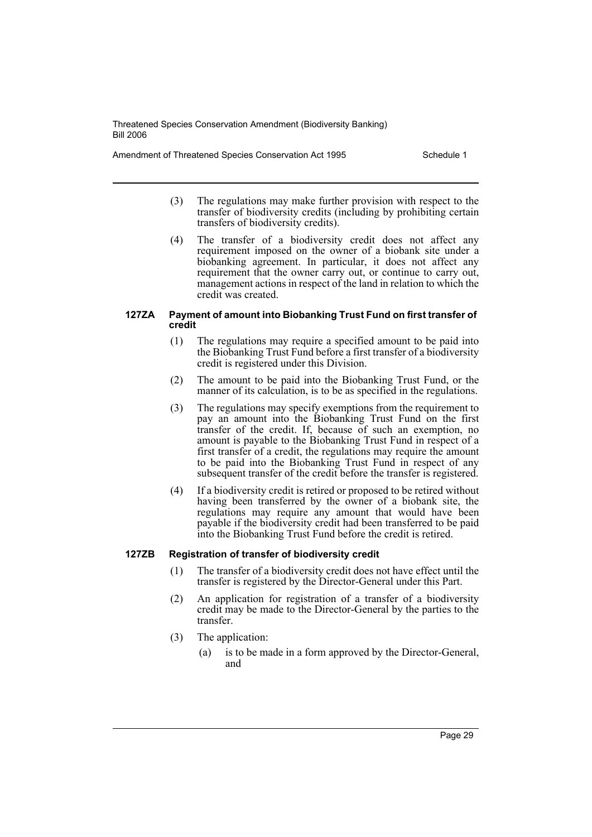Amendment of Threatened Species Conservation Act 1995 Schedule 1

- (3) The regulations may make further provision with respect to the transfer of biodiversity credits (including by prohibiting certain transfers of biodiversity credits).
- (4) The transfer of a biodiversity credit does not affect any requirement imposed on the owner of a biobank site under a biobanking agreement. In particular, it does not affect any requirement that the owner carry out, or continue to carry out, management actions in respect of the land in relation to which the credit was created.

#### **127ZA Payment of amount into Biobanking Trust Fund on first transfer of credit**

- (1) The regulations may require a specified amount to be paid into the Biobanking Trust Fund before a first transfer of a biodiversity credit is registered under this Division.
- (2) The amount to be paid into the Biobanking Trust Fund, or the manner of its calculation, is to be as specified in the regulations.
- (3) The regulations may specify exemptions from the requirement to pay an amount into the Biobanking Trust Fund on the first transfer of the credit. If, because of such an exemption, no amount is payable to the Biobanking Trust Fund in respect of a first transfer of a credit, the regulations may require the amount to be paid into the Biobanking Trust Fund in respect of any subsequent transfer of the credit before the transfer is registered.
- (4) If a biodiversity credit is retired or proposed to be retired without having been transferred by the owner of a biobank site, the regulations may require any amount that would have been payable if the biodiversity credit had been transferred to be paid into the Biobanking Trust Fund before the credit is retired.

## **127ZB Registration of transfer of biodiversity credit**

- (1) The transfer of a biodiversity credit does not have effect until the transfer is registered by the Director-General under this Part.
- (2) An application for registration of a transfer of a biodiversity credit may be made to the Director-General by the parties to the transfer.
- (3) The application:
	- (a) is to be made in a form approved by the Director-General, and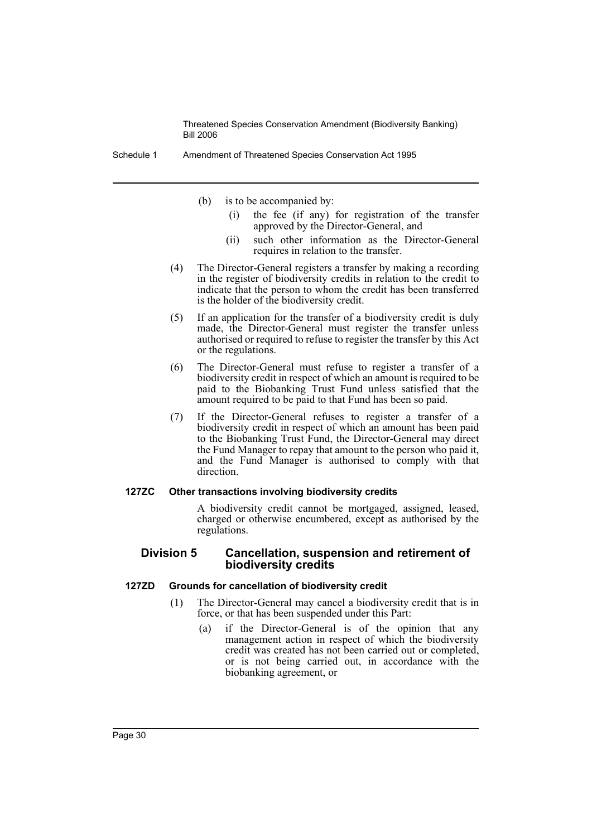Schedule 1 Amendment of Threatened Species Conservation Act 1995

- (b) is to be accompanied by:
	- (i) the fee (if any) for registration of the transfer approved by the Director-General, and
	- (ii) such other information as the Director-General requires in relation to the transfer.
- (4) The Director-General registers a transfer by making a recording in the register of biodiversity credits in relation to the credit to indicate that the person to whom the credit has been transferred is the holder of the biodiversity credit.
- (5) If an application for the transfer of a biodiversity credit is duly made, the Director-General must register the transfer unless authorised or required to refuse to register the transfer by this Act or the regulations.
- (6) The Director-General must refuse to register a transfer of a biodiversity credit in respect of which an amount is required to be paid to the Biobanking Trust Fund unless satisfied that the amount required to be paid to that Fund has been so paid.
- (7) If the Director-General refuses to register a transfer of a biodiversity credit in respect of which an amount has been paid to the Biobanking Trust Fund, the Director-General may direct the Fund Manager to repay that amount to the person who paid it, and the Fund Manager is authorised to comply with that direction.

#### **127ZC Other transactions involving biodiversity credits**

A biodiversity credit cannot be mortgaged, assigned, leased, charged or otherwise encumbered, except as authorised by the regulations.

### **Division 5 Cancellation, suspension and retirement of biodiversity credits**

#### **127ZD Grounds for cancellation of biodiversity credit**

- (1) The Director-General may cancel a biodiversity credit that is in force, or that has been suspended under this Part:
	- (a) if the Director-General is of the opinion that any management action in respect of which the biodiversity credit was created has not been carried out or completed, or is not being carried out, in accordance with the biobanking agreement, or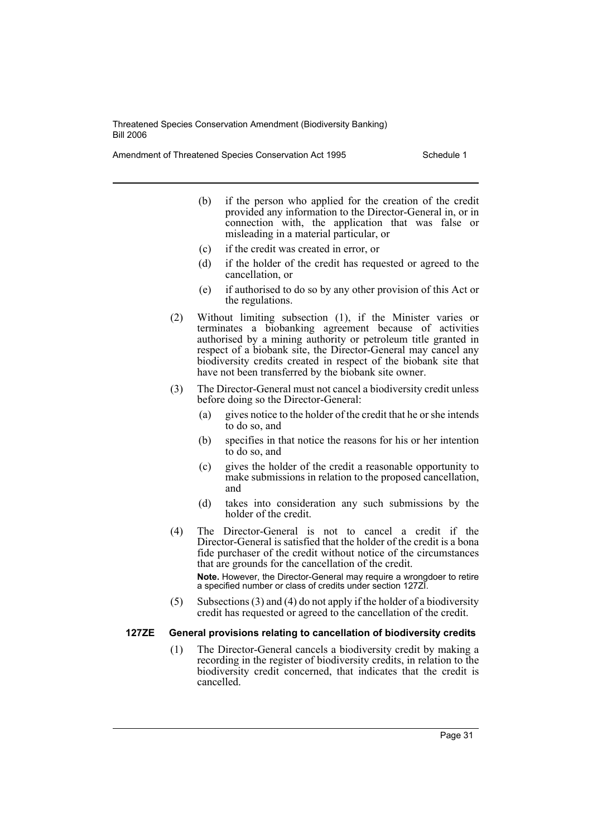Amendment of Threatened Species Conservation Act 1995 Schedule 1

- (b) if the person who applied for the creation of the credit provided any information to the Director-General in, or in connection with, the application that was false or misleading in a material particular, or
- (c) if the credit was created in error, or
- (d) if the holder of the credit has requested or agreed to the cancellation, or
- (e) if authorised to do so by any other provision of this Act or the regulations.
- (2) Without limiting subsection (1), if the Minister varies or terminates a biobanking agreement because of activities authorised by a mining authority or petroleum title granted in respect of a biobank site, the Director-General may cancel any biodiversity credits created in respect of the biobank site that have not been transferred by the biobank site owner.
- (3) The Director-General must not cancel a biodiversity credit unless before doing so the Director-General:
	- (a) gives notice to the holder of the credit that he or she intends to do so, and
	- (b) specifies in that notice the reasons for his or her intention to do so, and
	- (c) gives the holder of the credit a reasonable opportunity to make submissions in relation to the proposed cancellation, and
	- (d) takes into consideration any such submissions by the holder of the credit.
- (4) The Director-General is not to cancel a credit if the Director-General is satisfied that the holder of the credit is a bona fide purchaser of the credit without notice of the circumstances that are grounds for the cancellation of the credit.

**Note.** However, the Director-General may require a wrongdoer to retire a specified number or class of credits under section 127ZI.

(5) Subsections (3) and (4) do not apply if the holder of a biodiversity credit has requested or agreed to the cancellation of the credit.

## **127ZE General provisions relating to cancellation of biodiversity credits**

(1) The Director-General cancels a biodiversity credit by making a recording in the register of biodiversity credits, in relation to the biodiversity credit concerned, that indicates that the credit is cancelled.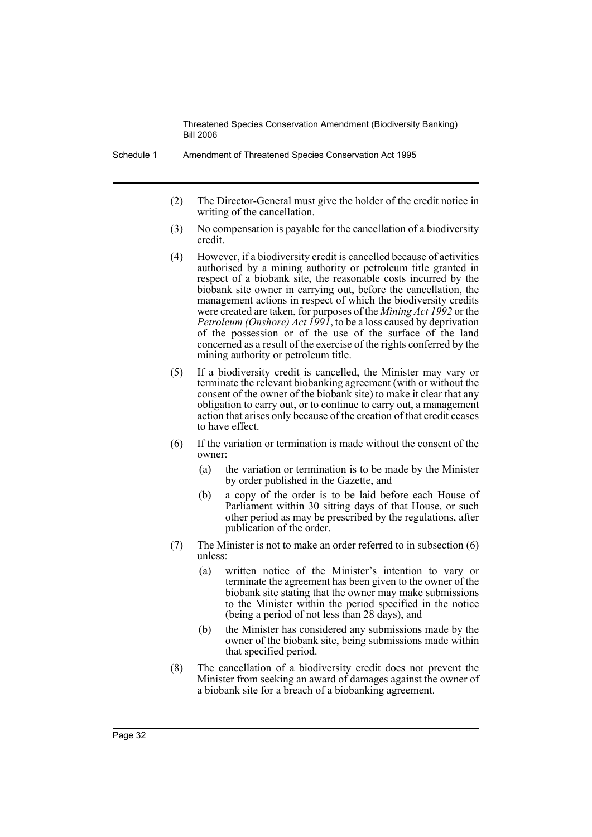- (2) The Director-General must give the holder of the credit notice in writing of the cancellation.
- (3) No compensation is payable for the cancellation of a biodiversity credit.
- (4) However, if a biodiversity credit is cancelled because of activities authorised by a mining authority or petroleum title granted in respect of a biobank site, the reasonable costs incurred by the biobank site owner in carrying out, before the cancellation, the management actions in respect of which the biodiversity credits were created are taken, for purposes of the *Mining Act 1992* or the *Petroleum (Onshore) Act 1991*, to be a loss caused by deprivation of the possession or of the use of the surface of the land concerned as a result of the exercise of the rights conferred by the mining authority or petroleum title.
- (5) If a biodiversity credit is cancelled, the Minister may vary or terminate the relevant biobanking agreement (with or without the consent of the owner of the biobank site) to make it clear that any obligation to carry out, or to continue to carry out, a management action that arises only because of the creation of that credit ceases to have effect.
- (6) If the variation or termination is made without the consent of the owner:
	- (a) the variation or termination is to be made by the Minister by order published in the Gazette, and
	- (b) a copy of the order is to be laid before each House of Parliament within 30 sitting days of that House, or such other period as may be prescribed by the regulations, after publication of the order.
- (7) The Minister is not to make an order referred to in subsection (6) unless:
	- (a) written notice of the Minister's intention to vary or terminate the agreement has been given to the owner of the biobank site stating that the owner may make submissions to the Minister within the period specified in the notice (being a period of not less than 28 days), and
	- (b) the Minister has considered any submissions made by the owner of the biobank site, being submissions made within that specified period.
- (8) The cancellation of a biodiversity credit does not prevent the Minister from seeking an award of damages against the owner of a biobank site for a breach of a biobanking agreement.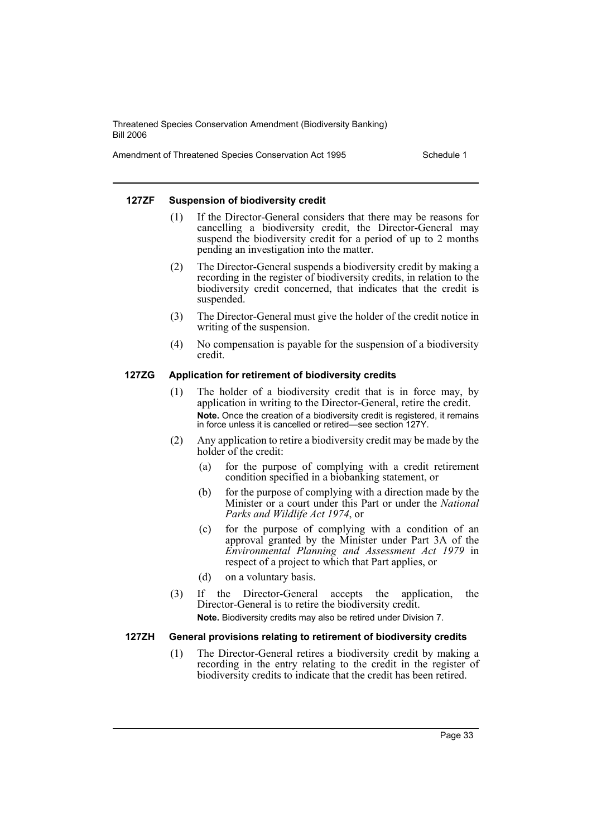Amendment of Threatened Species Conservation Act 1995 Schedule 1

#### **127ZF Suspension of biodiversity credit**

- (1) If the Director-General considers that there may be reasons for cancelling a biodiversity credit, the Director-General may suspend the biodiversity credit for a period of up to 2 months pending an investigation into the matter.
- (2) The Director-General suspends a biodiversity credit by making a recording in the register of biodiversity credits, in relation to the biodiversity credit concerned, that indicates that the credit is suspended.
- (3) The Director-General must give the holder of the credit notice in writing of the suspension.
- (4) No compensation is payable for the suspension of a biodiversity credit.

## **127ZG Application for retirement of biodiversity credits**

- (1) The holder of a biodiversity credit that is in force may, by application in writing to the Director-General, retire the credit. **Note.** Once the creation of a biodiversity credit is registered, it remains in force unless it is cancelled or retired—see section 127Y.
- (2) Any application to retire a biodiversity credit may be made by the holder of the credit:
	- (a) for the purpose of complying with a credit retirement condition specified in a biobanking statement, or
	- (b) for the purpose of complying with a direction made by the Minister or a court under this Part or under the *National Parks and Wildlife Act 1974*, or
	- (c) for the purpose of complying with a condition of an approval granted by the Minister under Part 3A of the *Environmental Planning and Assessment Act 1979* in respect of a project to which that Part applies, or
	- (d) on a voluntary basis.
- (3) If the Director-General accepts the application, the Director-General is to retire the biodiversity credit. **Note.** Biodiversity credits may also be retired under Division 7.

## **127ZH General provisions relating to retirement of biodiversity credits**

(1) The Director-General retires a biodiversity credit by making a recording in the entry relating to the credit in the register of biodiversity credits to indicate that the credit has been retired.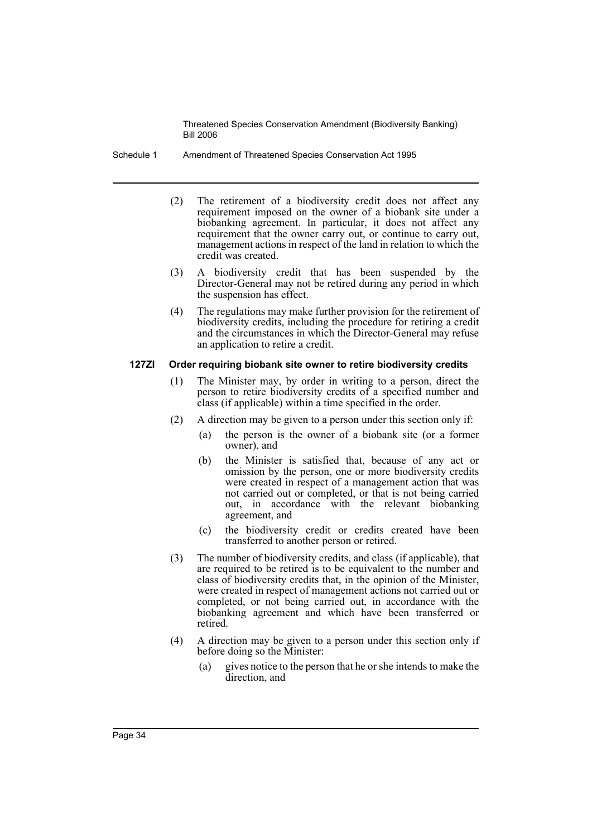- Schedule 1 Amendment of Threatened Species Conservation Act 1995
	- (2) The retirement of a biodiversity credit does not affect any requirement imposed on the owner of a biobank site under a biobanking agreement. In particular, it does not affect any requirement that the owner carry out, or continue to carry out, management actions in respect of the land in relation to which the credit was created.
	- (3) A biodiversity credit that has been suspended by the Director-General may not be retired during any period in which the suspension has effect.
	- (4) The regulations may make further provision for the retirement of biodiversity credits, including the procedure for retiring a credit and the circumstances in which the Director-General may refuse an application to retire a credit.

### **127ZI Order requiring biobank site owner to retire biodiversity credits**

- (1) The Minister may, by order in writing to a person, direct the person to retire biodiversity credits of a specified number and class (if applicable) within a time specified in the order.
- (2) A direction may be given to a person under this section only if:
	- (a) the person is the owner of a biobank site (or a former owner), and
	- (b) the Minister is satisfied that, because of any act or omission by the person, one or more biodiversity credits were created in respect of a management action that was not carried out or completed, or that is not being carried out, in accordance with the relevant biobanking agreement, and
	- (c) the biodiversity credit or credits created have been transferred to another person or retired.
- (3) The number of biodiversity credits, and class (if applicable), that are required to be retired is to be equivalent to the number and class of biodiversity credits that, in the opinion of the Minister, were created in respect of management actions not carried out or completed, or not being carried out, in accordance with the biobanking agreement and which have been transferred or retired.
- (4) A direction may be given to a person under this section only if before doing so the Minister:
	- (a) gives notice to the person that he or she intends to make the direction, and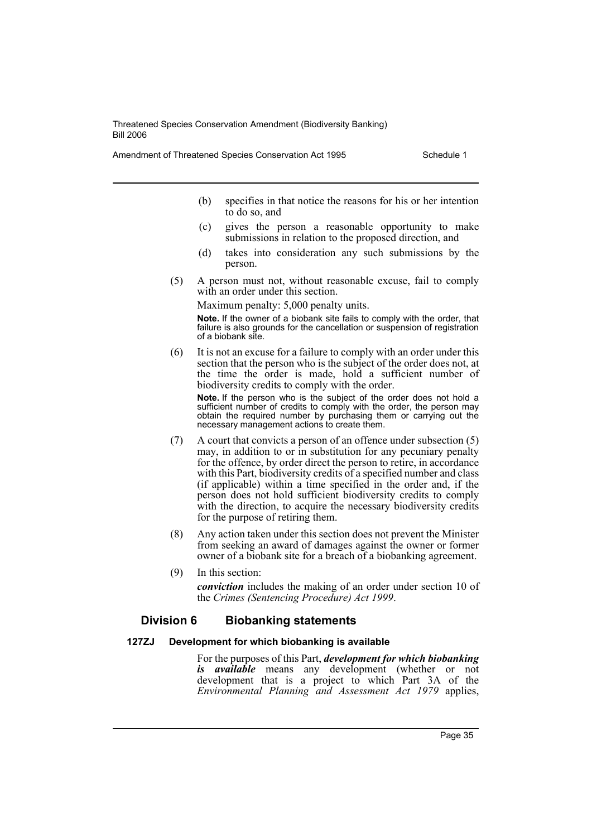Amendment of Threatened Species Conservation Act 1995 Schedule 1

- (b) specifies in that notice the reasons for his or her intention to do so, and
- (c) gives the person a reasonable opportunity to make submissions in relation to the proposed direction, and
- (d) takes into consideration any such submissions by the person.
- (5) A person must not, without reasonable excuse, fail to comply with an order under this section.

Maximum penalty: 5,000 penalty units.

**Note.** If the owner of a biobank site fails to comply with the order, that failure is also grounds for the cancellation or suspension of registration of a biobank site.

(6) It is not an excuse for a failure to comply with an order under this section that the person who is the subject of the order does not, at the time the order is made, hold a sufficient number of biodiversity credits to comply with the order.

**Note.** If the person who is the subject of the order does not hold a sufficient number of credits to comply with the order, the person may obtain the required number by purchasing them or carrying out the necessary management actions to create them.

- (7) A court that convicts a person of an offence under subsection (5) may, in addition to or in substitution for any pecuniary penalty for the offence, by order direct the person to retire, in accordance with this Part, biodiversity credits of a specified number and class (if applicable) within a time specified in the order and, if the person does not hold sufficient biodiversity credits to comply with the direction, to acquire the necessary biodiversity credits for the purpose of retiring them.
- (8) Any action taken under this section does not prevent the Minister from seeking an award of damages against the owner or former owner of a biobank site for a breach of a biobanking agreement.
- (9) In this section:

*conviction* includes the making of an order under section 10 of the *Crimes (Sentencing Procedure) Act 1999*.

## **Division 6 Biobanking statements**

#### **127ZJ Development for which biobanking is available**

For the purposes of this Part, *development for which biobanking is available* means any development (whether or not development that is a project to which Part 3A of the *Environmental Planning and Assessment Act 1979* applies,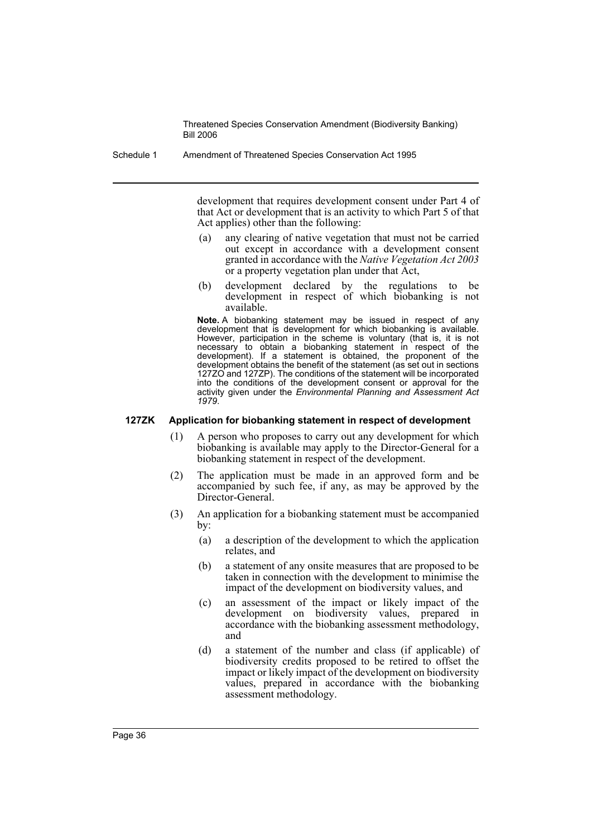Schedule 1 Amendment of Threatened Species Conservation Act 1995

development that requires development consent under Part 4 of that Act or development that is an activity to which Part 5 of that Act applies) other than the following:

- (a) any clearing of native vegetation that must not be carried out except in accordance with a development consent granted in accordance with the *Native Vegetation Act 2003* or a property vegetation plan under that Act,
- (b) development declared by the regulations to be development in respect of which biobanking is not available.

**Note.** A biobanking statement may be issued in respect of any development that is development for which biobanking is available. However, participation in the scheme is voluntary (that is, it is not necessary to obtain a biobanking statement in respect of the development). If a statement is obtained, the proponent of the development obtains the benefit of the statement (as set out in sections 127ZO and 127ZP). The conditions of the statement will be incorporated into the conditions of the development consent or approval for the activity given under the *Environmental Planning and Assessment Act 1979*.

#### **127ZK Application for biobanking statement in respect of development**

- (1) A person who proposes to carry out any development for which biobanking is available may apply to the Director-General for a biobanking statement in respect of the development.
- (2) The application must be made in an approved form and be accompanied by such fee, if any, as may be approved by the Director-General.
- (3) An application for a biobanking statement must be accompanied by:
	- (a) a description of the development to which the application relates, and
	- (b) a statement of any onsite measures that are proposed to be taken in connection with the development to minimise the impact of the development on biodiversity values, and
	- (c) an assessment of the impact or likely impact of the development on biodiversity values, prepared in accordance with the biobanking assessment methodology, and
	- (d) a statement of the number and class (if applicable) of biodiversity credits proposed to be retired to offset the impact or likely impact of the development on biodiversity values, prepared in accordance with the biobanking assessment methodology.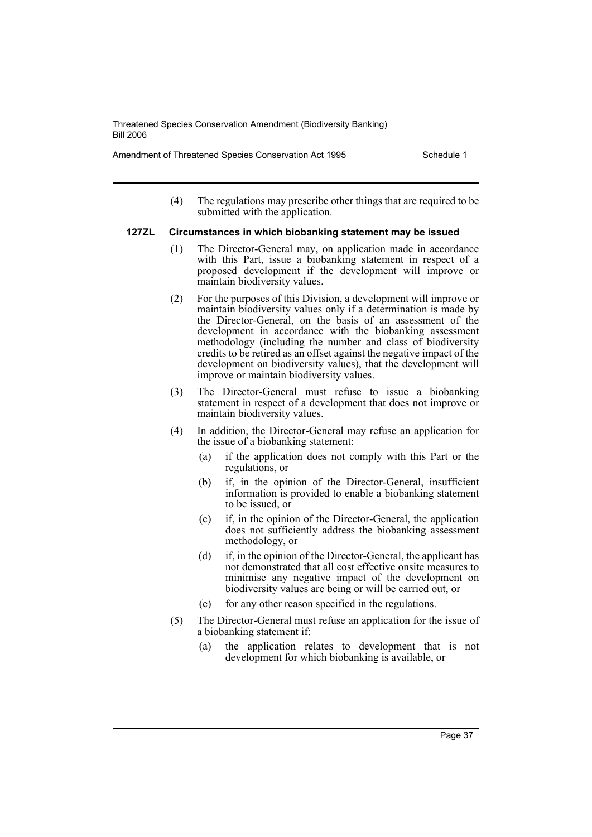Amendment of Threatened Species Conservation Act 1995 Schedule 1

(4) The regulations may prescribe other things that are required to be submitted with the application.

### **127ZL Circumstances in which biobanking statement may be issued**

- (1) The Director-General may, on application made in accordance with this Part, issue a biobanking statement in respect of a proposed development if the development will improve or maintain biodiversity values.
- (2) For the purposes of this Division, a development will improve or maintain biodiversity values only if a determination is made by the Director-General, on the basis of an assessment of the development in accordance with the biobanking assessment methodology (including the number and class of biodiversity credits to be retired as an offset against the negative impact of the development on biodiversity values), that the development will improve or maintain biodiversity values.
- (3) The Director-General must refuse to issue a biobanking statement in respect of a development that does not improve or maintain biodiversity values.
- (4) In addition, the Director-General may refuse an application for the issue of a biobanking statement:
	- (a) if the application does not comply with this Part or the regulations, or
	- (b) if, in the opinion of the Director-General, insufficient information is provided to enable a biobanking statement to be issued, or
	- (c) if, in the opinion of the Director-General, the application does not sufficiently address the biobanking assessment methodology, or
	- (d) if, in the opinion of the Director-General, the applicant has not demonstrated that all cost effective onsite measures to minimise any negative impact of the development on biodiversity values are being or will be carried out, or
	- (e) for any other reason specified in the regulations.
- (5) The Director-General must refuse an application for the issue of a biobanking statement if:
	- (a) the application relates to development that is not development for which biobanking is available, or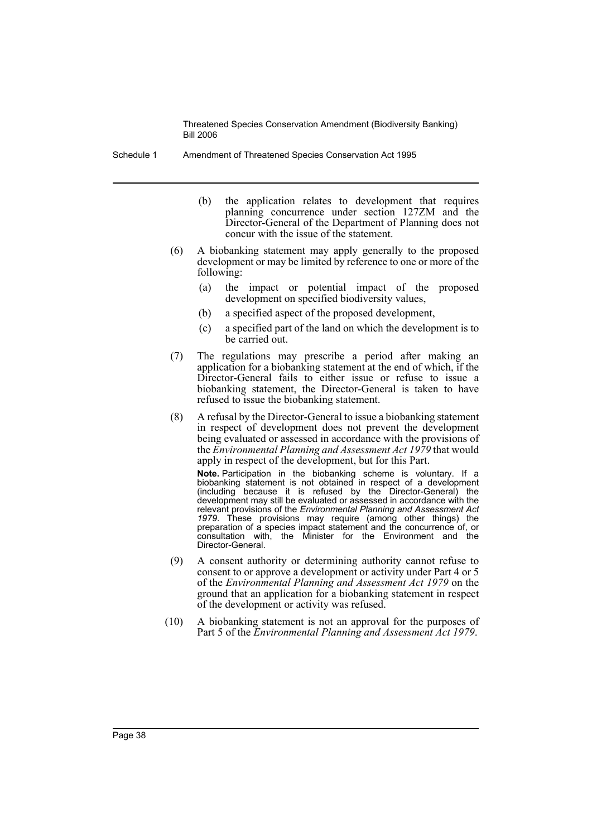Schedule 1 Amendment of Threatened Species Conservation Act 1995

- (b) the application relates to development that requires planning concurrence under section 127ZM and the Director-General of the Department of Planning does not concur with the issue of the statement.
- (6) A biobanking statement may apply generally to the proposed development or may be limited by reference to one or more of the following:
	- (a) the impact or potential impact of the proposed development on specified biodiversity values,
	- (b) a specified aspect of the proposed development,
	- (c) a specified part of the land on which the development is to be carried out.
- (7) The regulations may prescribe a period after making an application for a biobanking statement at the end of which, if the Director-General fails to either issue or refuse to issue a biobanking statement, the Director-General is taken to have refused to issue the biobanking statement.
- (8) A refusal by the Director-General to issue a biobanking statement in respect of development does not prevent the development being evaluated or assessed in accordance with the provisions of the *Environmental Planning and Assessment Act 1979* that would apply in respect of the development, but for this Part.

**Note.** Participation in the biobanking scheme is voluntary. If a biobanking statement is not obtained in respect of a development (including because it is refused by the Director-General) the development may still be evaluated or assessed in accordance with the relevant provisions of the *Environmental Planning and Assessment Act 1979*. These provisions may require (among other things) the preparation of a species impact statement and the concurrence of, or consultation with, the Minister for the Environment and the Director-General.

- (9) A consent authority or determining authority cannot refuse to consent to or approve a development or activity under Part 4 or 5 of the *Environmental Planning and Assessment Act 1979* on the ground that an application for a biobanking statement in respect of the development or activity was refused.
- (10) A biobanking statement is not an approval for the purposes of Part 5 of the *Environmental Planning and Assessment Act 1979*.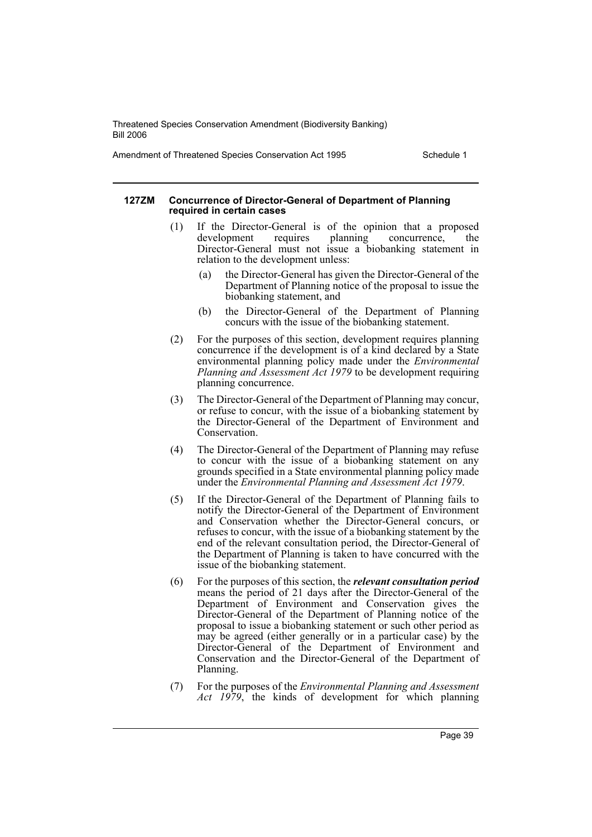Amendment of Threatened Species Conservation Act 1995 Schedule 1

#### **127ZM Concurrence of Director-General of Department of Planning required in certain cases**

- (1) If the Director-General is of the opinion that a proposed development requires planning concurrence, the Director-General must not issue a biobanking statement in relation to the development unless:
	- (a) the Director-General has given the Director-General of the Department of Planning notice of the proposal to issue the biobanking statement, and
	- (b) the Director-General of the Department of Planning concurs with the issue of the biobanking statement.
- (2) For the purposes of this section, development requires planning concurrence if the development is of a kind declared by a State environmental planning policy made under the *Environmental Planning and Assessment Act 1979* to be development requiring planning concurrence.
- (3) The Director-General of the Department of Planning may concur, or refuse to concur, with the issue of a biobanking statement by the Director-General of the Department of Environment and Conservation.
- (4) The Director-General of the Department of Planning may refuse to concur with the issue of a biobanking statement on any grounds specified in a State environmental planning policy made under the *Environmental Planning and Assessment Act 1979*.
- (5) If the Director-General of the Department of Planning fails to notify the Director-General of the Department of Environment and Conservation whether the Director-General concurs, or refuses to concur, with the issue of a biobanking statement by the end of the relevant consultation period, the Director-General of the Department of Planning is taken to have concurred with the issue of the biobanking statement.
- (6) For the purposes of this section, the *relevant consultation period* means the period of 21 days after the Director-General of the Department of Environment and Conservation gives the Director-General of the Department of Planning notice of the proposal to issue a biobanking statement or such other period as may be agreed (either generally or in a particular case) by the Director-General of the Department of Environment and Conservation and the Director-General of the Department of Planning.
- (7) For the purposes of the *Environmental Planning and Assessment Act 1979*, the kinds of development for which planning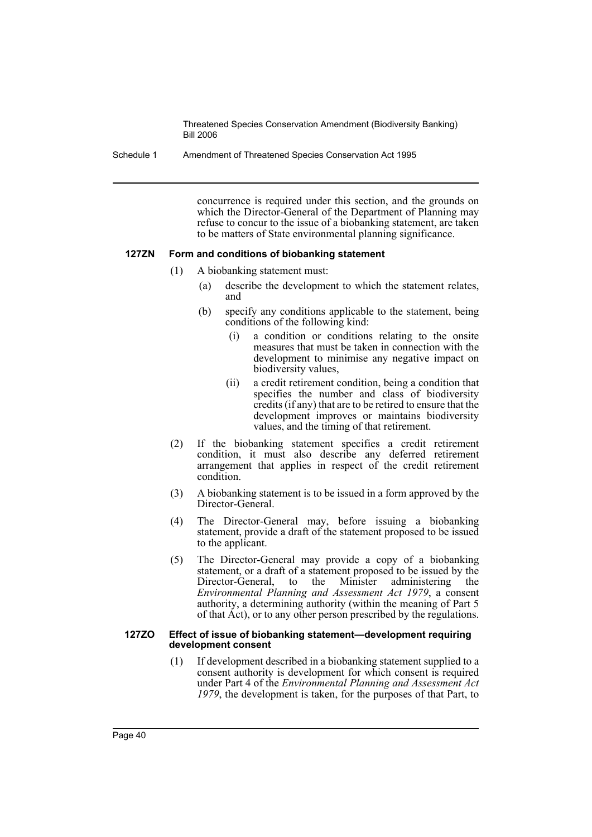Schedule 1 Amendment of Threatened Species Conservation Act 1995

concurrence is required under this section, and the grounds on which the Director-General of the Department of Planning may refuse to concur to the issue of a biobanking statement, are taken to be matters of State environmental planning significance.

#### **127ZN Form and conditions of biobanking statement**

- (1) A biobanking statement must:
	- (a) describe the development to which the statement relates, and
	- (b) specify any conditions applicable to the statement, being conditions of the following kind:
		- (i) a condition or conditions relating to the onsite measures that must be taken in connection with the development to minimise any negative impact on biodiversity values,
		- (ii) a credit retirement condition, being a condition that specifies the number and class of biodiversity credits (if any) that are to be retired to ensure that the development improves or maintains biodiversity values, and the timing of that retirement.
- (2) If the biobanking statement specifies a credit retirement condition, it must also describe any deferred retirement arrangement that applies in respect of the credit retirement condition.
- (3) A biobanking statement is to be issued in a form approved by the Director-General.
- (4) The Director-General may, before issuing a biobanking statement, provide a draft of the statement proposed to be issued to the applicant.
- (5) The Director-General may provide a copy of a biobanking statement, or a draft of a statement proposed to be issued by the Director-General, to the Minister administering the to the Minister administering the *Environmental Planning and Assessment Act 1979*, a consent authority, a determining authority (within the meaning of Part 5 of that Act), or to any other person prescribed by the regulations.

#### **127ZO Effect of issue of biobanking statement—development requiring development consent**

(1) If development described in a biobanking statement supplied to a consent authority is development for which consent is required under Part 4 of the *Environmental Planning and Assessment Act 1979*, the development is taken, for the purposes of that Part, to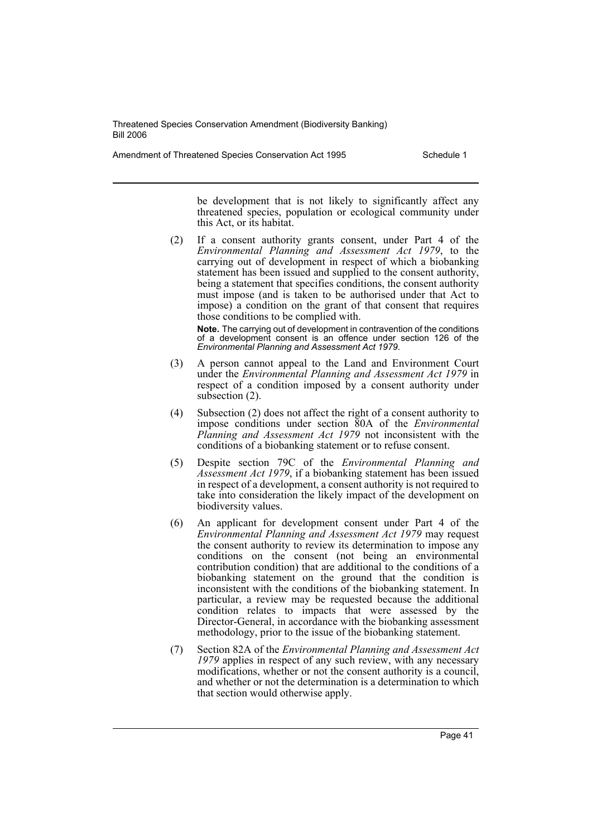Amendment of Threatened Species Conservation Act 1995 Schedule 1

be development that is not likely to significantly affect any threatened species, population or ecological community under this Act, or its habitat.

(2) If a consent authority grants consent, under Part 4 of the *Environmental Planning and Assessment Act 1979*, to the carrying out of development in respect of which a biobanking statement has been issued and supplied to the consent authority, being a statement that specifies conditions, the consent authority must impose (and is taken to be authorised under that Act to impose) a condition on the grant of that consent that requires those conditions to be complied with.

**Note.** The carrying out of development in contravention of the conditions of a development consent is an offence under section 126 of the *Environmental Planning and Assessment Act 1979*.

- (3) A person cannot appeal to the Land and Environment Court under the *Environmental Planning and Assessment Act 1979* in respect of a condition imposed by a consent authority under subsection  $(2)$ .
- (4) Subsection (2) does not affect the right of a consent authority to impose conditions under section 80A of the *Environmental Planning and Assessment Act 1979* not inconsistent with the conditions of a biobanking statement or to refuse consent.
- (5) Despite section 79C of the *Environmental Planning and Assessment Act 1979*, if a biobanking statement has been issued in respect of a development, a consent authority is not required to take into consideration the likely impact of the development on biodiversity values.
- (6) An applicant for development consent under Part 4 of the *Environmental Planning and Assessment Act 1979* may request the consent authority to review its determination to impose any conditions on the consent (not being an environmental contribution condition) that are additional to the conditions of a biobanking statement on the ground that the condition is inconsistent with the conditions of the biobanking statement. In particular, a review may be requested because the additional condition relates to impacts that were assessed by the Director-General, in accordance with the biobanking assessment methodology, prior to the issue of the biobanking statement.
- (7) Section 82A of the *Environmental Planning and Assessment Act 1979* applies in respect of any such review, with any necessary modifications, whether or not the consent authority is a council, and whether or not the determination is a determination to which that section would otherwise apply.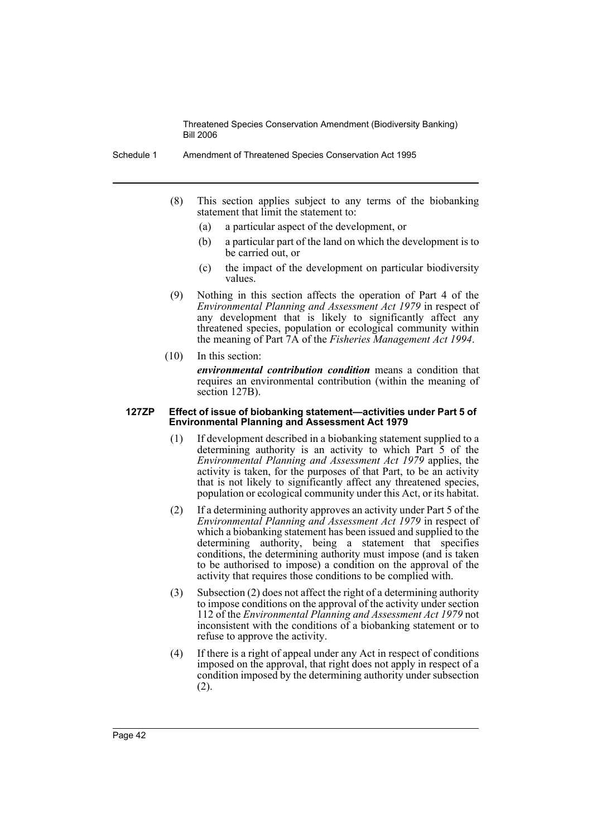- Schedule 1 Amendment of Threatened Species Conservation Act 1995
	- (8) This section applies subject to any terms of the biobanking statement that limit the statement to:
		- (a) a particular aspect of the development, or
		- (b) a particular part of the land on which the development is to be carried out, or
		- (c) the impact of the development on particular biodiversity values.
	- (9) Nothing in this section affects the operation of Part 4 of the *Environmental Planning and Assessment Act 1979* in respect of any development that is likely to significantly affect any threatened species, population or ecological community within the meaning of Part 7A of the *Fisheries Management Act 1994*.
	- (10) In this section: *environmental contribution condition* means a condition that requires an environmental contribution (within the meaning of section 127B).

#### **127ZP Effect of issue of biobanking statement—activities under Part 5 of Environmental Planning and Assessment Act 1979**

- (1) If development described in a biobanking statement supplied to a determining authority is an activity to which Part 5 of the *Environmental Planning and Assessment Act 1979* applies, the activity is taken, for the purposes of that Part, to be an activity that is not likely to significantly affect any threatened species, population or ecological community under this Act, or its habitat.
- (2) If a determining authority approves an activity under Part 5 of the *Environmental Planning and Assessment Act 1979* in respect of which a biobanking statement has been issued and supplied to the determining authority, being a statement that specifies conditions, the determining authority must impose (and is taken to be authorised to impose) a condition on the approval of the activity that requires those conditions to be complied with.
- (3) Subsection (2) does not affect the right of a determining authority to impose conditions on the approval of the activity under section 112 of the *Environmental Planning and Assessment Act 1979* not inconsistent with the conditions of a biobanking statement or to refuse to approve the activity.
- (4) If there is a right of appeal under any Act in respect of conditions imposed on the approval, that right does not apply in respect of a condition imposed by the determining authority under subsection (2).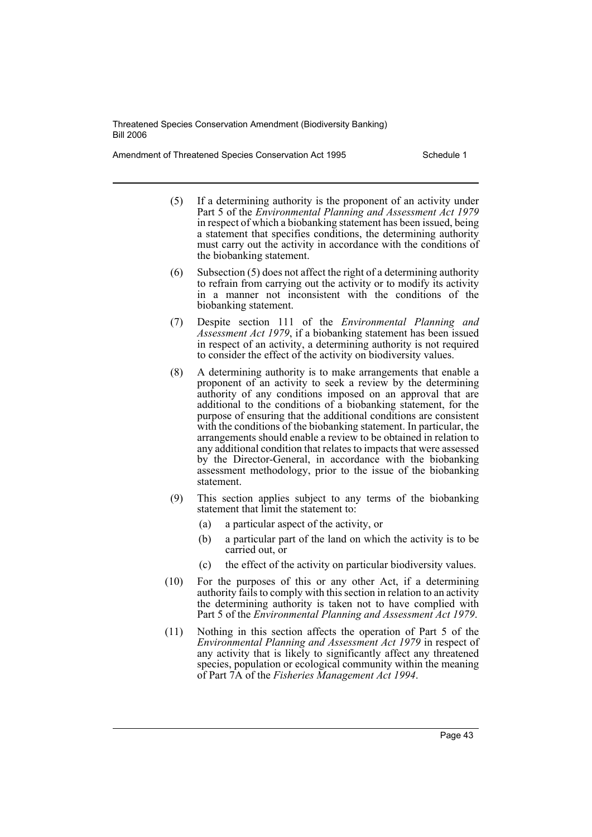Amendment of Threatened Species Conservation Act 1995 Schedule 1

- (5) If a determining authority is the proponent of an activity under Part 5 of the *Environmental Planning and Assessment Act 1979* in respect of which a biobanking statement has been issued, being a statement that specifies conditions, the determining authority must carry out the activity in accordance with the conditions of the biobanking statement.
- (6) Subsection (5) does not affect the right of a determining authority to refrain from carrying out the activity or to modify its activity in a manner not inconsistent with the conditions of the biobanking statement.
- (7) Despite section 111 of the *Environmental Planning and Assessment Act 1979*, if a biobanking statement has been issued in respect of an activity, a determining authority is not required to consider the effect of the activity on biodiversity values.
- (8) A determining authority is to make arrangements that enable a proponent of an activity to seek a review by the determining authority of any conditions imposed on an approval that are additional to the conditions of a biobanking statement, for the purpose of ensuring that the additional conditions are consistent with the conditions of the biobanking statement. In particular, the arrangements should enable a review to be obtained in relation to any additional condition that relates to impacts that were assessed by the Director-General, in accordance with the biobanking assessment methodology, prior to the issue of the biobanking statement.
- (9) This section applies subject to any terms of the biobanking statement that limit the statement to:
	- (a) a particular aspect of the activity, or
	- (b) a particular part of the land on which the activity is to be carried out, or
	- (c) the effect of the activity on particular biodiversity values.
- (10) For the purposes of this or any other Act, if a determining authority fails to comply with this section in relation to an activity the determining authority is taken not to have complied with Part 5 of the *Environmental Planning and Assessment Act 1979*.
- (11) Nothing in this section affects the operation of Part 5 of the *Environmental Planning and Assessment Act 1979* in respect of any activity that is likely to significantly affect any threatened species, population or ecological community within the meaning of Part 7A of the *Fisheries Management Act 1994*.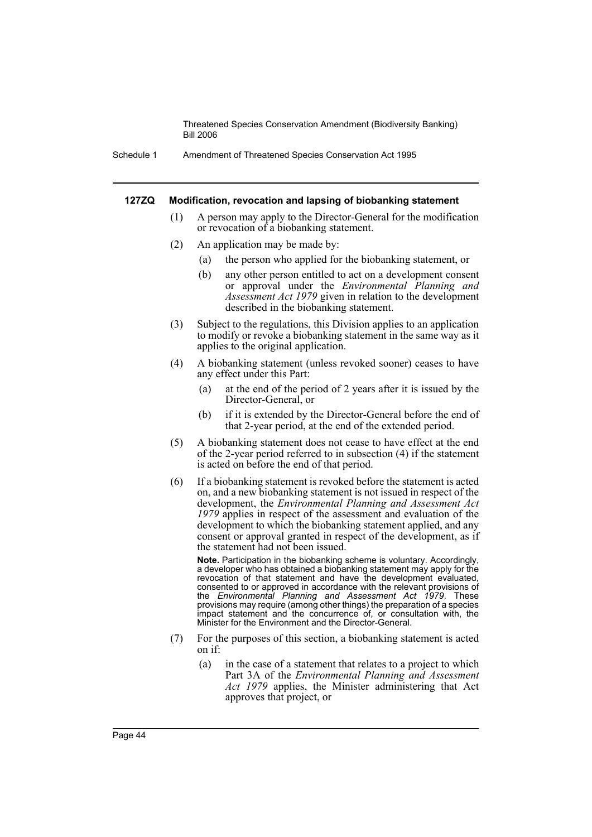Schedule 1 Amendment of Threatened Species Conservation Act 1995

#### **127ZQ Modification, revocation and lapsing of biobanking statement**

- (1) A person may apply to the Director-General for the modification or revocation of a biobanking statement.
- (2) An application may be made by:
	- (a) the person who applied for the biobanking statement, or
	- (b) any other person entitled to act on a development consent or approval under the *Environmental Planning and Assessment Act 1979* given in relation to the development described in the biobanking statement.
- (3) Subject to the regulations, this Division applies to an application to modify or revoke a biobanking statement in the same way as it applies to the original application.
- (4) A biobanking statement (unless revoked sooner) ceases to have any effect under this Part:
	- (a) at the end of the period of 2 years after it is issued by the Director-General, or
	- (b) if it is extended by the Director-General before the end of that 2-year period, at the end of the extended period.
- (5) A biobanking statement does not cease to have effect at the end of the 2-year period referred to in subsection (4) if the statement is acted on before the end of that period.
- (6) If a biobanking statement is revoked before the statement is acted on, and a new biobanking statement is not issued in respect of the development, the *Environmental Planning and Assessment Act 1979* applies in respect of the assessment and evaluation of the development to which the biobanking statement applied, and any consent or approval granted in respect of the development, as if the statement had not been issued.

**Note.** Participation in the biobanking scheme is voluntary. Accordingly, a developer who has obtained a biobanking statement may apply for the revocation of that statement and have the development evaluated, consented to or approved in accordance with the relevant provisions of the *Environmental Planning and Assessment Act 1979*. These provisions may require (among other things) the preparation of a species impact statement and the concurrence of, or consultation with, the Minister for the Environment and the Director-General.

- (7) For the purposes of this section, a biobanking statement is acted on if:
	- (a) in the case of a statement that relates to a project to which Part 3A of the *Environmental Planning and Assessment Act 1979* applies, the Minister administering that Act approves that project, or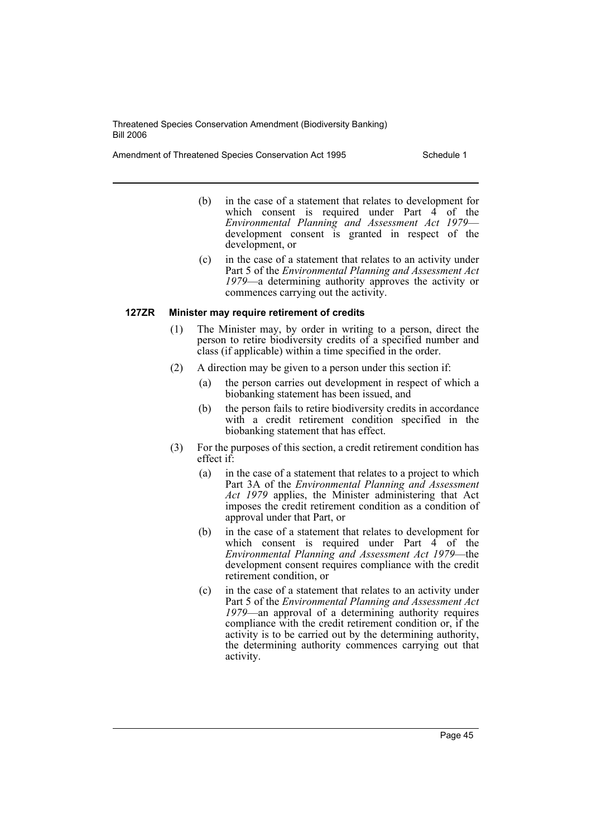Amendment of Threatened Species Conservation Act 1995 Schedule 1

- (b) in the case of a statement that relates to development for which consent is required under Part  $\hat{4}$  of the *Environmental Planning and Assessment Act 1979*— development consent is granted in respect of the development, or
- (c) in the case of a statement that relates to an activity under Part 5 of the *Environmental Planning and Assessment Act 1979*—a determining authority approves the activity or commences carrying out the activity.

### **127ZR Minister may require retirement of credits**

- (1) The Minister may, by order in writing to a person, direct the person to retire biodiversity credits of a specified number and class (if applicable) within a time specified in the order.
- (2) A direction may be given to a person under this section if:
	- (a) the person carries out development in respect of which a biobanking statement has been issued, and
	- (b) the person fails to retire biodiversity credits in accordance with a credit retirement condition specified in the biobanking statement that has effect.
- (3) For the purposes of this section, a credit retirement condition has effect if:
	- (a) in the case of a statement that relates to a project to which Part 3A of the *Environmental Planning and Assessment Act 1979* applies, the Minister administering that Act imposes the credit retirement condition as a condition of approval under that Part, or
	- (b) in the case of a statement that relates to development for which consent is required under Part  $\vec{4}$  of the *Environmental Planning and Assessment Act 1979*—the development consent requires compliance with the credit retirement condition, or
	- (c) in the case of a statement that relates to an activity under Part 5 of the *Environmental Planning and Assessment Act 1979*—an approval of a determining authority requires compliance with the credit retirement condition or, if the activity is to be carried out by the determining authority, the determining authority commences carrying out that activity.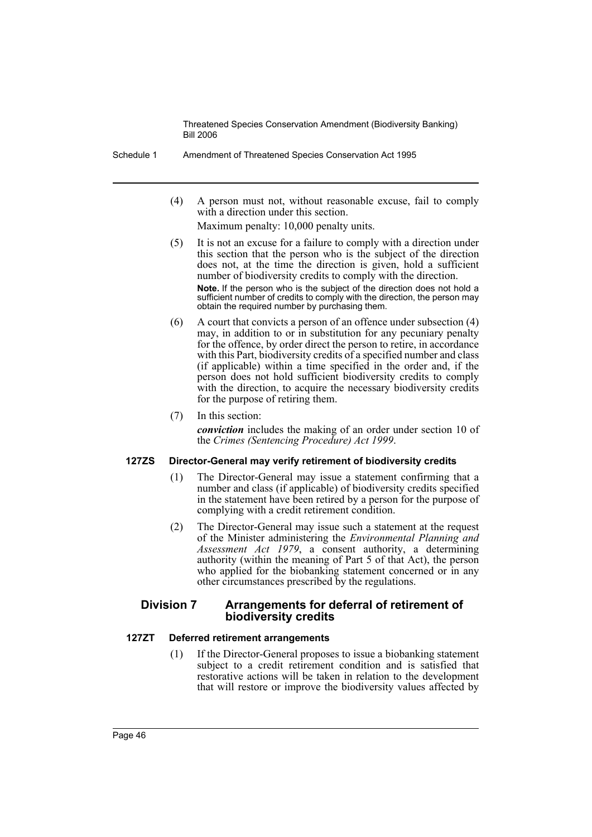Schedule 1 Amendment of Threatened Species Conservation Act 1995

(4) A person must not, without reasonable excuse, fail to comply with a direction under this section.

Maximum penalty: 10,000 penalty units.

- (5) It is not an excuse for a failure to comply with a direction under this section that the person who is the subject of the direction does not, at the time the direction is given, hold a sufficient number of biodiversity credits to comply with the direction. **Note.** If the person who is the subject of the direction does not hold a sufficient number of credits to comply with the direction, the person may obtain the required number by purchasing them.
- (6) A court that convicts a person of an offence under subsection (4) may, in addition to or in substitution for any pecuniary penalty for the offence, by order direct the person to retire, in accordance with this Part, biodiversity credits of a specified number and class (if applicable) within a time specified in the order and, if the person does not hold sufficient biodiversity credits to comply with the direction, to acquire the necessary biodiversity credits for the purpose of retiring them.
- (7) In this section:

*conviction* includes the making of an order under section 10 of the *Crimes (Sentencing Procedure) Act 1999*.

## **127ZS Director-General may verify retirement of biodiversity credits**

- (1) The Director-General may issue a statement confirming that a number and class (if applicable) of biodiversity credits specified in the statement have been retired by a person for the purpose of complying with a credit retirement condition.
- (2) The Director-General may issue such a statement at the request of the Minister administering the *Environmental Planning and Assessment Act 1979*, a consent authority, a determining authority (within the meaning of Part 5 of that Act), the person who applied for the biobanking statement concerned or in any other circumstances prescribed by the regulations.

## **Division 7 Arrangements for deferral of retirement of biodiversity credits**

### **127ZT Deferred retirement arrangements**

(1) If the Director-General proposes to issue a biobanking statement subject to a credit retirement condition and is satisfied that restorative actions will be taken in relation to the development that will restore or improve the biodiversity values affected by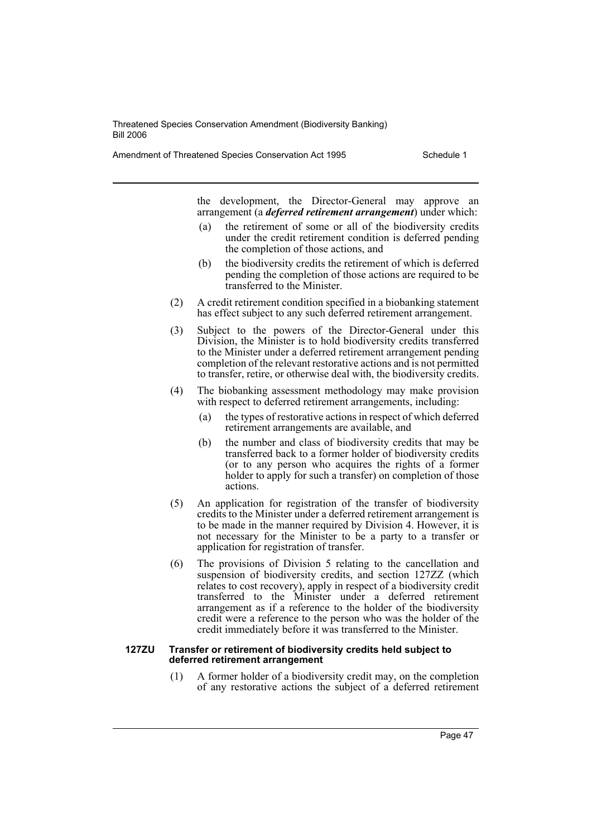Amendment of Threatened Species Conservation Act 1995 Schedule 1

the development, the Director-General may approve an arrangement (a *deferred retirement arrangement*) under which:

- (a) the retirement of some or all of the biodiversity credits under the credit retirement condition is deferred pending the completion of those actions, and
- (b) the biodiversity credits the retirement of which is deferred pending the completion of those actions are required to be transferred to the Minister.
- (2) A credit retirement condition specified in a biobanking statement has effect subject to any such deferred retirement arrangement.
- (3) Subject to the powers of the Director-General under this Division, the Minister is to hold biodiversity credits transferred to the Minister under a deferred retirement arrangement pending completion of the relevant restorative actions and is not permitted to transfer, retire, or otherwise deal with, the biodiversity credits.
- (4) The biobanking assessment methodology may make provision with respect to deferred retirement arrangements, including:
	- (a) the types of restorative actions in respect of which deferred retirement arrangements are available, and
	- (b) the number and class of biodiversity credits that may be transferred back to a former holder of biodiversity credits (or to any person who acquires the rights of a former holder to apply for such a transfer) on completion of those actions.
- (5) An application for registration of the transfer of biodiversity credits to the Minister under a deferred retirement arrangement is to be made in the manner required by Division 4. However, it is not necessary for the Minister to be a party to a transfer or application for registration of transfer.
- (6) The provisions of Division 5 relating to the cancellation and suspension of biodiversity credits, and section 127ZZ (which relates to cost recovery), apply in respect of a biodiversity credit transferred to the Minister under a deferred retirement arrangement as if a reference to the holder of the biodiversity credit were a reference to the person who was the holder of the credit immediately before it was transferred to the Minister.

#### **127ZU Transfer or retirement of biodiversity credits held subject to deferred retirement arrangement**

(1) A former holder of a biodiversity credit may, on the completion of any restorative actions the subject of a deferred retirement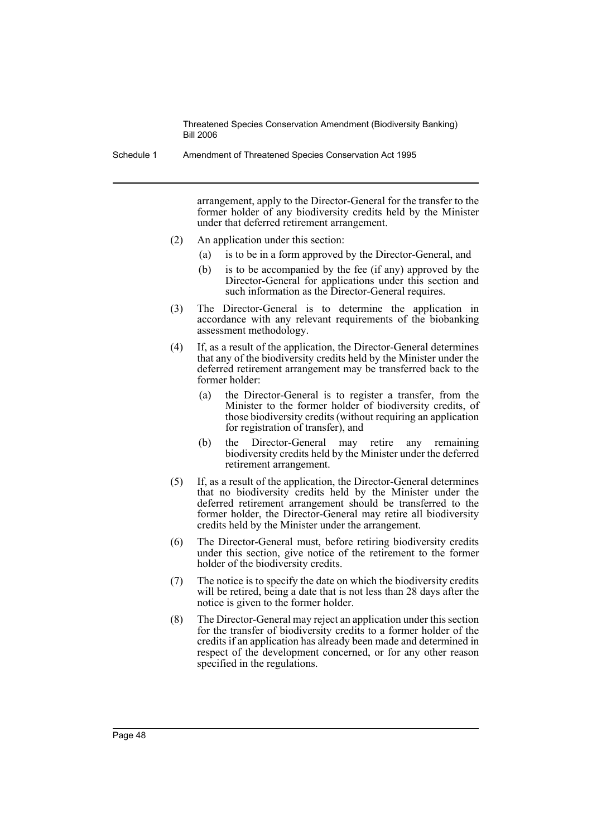Schedule 1 Amendment of Threatened Species Conservation Act 1995

arrangement, apply to the Director-General for the transfer to the former holder of any biodiversity credits held by the Minister under that deferred retirement arrangement.

- (2) An application under this section:
	- (a) is to be in a form approved by the Director-General, and
	- (b) is to be accompanied by the fee (if any) approved by the Director-General for applications under this section and such information as the Director-General requires.
- (3) The Director-General is to determine the application in accordance with any relevant requirements of the biobanking assessment methodology.
- (4) If, as a result of the application, the Director-General determines that any of the biodiversity credits held by the Minister under the deferred retirement arrangement may be transferred back to the former holder:
	- (a) the Director-General is to register a transfer, from the Minister to the former holder of biodiversity credits, of those biodiversity credits (without requiring an application for registration of transfer), and
	- (b) the Director-General may retire any remaining biodiversity credits held by the Minister under the deferred retirement arrangement.
- (5) If, as a result of the application, the Director-General determines that no biodiversity credits held by the Minister under the deferred retirement arrangement should be transferred to the former holder, the Director-General may retire all biodiversity credits held by the Minister under the arrangement.
- (6) The Director-General must, before retiring biodiversity credits under this section, give notice of the retirement to the former holder of the biodiversity credits.
- (7) The notice is to specify the date on which the biodiversity credits will be retired, being a date that is not less than 28 days after the notice is given to the former holder.
- (8) The Director-General may reject an application under this section for the transfer of biodiversity credits to a former holder of the credits if an application has already been made and determined in respect of the development concerned, or for any other reason specified in the regulations.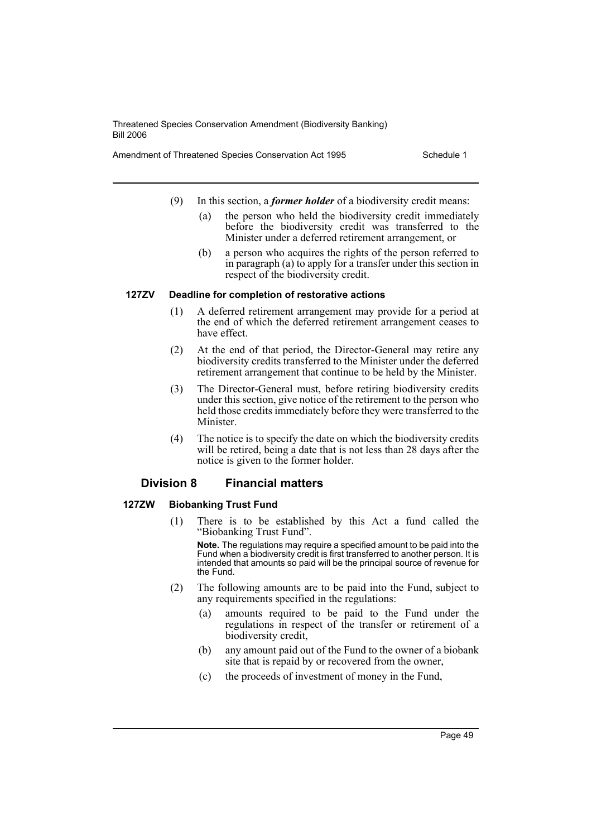Amendment of Threatened Species Conservation Act 1995 Schedule 1

- (9) In this section, a *former holder* of a biodiversity credit means:
	- (a) the person who held the biodiversity credit immediately before the biodiversity credit was transferred to the Minister under a deferred retirement arrangement, or
	- (b) a person who acquires the rights of the person referred to in paragraph (a) to apply for a transfer under this section in respect of the biodiversity credit.

#### **127ZV Deadline for completion of restorative actions**

- (1) A deferred retirement arrangement may provide for a period at the end of which the deferred retirement arrangement ceases to have effect.
- (2) At the end of that period, the Director-General may retire any biodiversity credits transferred to the Minister under the deferred retirement arrangement that continue to be held by the Minister.
- (3) The Director-General must, before retiring biodiversity credits under this section, give notice of the retirement to the person who held those credits immediately before they were transferred to the Minister.
- (4) The notice is to specify the date on which the biodiversity credits will be retired, being a date that is not less than 28 days after the notice is given to the former holder.

## **Division 8 Financial matters**

#### **127ZW Biobanking Trust Fund**

(1) There is to be established by this Act a fund called the "Biobanking Trust Fund".

**Note.** The regulations may require a specified amount to be paid into the Fund when a biodiversity credit is first transferred to another person. It is intended that amounts so paid will be the principal source of revenue for the Fund.

- (2) The following amounts are to be paid into the Fund, subject to any requirements specified in the regulations:
	- (a) amounts required to be paid to the Fund under the regulations in respect of the transfer or retirement of a biodiversity credit,
	- (b) any amount paid out of the Fund to the owner of a biobank site that is repaid by or recovered from the owner,
	- (c) the proceeds of investment of money in the Fund,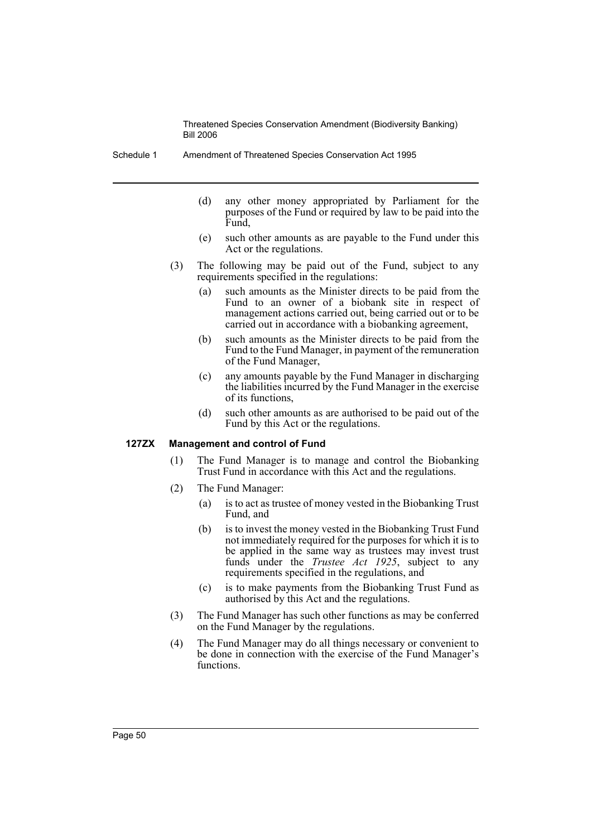Schedule 1 Amendment of Threatened Species Conservation Act 1995

- (d) any other money appropriated by Parliament for the purposes of the Fund or required by law to be paid into the Fund,
- (e) such other amounts as are payable to the Fund under this Act or the regulations.
- (3) The following may be paid out of the Fund, subject to any requirements specified in the regulations:
	- (a) such amounts as the Minister directs to be paid from the Fund to an owner of a biobank site in respect of management actions carried out, being carried out or to be carried out in accordance with a biobanking agreement,
	- (b) such amounts as the Minister directs to be paid from the Fund to the Fund Manager, in payment of the remuneration of the Fund Manager,
	- (c) any amounts payable by the Fund Manager in discharging the liabilities incurred by the Fund Manager in the exercise of its functions,
	- (d) such other amounts as are authorised to be paid out of the Fund by this Act or the regulations.

#### **127ZX Management and control of Fund**

- (1) The Fund Manager is to manage and control the Biobanking Trust Fund in accordance with this Act and the regulations.
- (2) The Fund Manager:
	- (a) is to act as trustee of money vested in the Biobanking Trust Fund, and
	- (b) is to invest the money vested in the Biobanking Trust Fund not immediately required for the purposes for which it is to be applied in the same way as trustees may invest trust funds under the *Trustee Act 1925*, subject to any requirements specified in the regulations, and
	- (c) is to make payments from the Biobanking Trust Fund as authorised by this Act and the regulations.
- (3) The Fund Manager has such other functions as may be conferred on the Fund Manager by the regulations.
- (4) The Fund Manager may do all things necessary or convenient to be done in connection with the exercise of the Fund Manager's functions.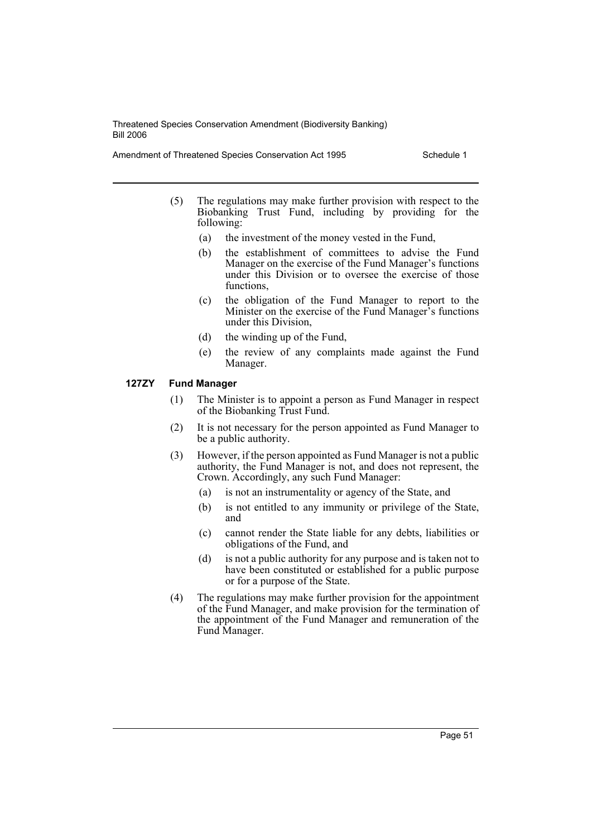Amendment of Threatened Species Conservation Act 1995 Schedule 1

- (5) The regulations may make further provision with respect to the Biobanking Trust Fund, including by providing for the following:
	- (a) the investment of the money vested in the Fund,
	- (b) the establishment of committees to advise the Fund Manager on the exercise of the Fund Manager's functions under this Division or to oversee the exercise of those functions,
	- (c) the obligation of the Fund Manager to report to the Minister on the exercise of the Fund Manager's functions under this Division,
	- (d) the winding up of the Fund,
	- (e) the review of any complaints made against the Fund Manager.

### **127ZY Fund Manager**

- (1) The Minister is to appoint a person as Fund Manager in respect of the Biobanking Trust Fund.
- (2) It is not necessary for the person appointed as Fund Manager to be a public authority.
- (3) However, if the person appointed as Fund Manager is not a public authority, the Fund Manager is not, and does not represent, the Crown. Accordingly, any such Fund Manager:
	- (a) is not an instrumentality or agency of the State, and
	- (b) is not entitled to any immunity or privilege of the State, and
	- (c) cannot render the State liable for any debts, liabilities or obligations of the Fund, and
	- (d) is not a public authority for any purpose and is taken not to have been constituted or established for a public purpose or for a purpose of the State.
- (4) The regulations may make further provision for the appointment of the Fund Manager, and make provision for the termination of the appointment of the Fund Manager and remuneration of the Fund Manager.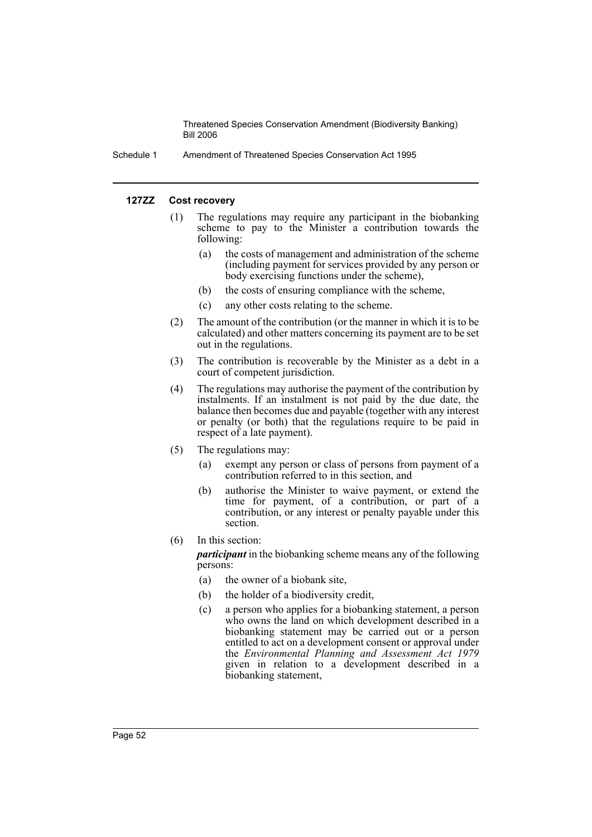Schedule 1 Amendment of Threatened Species Conservation Act 1995

#### **127ZZ Cost recovery**

- (1) The regulations may require any participant in the biobanking scheme to pay to the Minister a contribution towards the following:
	- (a) the costs of management and administration of the scheme (including payment for services provided by any person or body exercising functions under the scheme),
	- (b) the costs of ensuring compliance with the scheme,
	- (c) any other costs relating to the scheme.
- (2) The amount of the contribution (or the manner in which it is to be calculated) and other matters concerning its payment are to be set out in the regulations.
- (3) The contribution is recoverable by the Minister as a debt in a court of competent jurisdiction.
- (4) The regulations may authorise the payment of the contribution by instalments. If an instalment is not paid by the due date, the balance then becomes due and payable (together with any interest or penalty (or both) that the regulations require to be paid in respect of a late payment).
- (5) The regulations may:
	- (a) exempt any person or class of persons from payment of a contribution referred to in this section, and
	- (b) authorise the Minister to waive payment, or extend the time for payment, of a contribution, or part of a contribution, or any interest or penalty payable under this section.
- (6) In this section:
	- *participant* in the biobanking scheme means any of the following persons:
	- (a) the owner of a biobank site,
	- (b) the holder of a biodiversity credit,
	- (c) a person who applies for a biobanking statement, a person who owns the land on which development described in a biobanking statement may be carried out or a person entitled to act on a development consent or approval under the *Environmental Planning and Assessment Act 1979* given in relation to a development described in a biobanking statement,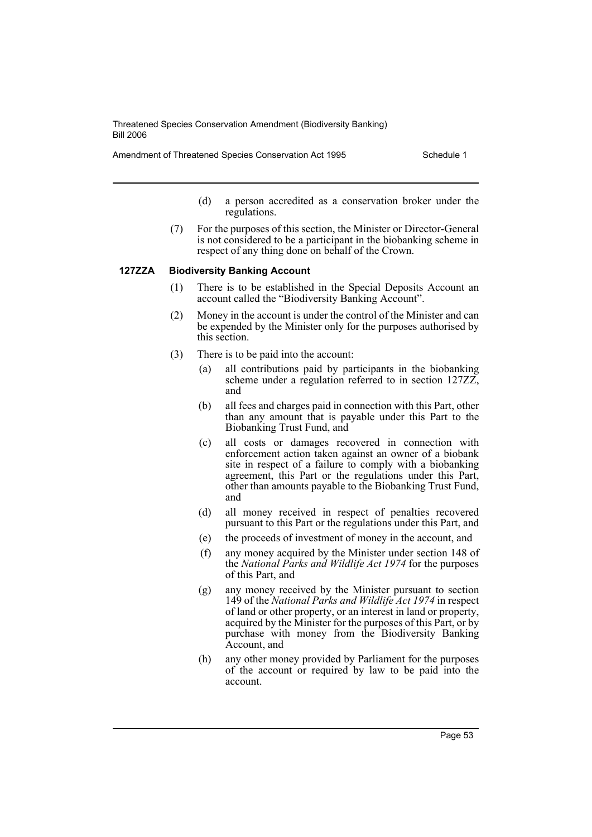Amendment of Threatened Species Conservation Act 1995 Schedule 1

- (d) a person accredited as a conservation broker under the regulations.
- (7) For the purposes of this section, the Minister or Director-General is not considered to be a participant in the biobanking scheme in respect of any thing done on behalf of the Crown.

#### **127ZZA Biodiversity Banking Account**

- (1) There is to be established in the Special Deposits Account an account called the "Biodiversity Banking Account".
- (2) Money in the account is under the control of the Minister and can be expended by the Minister only for the purposes authorised by this section.
- (3) There is to be paid into the account:
	- (a) all contributions paid by participants in the biobanking scheme under a regulation referred to in section 127ZZ, and
	- (b) all fees and charges paid in connection with this Part, other than any amount that is payable under this Part to the Biobanking Trust Fund, and
	- (c) all costs or damages recovered in connection with enforcement action taken against an owner of a biobank site in respect of a failure to comply with a biobanking agreement, this Part or the regulations under this Part, other than amounts payable to the Biobanking Trust Fund, and
	- (d) all money received in respect of penalties recovered pursuant to this Part or the regulations under this Part, and
	- (e) the proceeds of investment of money in the account, and
	- (f) any money acquired by the Minister under section 148 of the *National Parks and Wildlife Act 1974* for the purposes of this Part, and
	- (g) any money received by the Minister pursuant to section 149 of the *National Parks and Wildlife Act 1974* in respect of land or other property, or an interest in land or property, acquired by the Minister for the purposes of this Part, or by purchase with money from the Biodiversity Banking Account, and
	- (h) any other money provided by Parliament for the purposes of the account or required by law to be paid into the account.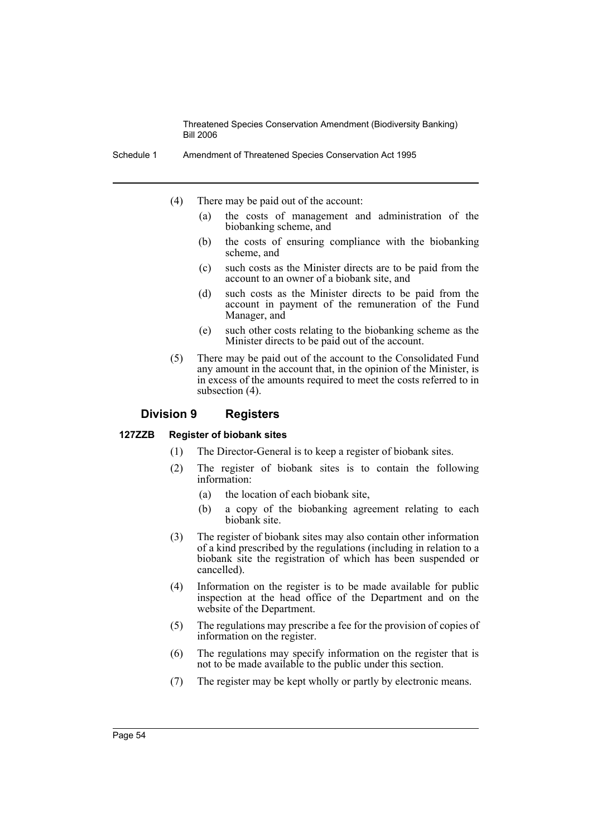Schedule 1 Amendment of Threatened Species Conservation Act 1995

- (4) There may be paid out of the account:
	- (a) the costs of management and administration of the biobanking scheme, and
	- (b) the costs of ensuring compliance with the biobanking scheme, and
	- (c) such costs as the Minister directs are to be paid from the account to an owner of a biobank site, and
	- (d) such costs as the Minister directs to be paid from the account in payment of the remuneration of the Fund Manager, and
	- (e) such other costs relating to the biobanking scheme as the Minister directs to be paid out of the account.
- (5) There may be paid out of the account to the Consolidated Fund any amount in the account that, in the opinion of the Minister, is in excess of the amounts required to meet the costs referred to in subsection (4).

## **Division 9 Registers**

#### **127ZZB Register of biobank sites**

- (1) The Director-General is to keep a register of biobank sites.
- (2) The register of biobank sites is to contain the following information:
	- (a) the location of each biobank site,
	- (b) a copy of the biobanking agreement relating to each biobank site.
- (3) The register of biobank sites may also contain other information of a kind prescribed by the regulations (including in relation to a biobank site the registration of which has been suspended or cancelled).
- (4) Information on the register is to be made available for public inspection at the head office of the Department and on the website of the Department.
- (5) The regulations may prescribe a fee for the provision of copies of information on the register.
- (6) The regulations may specify information on the register that is not to be made available to the public under this section.
- (7) The register may be kept wholly or partly by electronic means.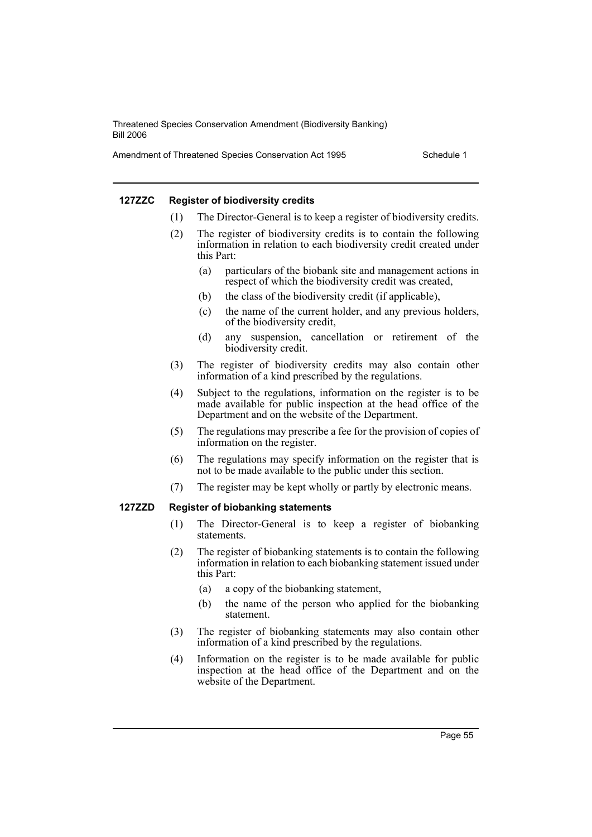Amendment of Threatened Species Conservation Act 1995 Schedule 1

#### **127ZZC Register of biodiversity credits**

- (1) The Director-General is to keep a register of biodiversity credits.
- (2) The register of biodiversity credits is to contain the following information in relation to each biodiversity credit created under this Part:
	- (a) particulars of the biobank site and management actions in respect of which the biodiversity credit was created,
	- (b) the class of the biodiversity credit (if applicable),
	- (c) the name of the current holder, and any previous holders, of the biodiversity credit,
	- (d) any suspension, cancellation or retirement of the biodiversity credit.
- (3) The register of biodiversity credits may also contain other information of a kind prescribed by the regulations.
- (4) Subject to the regulations, information on the register is to be made available for public inspection at the head office of the Department and on the website of the Department.
- (5) The regulations may prescribe a fee for the provision of copies of information on the register.
- (6) The regulations may specify information on the register that is not to be made available to the public under this section.
- (7) The register may be kept wholly or partly by electronic means.

#### **127ZZD Register of biobanking statements**

- (1) The Director-General is to keep a register of biobanking statements.
- (2) The register of biobanking statements is to contain the following information in relation to each biobanking statement issued under this Part:
	- (a) a copy of the biobanking statement,
	- (b) the name of the person who applied for the biobanking statement.
- (3) The register of biobanking statements may also contain other information of a kind prescribed by the regulations.
- (4) Information on the register is to be made available for public inspection at the head office of the Department and on the website of the Department.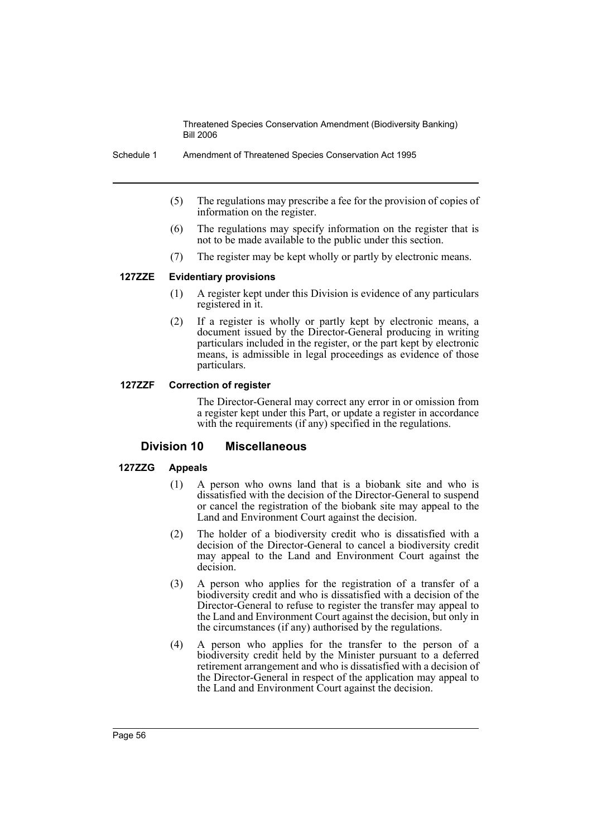Schedule 1 Amendment of Threatened Species Conservation Act 1995

- (5) The regulations may prescribe a fee for the provision of copies of information on the register.
- (6) The regulations may specify information on the register that is not to be made available to the public under this section.
- (7) The register may be kept wholly or partly by electronic means.

## **127ZZE Evidentiary provisions**

- (1) A register kept under this Division is evidence of any particulars registered in it.
- (2) If a register is wholly or partly kept by electronic means, a document issued by the Director-General producing in writing particulars included in the register, or the part kept by electronic means, is admissible in legal proceedings as evidence of those particulars.

### **127ZZF Correction of register**

The Director-General may correct any error in or omission from a register kept under this Part, or update a register in accordance with the requirements (if any) specified in the regulations.

## **Division 10 Miscellaneous**

## **127ZZG Appeals**

- (1) A person who owns land that is a biobank site and who is dissatisfied with the decision of the Director-General to suspend or cancel the registration of the biobank site may appeal to the Land and Environment Court against the decision.
- (2) The holder of a biodiversity credit who is dissatisfied with a decision of the Director-General to cancel a biodiversity credit may appeal to the Land and Environment Court against the decision.
- (3) A person who applies for the registration of a transfer of a biodiversity credit and who is dissatisfied with a decision of the Director-General to refuse to register the transfer may appeal to the Land and Environment Court against the decision, but only in the circumstances (if any) authorised by the regulations.
- (4) A person who applies for the transfer to the person of a biodiversity credit held by the Minister pursuant to a deferred retirement arrangement and who is dissatisfied with a decision of the Director-General in respect of the application may appeal to the Land and Environment Court against the decision.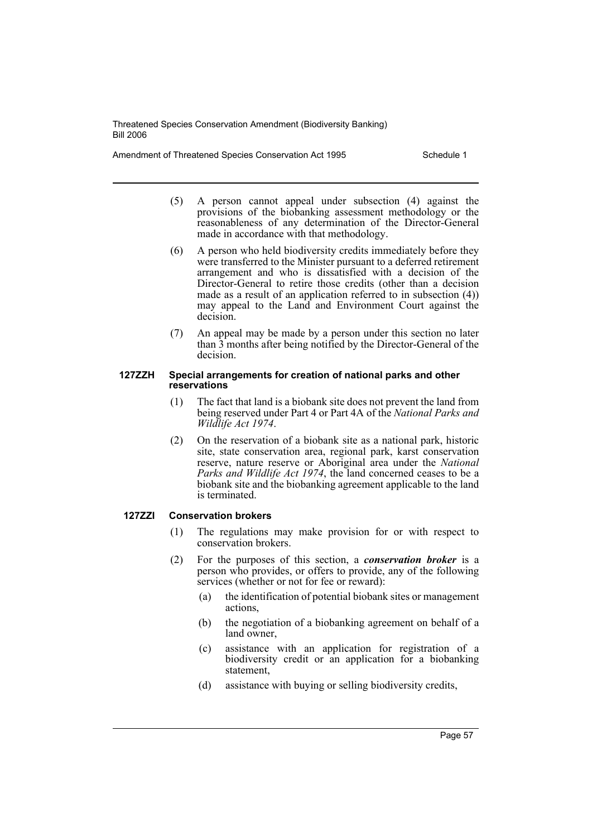Amendment of Threatened Species Conservation Act 1995 Schedule 1

- (5) A person cannot appeal under subsection (4) against the provisions of the biobanking assessment methodology or the reasonableness of any determination of the Director-General made in accordance with that methodology.
- (6) A person who held biodiversity credits immediately before they were transferred to the Minister pursuant to a deferred retirement arrangement and who is dissatisfied with a decision of the Director-General to retire those credits (other than a decision made as a result of an application referred to in subsection (4)) may appeal to the Land and Environment Court against the decision.
- (7) An appeal may be made by a person under this section no later than 3 months after being notified by the Director-General of the decision.

#### **127ZZH Special arrangements for creation of national parks and other reservations**

- (1) The fact that land is a biobank site does not prevent the land from being reserved under Part 4 or Part 4A of the *National Parks and Wildlife Act 1974*.
- (2) On the reservation of a biobank site as a national park, historic site, state conservation area, regional park, karst conservation reserve, nature reserve or Aboriginal area under the *National Parks and Wildlife Act 1974*, the land concerned ceases to be a biobank site and the biobanking agreement applicable to the land is terminated.

## **127ZZI Conservation brokers**

- (1) The regulations may make provision for or with respect to conservation brokers.
- (2) For the purposes of this section, a *conservation broker* is a person who provides, or offers to provide, any of the following services (whether or not for fee or reward):
	- (a) the identification of potential biobank sites or management actions,
	- (b) the negotiation of a biobanking agreement on behalf of a land owner,
	- (c) assistance with an application for registration of a biodiversity credit or an application for a biobanking statement,
	- (d) assistance with buying or selling biodiversity credits,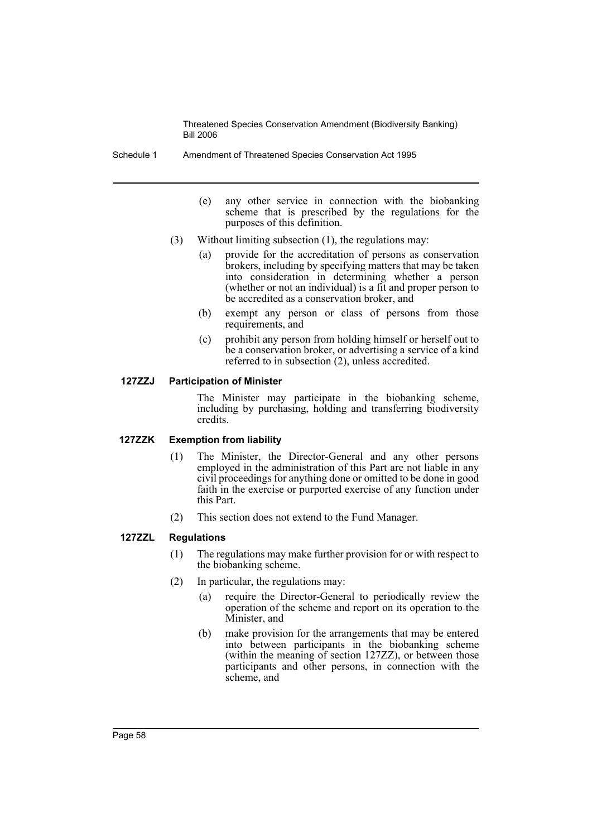Schedule 1 Amendment of Threatened Species Conservation Act 1995

- (e) any other service in connection with the biobanking scheme that is prescribed by the regulations for the purposes of this definition.
- (3) Without limiting subsection (1), the regulations may:
	- (a) provide for the accreditation of persons as conservation brokers, including by specifying matters that may be taken into consideration in determining whether a person (whether or not an individual) is a fit and proper person to be accredited as a conservation broker, and
	- (b) exempt any person or class of persons from those requirements, and
	- (c) prohibit any person from holding himself or herself out to be a conservation broker, or advertising a service of a kind referred to in subsection (2), unless accredited.

## **127ZZJ Participation of Minister**

The Minister may participate in the biobanking scheme, including by purchasing, holding and transferring biodiversity credits.

#### **127ZZK Exemption from liability**

- (1) The Minister, the Director-General and any other persons employed in the administration of this Part are not liable in any civil proceedings for anything done or omitted to be done in good faith in the exercise or purported exercise of any function under this Part.
- (2) This section does not extend to the Fund Manager.

## **127ZZL Regulations**

- (1) The regulations may make further provision for or with respect to the biobanking scheme.
- (2) In particular, the regulations may:
	- (a) require the Director-General to periodically review the operation of the scheme and report on its operation to the Minister, and
	- (b) make provision for the arrangements that may be entered into between participants in the biobanking scheme (within the meaning of section 127ZZ), or between those participants and other persons, in connection with the scheme, and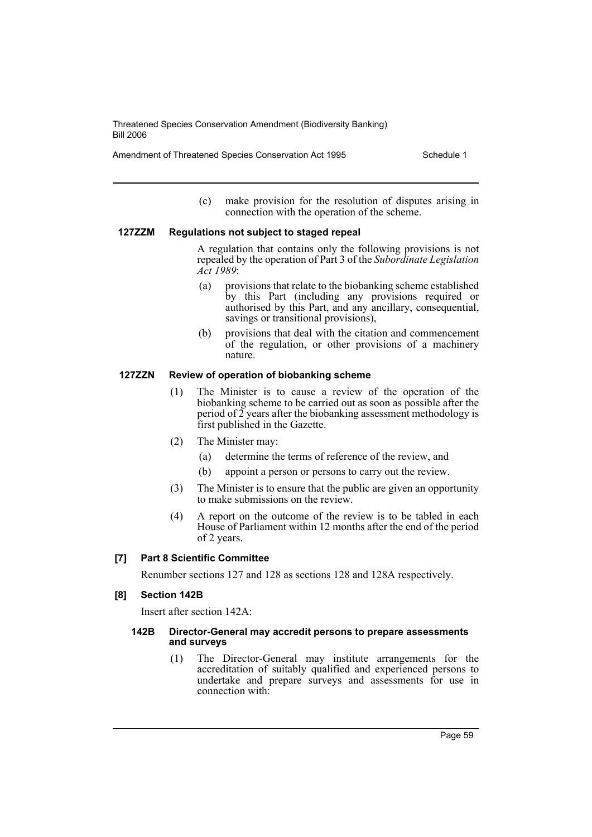Amendment of Threatened Species Conservation Act 1995 Schedule 1

(c) make provision for the resolution of disputes arising in connection with the operation of the scheme.

#### **127ZZM Regulations not subject to staged repeal**

A regulation that contains only the following provisions is not repealed by the operation of Part 3 of the *Subordinate Legislation Act 1989*:

- (a) provisions that relate to the biobanking scheme established by this Part (including any provisions required or authorised by this Part, and any ancillary, consequential, savings or transitional provisions),
- (b) provisions that deal with the citation and commencement of the regulation, or other provisions of a machinery nature.

## **127ZZN Review of operation of biobanking scheme**

- (1) The Minister is to cause a review of the operation of the biobanking scheme to be carried out as soon as possible after the period of 2 years after the biobanking assessment methodology is first published in the Gazette.
- (2) The Minister may:
	- (a) determine the terms of reference of the review, and
	- (b) appoint a person or persons to carry out the review.
- (3) The Minister is to ensure that the public are given an opportunity to make submissions on the review.
- (4) A report on the outcome of the review is to be tabled in each House of Parliament within 12 months after the end of the period of 2 years.

## **[7] Part 8 Scientific Committee**

Renumber sections 127 and 128 as sections 128 and 128A respectively.

#### **[8] Section 142B**

Insert after section 142A:

#### **142B Director-General may accredit persons to prepare assessments and surveys**

(1) The Director-General may institute arrangements for the accreditation of suitably qualified and experienced persons to undertake and prepare surveys and assessments for use in connection with: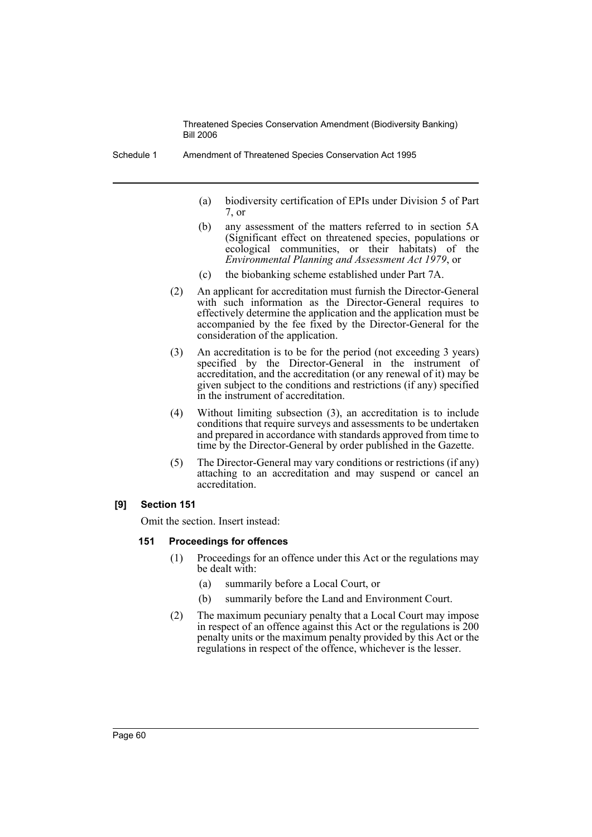- (a) biodiversity certification of EPIs under Division 5 of Part 7, or
- (b) any assessment of the matters referred to in section 5A (Significant effect on threatened species, populations or ecological communities, or their habitats) of the *Environmental Planning and Assessment Act 1979*, or
- (c) the biobanking scheme established under Part 7A.
- (2) An applicant for accreditation must furnish the Director-General with such information as the Director-General requires to effectively determine the application and the application must be accompanied by the fee fixed by the Director-General for the consideration of the application.
- (3) An accreditation is to be for the period (not exceeding 3 years) specified by the Director-General in the instrument of accreditation, and the accreditation (or any renewal of it) may be given subject to the conditions and restrictions (if any) specified in the instrument of accreditation.
- (4) Without limiting subsection (3), an accreditation is to include conditions that require surveys and assessments to be undertaken and prepared in accordance with standards approved from time to time by the Director-General by order published in the Gazette.
- (5) The Director-General may vary conditions or restrictions (if any) attaching to an accreditation and may suspend or cancel an accreditation.

## **[9] Section 151**

Omit the section. Insert instead:

#### **151 Proceedings for offences**

- (1) Proceedings for an offence under this Act or the regulations may be dealt with:
	- (a) summarily before a Local Court, or
	- (b) summarily before the Land and Environment Court.
- (2) The maximum pecuniary penalty that a Local Court may impose in respect of an offence against this Act or the regulations is 200 penalty units or the maximum penalty provided by this Act or the regulations in respect of the offence, whichever is the lesser.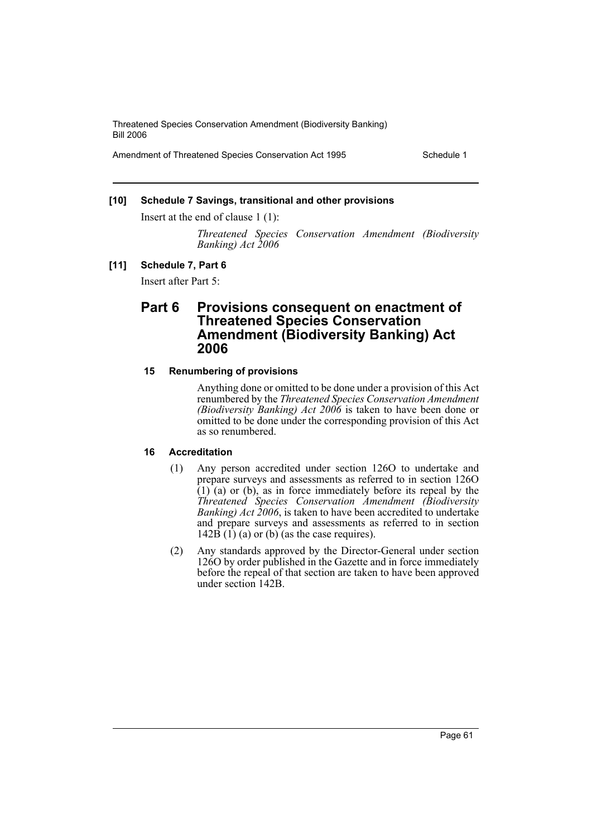Amendment of Threatened Species Conservation Act 1995 Schedule 1

## **[10] Schedule 7 Savings, transitional and other provisions**

Insert at the end of clause 1 (1):

*Threatened Species Conservation Amendment (Biodiversity Banking) Act 2006*

#### **[11] Schedule 7, Part 6**

Insert after Part 5:

## **Part 6 Provisions consequent on enactment of Threatened Species Conservation Amendment (Biodiversity Banking) Act 2006**

#### **15 Renumbering of provisions**

Anything done or omitted to be done under a provision of this Act renumbered by the *Threatened Species Conservation Amendment (Biodiversity Banking) Act 2006* is taken to have been done or omitted to be done under the corresponding provision of this Act as so renumbered.

#### **16 Accreditation**

- (1) Any person accredited under section 126O to undertake and prepare surveys and assessments as referred to in section 126O  $(1)$  (a) or (b), as in force immediately before its repeal by the *Threatened Species Conservation Amendment (Biodiversity Banking) Act 2006*, is taken to have been accredited to undertake and prepare surveys and assessments as referred to in section  $142\overrightarrow{B}$  (1) (a) or (b) (as the case requires).
- (2) Any standards approved by the Director-General under section 126O by order published in the Gazette and in force immediately before the repeal of that section are taken to have been approved under section 142B.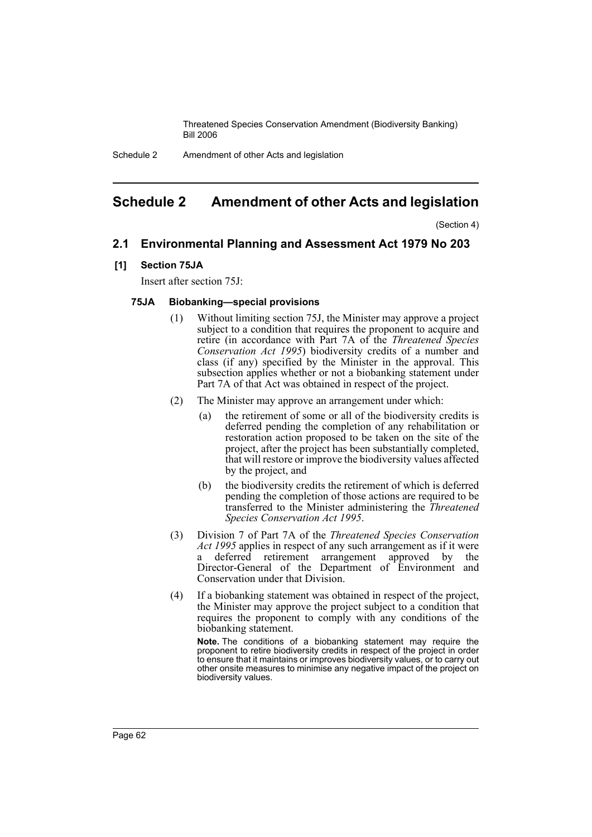Schedule 2 Amendment of other Acts and legislation

## <span id="page-62-0"></span>**Schedule 2 Amendment of other Acts and legislation**

(Section 4)

## **2.1 Environmental Planning and Assessment Act 1979 No 203**

### **[1] Section 75JA**

Insert after section 75J:

### **75JA Biobanking—special provisions**

- (1) Without limiting section 75J, the Minister may approve a project subject to a condition that requires the proponent to acquire and retire (in accordance with Part 7A of the *Threatened Species Conservation Act 1995*) biodiversity credits of a number and class (if any) specified by the Minister in the approval. This subsection applies whether or not a biobanking statement under Part 7A of that Act was obtained in respect of the project.
- (2) The Minister may approve an arrangement under which:
	- (a) the retirement of some or all of the biodiversity credits is deferred pending the completion of any rehabilitation or restoration action proposed to be taken on the site of the project, after the project has been substantially completed, that will restore or improve the biodiversity values affected by the project, and
	- (b) the biodiversity credits the retirement of which is deferred pending the completion of those actions are required to be transferred to the Minister administering the *Threatened Species Conservation Act 1995*.
- (3) Division 7 of Part 7A of the *Threatened Species Conservation Act 1995* applies in respect of any such arrangement as if it were a deferred retirement arrangement approved by the Director-General of the Department of Environment and Conservation under that Division.
- (4) If a biobanking statement was obtained in respect of the project, the Minister may approve the project subject to a condition that requires the proponent to comply with any conditions of the biobanking statement.

**Note.** The conditions of a biobanking statement may require the proponent to retire biodiversity credits in respect of the project in order to ensure that it maintains or improves biodiversity values, or to carry out other onsite measures to minimise any negative impact of the project on biodiversity values.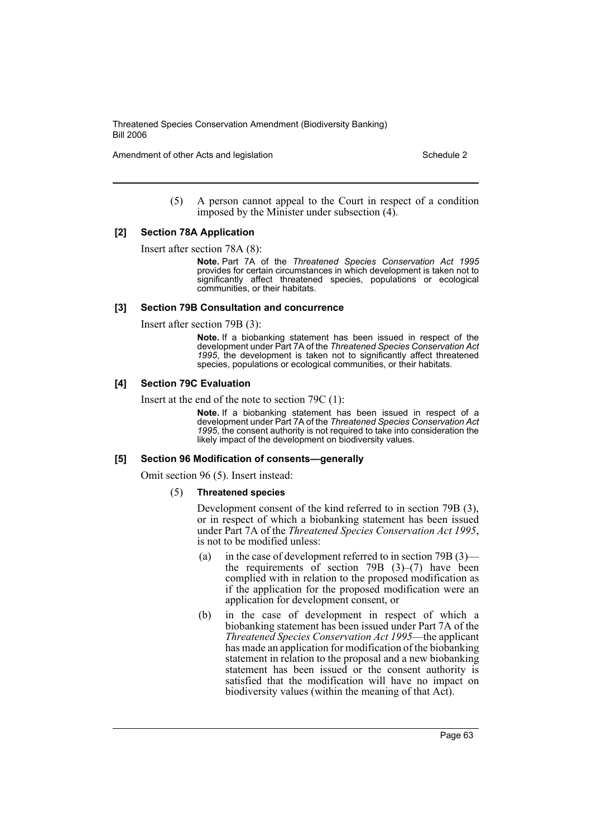Amendment of other Acts and legislation Schedule 2 and Schedule 2 and Schedule 2 and Schedule 2

(5) A person cannot appeal to the Court in respect of a condition imposed by the Minister under subsection (4).

#### **[2] Section 78A Application**

Insert after section 78A (8):

**Note.** Part 7A of the *Threatened Species Conservation Act 1995* provides for certain circumstances in which development is taken not to significantly affect threatened species, populations or ecological communities, or their habitats.

### **[3] Section 79B Consultation and concurrence**

Insert after section 79B (3):

**Note.** If a biobanking statement has been issued in respect of the development under Part 7A of the *Threatened Species Conservation Act 1995*, the development is taken not to significantly affect threatened species, populations or ecological communities, or their habitats.

## **[4] Section 79C Evaluation**

Insert at the end of the note to section 79C (1):

**Note.** If a biobanking statement has been issued in respect of a development under Part 7A of the *Threatened Species Conservation Act 1995*, the consent authority is not required to take into consideration the likely impact of the development on biodiversity values.

#### **[5] Section 96 Modification of consents—generally**

Omit section 96 (5). Insert instead:

#### (5) **Threatened species**

Development consent of the kind referred to in section 79B (3), or in respect of which a biobanking statement has been issued under Part 7A of the *Threatened Species Conservation Act 1995*, is not to be modified unless:

- (a) in the case of development referred to in section 79B (3) the requirements of section 79B  $(3)$ – $(7)$  have been complied with in relation to the proposed modification as if the application for the proposed modification were an application for development consent, or
- (b) in the case of development in respect of which a biobanking statement has been issued under Part 7A of the *Threatened Species Conservation Act 1995*—the applicant has made an application for modification of the biobanking statement in relation to the proposal and a new biobanking statement has been issued or the consent authority is satisfied that the modification will have no impact on biodiversity values (within the meaning of that Act).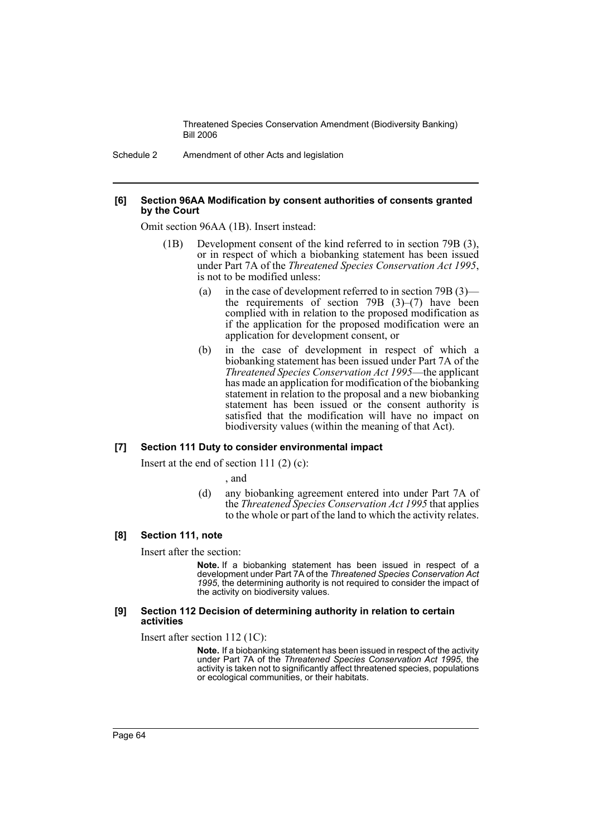Schedule 2 Amendment of other Acts and legislation

#### **[6] Section 96AA Modification by consent authorities of consents granted by the Court**

Omit section 96AA (1B). Insert instead:

- (1B) Development consent of the kind referred to in section 79B (3), or in respect of which a biobanking statement has been issued under Part 7A of the *Threatened Species Conservation Act 1995*, is not to be modified unless:
	- (a) in the case of development referred to in section 79B (3) the requirements of section 79B  $(3)$ – $(7)$  have been complied with in relation to the proposed modification as if the application for the proposed modification were an application for development consent, or
	- (b) in the case of development in respect of which a biobanking statement has been issued under Part 7A of the *Threatened Species Conservation Act 1995*—the applicant has made an application for modification of the biobanking statement in relation to the proposal and a new biobanking statement has been issued or the consent authority is satisfied that the modification will have no impact on biodiversity values (within the meaning of that Act).

#### **[7] Section 111 Duty to consider environmental impact**

Insert at the end of section 111 $(2)$  $(c)$ :

, and

(d) any biobanking agreement entered into under Part 7A of the *Threatened Species Conservation Act 1995* that applies to the whole or part of the land to which the activity relates.

#### **[8] Section 111, note**

Insert after the section:

**Note.** If a biobanking statement has been issued in respect of a development under Part 7A of the *Threatened Species Conservation Act 1995*, the determining authority is not required to consider the impact of the activity on biodiversity values.

#### **[9] Section 112 Decision of determining authority in relation to certain activities**

Insert after section 112 (1C):

**Note.** If a biobanking statement has been issued in respect of the activity under Part 7A of the *Threatened Species Conservation Act 1995*, the activity is taken not to significantly affect threatened species, populations or ecological communities, or their habitats.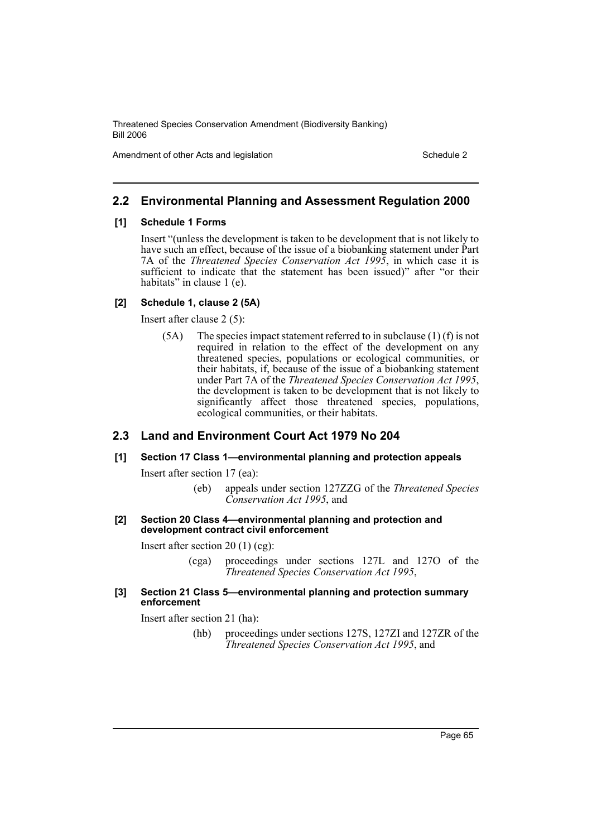Amendment of other Acts and legislation Schedule 2

## **2.2 Environmental Planning and Assessment Regulation 2000**

#### **[1] Schedule 1 Forms**

Insert "(unless the development is taken to be development that is not likely to have such an effect, because of the issue of a biobanking statement under Part 7A of the *Threatened Species Conservation Act 1995*, in which case it is sufficient to indicate that the statement has been issued)" after "or their habitats" in clause 1 (e).

#### **[2] Schedule 1, clause 2 (5A)**

Insert after clause 2 (5):

 $(5A)$  The species impact statement referred to in subclause  $(1)$  (f) is not required in relation to the effect of the development on any threatened species, populations or ecological communities, or their habitats, if, because of the issue of a biobanking statement under Part 7A of the *Threatened Species Conservation Act 1995*, the development is taken to be development that is not likely to significantly affect those threatened species, populations, ecological communities, or their habitats.

## **2.3 Land and Environment Court Act 1979 No 204**

#### **[1] Section 17 Class 1—environmental planning and protection appeals**

Insert after section 17 (ea):

(eb) appeals under section 127ZZG of the *Threatened Species Conservation Act 1995*, and

#### **[2] Section 20 Class 4—environmental planning and protection and development contract civil enforcement**

Insert after section 20 (1) (cg):

(cga) proceedings under sections 127L and 127O of the *Threatened Species Conservation Act 1995*,

#### **[3] Section 21 Class 5—environmental planning and protection summary enforcement**

Insert after section 21 (ha):

(hb) proceedings under sections 127S, 127ZI and 127ZR of the *Threatened Species Conservation Act 1995*, and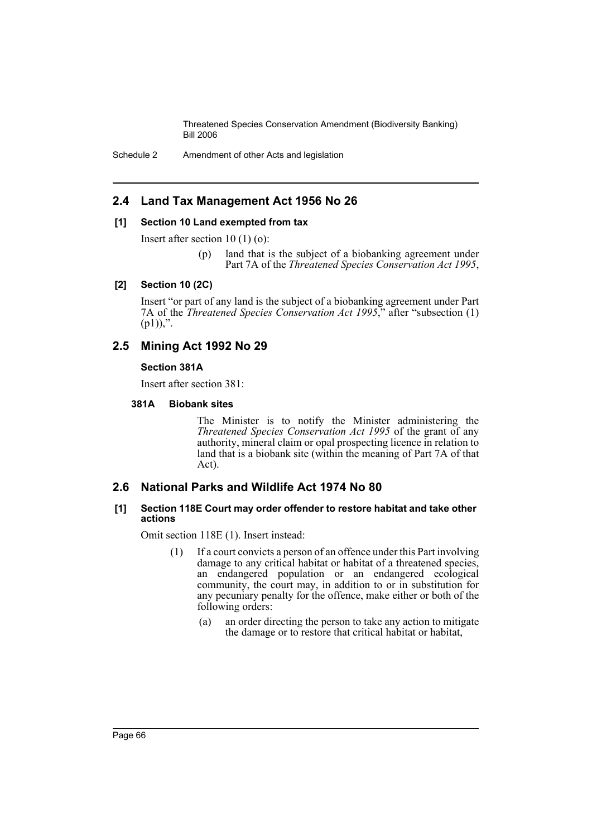Schedule 2 Amendment of other Acts and legislation

## **2.4 Land Tax Management Act 1956 No 26**

### **[1] Section 10 Land exempted from tax**

Insert after section 10 (1) (o):

(p) land that is the subject of a biobanking agreement under Part 7A of the *Threatened Species Conservation Act 1995*,

### **[2] Section 10 (2C)**

Insert "or part of any land is the subject of a biobanking agreement under Part 7A of the *Threatened Species Conservation Act 1995*," after "subsection (1)  $(p1))$ ,".

## **2.5 Mining Act 1992 No 29**

## **Section 381A**

Insert after section 381:

## **381A Biobank sites**

The Minister is to notify the Minister administering the *Threatened Species Conservation Act 1995* of the grant of any authority, mineral claim or opal prospecting licence in relation to land that is a biobank site (within the meaning of Part 7A of that Act).

## **2.6 National Parks and Wildlife Act 1974 No 80**

### **[1] Section 118E Court may order offender to restore habitat and take other actions**

Omit section 118E (1). Insert instead:

- (1) If a court convicts a person of an offence under this Part involving damage to any critical habitat or habitat of a threatened species, an endangered population or an endangered ecological community, the court may, in addition to or in substitution for any pecuniary penalty for the offence, make either or both of the following orders:
	- (a) an order directing the person to take any action to mitigate the damage or to restore that critical habitat or habitat,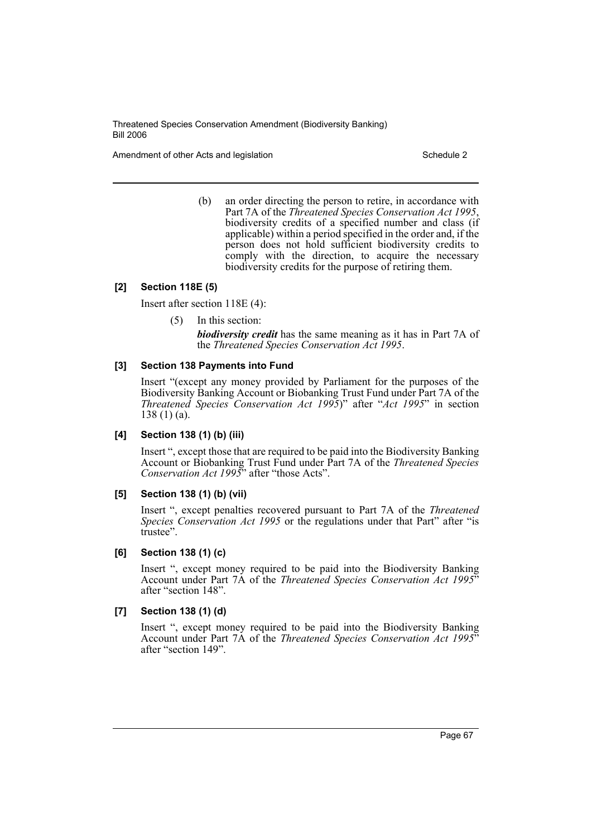Amendment of other Acts and legislation Schedule 2 and Schedule 2 and Schedule 2 and Schedule 2

(b) an order directing the person to retire, in accordance with Part 7A of the *Threatened Species Conservation Act 1995*, biodiversity credits of a specified number and class (if applicable) within a period specified in the order and, if the person does not hold sufficient biodiversity credits to comply with the direction, to acquire the necessary biodiversity credits for the purpose of retiring them.

### **[2] Section 118E (5)**

Insert after section 118E (4):

(5) In this section:

*biodiversity credit* has the same meaning as it has in Part 7A of the *Threatened Species Conservation Act 1995*.

### **[3] Section 138 Payments into Fund**

Insert "(except any money provided by Parliament for the purposes of the Biodiversity Banking Account or Biobanking Trust Fund under Part 7A of the *Threatened Species Conservation Act 1995*)" after "*Act 1995*" in section 138 (1) (a).

## **[4] Section 138 (1) (b) (iii)**

Insert ", except those that are required to be paid into the Biodiversity Banking Account or Biobanking Trust Fund under Part 7A of the *Threatened Species Conservation Act 1995*" after "those Acts".

## **[5] Section 138 (1) (b) (vii)**

Insert ", except penalties recovered pursuant to Part 7A of the *Threatened Species Conservation Act 1995* or the regulations under that Part" after "is trustee".

## **[6] Section 138 (1) (c)**

Insert ", except money required to be paid into the Biodiversity Banking Account under Part 7A of the *Threatened Species Conservation Act 1995*" after "section 148".

#### **[7] Section 138 (1) (d)**

Insert ", except money required to be paid into the Biodiversity Banking Account under Part 7A of the *Threatened Species Conservation Act 1995*" after "section 149".